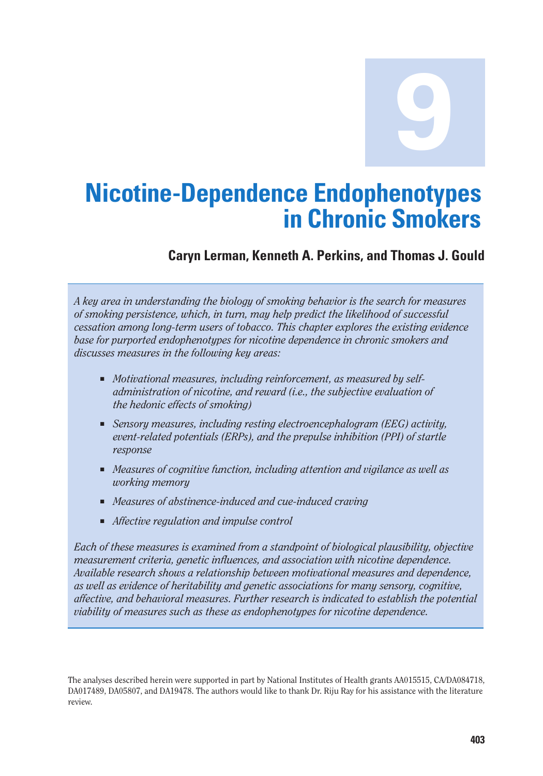**9**

# **Nicotine-Dependence Endophenotypes in Chronic Smokers**

## **Caryn Lerman, Kenneth A. Perkins, and Thomas J. Gould**

*A key area in understanding the biology of smoking behavior is the search for measures of smoking persistence, which, in turn, may help predict the likelihood of successful cessation among long-term users of tobacco. This chapter explores the existing evidence base for purported endophenotypes for nicotine dependence in chronic smokers and discusses measures in the following key areas:* 

- *Motivational measures, including reinforcement, as measured by selfadministration of nicotine, and reward (i.e., the subjective evaluation of the hedonic effects of smoking)*
- Sensory measures, including resting electroencephalogram (*EEG*) activity, *event-related potentials (ERPs), and the prepulse inhibition (PPI) of startle response*
- *Measures of cognitive function, including attention and vigilance as well as working memory*
- *Measures of abstinence-induced and cue-induced craving*
- *Affective regulation and impulse control*

*Each of these measures is examined from a standpoint of biological plausibility, objective measurement criteria, genetic influences, and association with nicotine dependence. Available research shows a relationship between motivational measures and dependence, as well as evidence of heritability and genetic associations for many sensory, cognitive, affective, and behavioral measures. Further research is indicated to establish the potential viability of measures such as these as endophenotypes for nicotine dependence.* 

The analyses described herein were supported in part by National Institutes of Health grants AA015515, CA/DA084718, DA017489, DA05807, and DA19478. The authors would like to thank Dr. Riju Ray for his assistance with the literature review.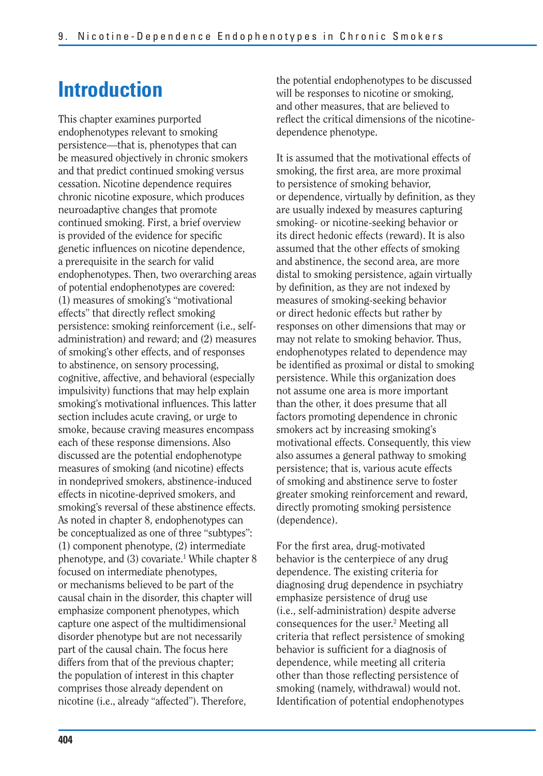# **Introduction**

This chapter examines purported endophenotypes relevant to smoking persistence—that is, phenotypes that can be measured objectively in chronic smokers and that predict continued smoking versus cessation. Nicotine dependence requires chronic nicotine exposure, which produces neuroadaptive changes that promote continued smoking. First, a brief overview is provided of the evidence for specific genetic influences on nicotine dependence, a prerequisite in the search for valid endophenotypes. Then, two overarching areas of potential endophenotypes are covered: (1) measures of smoking's "motivational effects" that directly reflect smoking persistence: smoking reinforcement (i.e., selfadministration) and reward; and (2) measures of smoking's other effects, and of responses to abstinence, on sensory processing, cognitive, affective, and behavioral (especially impulsivity) functions that may help explain smoking's motivational influences. This latter section includes acute craving, or urge to smoke, because craving measures encompass each of these response dimensions. Also discussed are the potential endophenotype measures of smoking (and nicotine) effects in nondeprived smokers, abstinence-induced effects in nicotine-deprived smokers, and smoking's reversal of these abstinence effects. As noted in chapter 8, endophenotypes can be conceptualized as one of three "subtypes": (1) component phenotype, (2) intermediate phenotype, and (3) covariate.<sup>1</sup> While chapter 8 focused on intermediate phenotypes, or mechanisms believed to be part of the causal chain in the disorder, this chapter will emphasize component phenotypes, which capture one aspect of the multidimensional disorder phenotype but are not necessarily part of the causal chain. The focus here differs from that of the previous chapter; the population of interest in this chapter comprises those already dependent on nicotine (i.e., already "affected"). Therefore,

the potential endophenotypes to be discussed will be responses to nicotine or smoking, and other measures, that are believed to reflect the critical dimensions of the nicotinedependence phenotype.

It is assumed that the motivational effects of smoking, the first area, are more proximal to persistence of smoking behavior, or dependence, virtually by definition, as they are usually indexed by measures capturing smoking- or nicotine-seeking behavior or its direct hedonic effects (reward). It is also assumed that the other effects of smoking and abstinence, the second area, are more distal to smoking persistence, again virtually by definition, as they are not indexed by measures of smoking-seeking behavior or direct hedonic effects but rather by responses on other dimensions that may or may not relate to smoking behavior. Thus, endophenotypes related to dependence may be identified as proximal or distal to smoking persistence. While this organization does not assume one area is more important than the other, it does presume that all factors promoting dependence in chronic smokers act by increasing smoking's motivational effects. Consequently, this view also assumes a general pathway to smoking persistence; that is, various acute effects of smoking and abstinence serve to foster greater smoking reinforcement and reward, directly promoting smoking persistence (dependence).

For the first area, drug-motivated behavior is the centerpiece of any drug dependence. The existing criteria for diagnosing drug dependence in psychiatry emphasize persistence of drug use (i.e., self-administration) despite adverse consequences for the user.<sup>2</sup> Meeting all criteria that reflect persistence of smoking behavior is sufficient for a diagnosis of dependence, while meeting all criteria other than those reflecting persistence of smoking (namely, withdrawal) would not. Identification of potential endophenotypes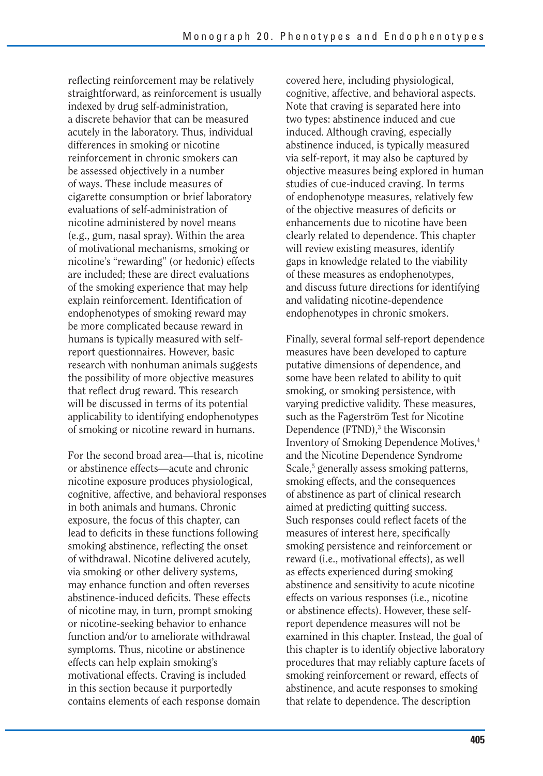reflecting reinforcement may be relatively straightforward, as reinforcement is usually indexed by drug self-administration, a discrete behavior that can be measured acutely in the laboratory. Thus, individual differences in smoking or nicotine reinforcement in chronic smokers can be assessed objectively in a number of ways. These include measures of cigarette consumption or brief laboratory evaluations of self-administration of nicotine administered by novel means (e.g., gum, nasal spray). Within the area of motivational mechanisms, smoking or nicotine's "rewarding" (or hedonic) effects are included; these are direct evaluations of the smoking experience that may help explain reinforcement. Identification of endophenotypes of smoking reward may be more complicated because reward in humans is typically measured with selfreport questionnaires. However, basic research with nonhuman animals suggests the possibility of more objective measures that reflect drug reward. This research will be discussed in terms of its potential applicability to identifying endophenotypes of smoking or nicotine reward in humans.

For the second broad area—that is, nicotine or abstinence effects—acute and chronic nicotine exposure produces physiological, cognitive, affective, and behavioral responses in both animals and humans. Chronic exposure, the focus of this chapter, can lead to deficits in these functions following smoking abstinence, reflecting the onset of withdrawal. Nicotine delivered acutely, via smoking or other delivery systems, may enhance function and often reverses abstinence-induced deficits. These effects of nicotine may, in turn, prompt smoking or nicotine-seeking behavior to enhance function and/or to ameliorate withdrawal symptoms. Thus, nicotine or abstinence effects can help explain smoking's motivational effects. Craving is included in this section because it purportedly contains elements of each response domain

covered here, including physiological, cognitive, affective, and behavioral aspects. Note that craving is separated here into two types: abstinence induced and cue induced. Although craving, especially abstinence induced, is typically measured via self-report, it may also be captured by objective measures being explored in human studies of cue-induced craving. In terms of endophenotype measures, relatively few of the objective measures of deficits or enhancements due to nicotine have been clearly related to dependence. This chapter will review existing measures, identify gaps in knowledge related to the viability of these measures as endophenotypes, and discuss future directions for identifying and validating nicotine-dependence endophenotypes in chronic smokers.

Finally, several formal self-report dependence measures have been developed to capture putative dimensions of dependence, and some have been related to ability to quit smoking, or smoking persistence, with varying predictive validity. These measures, such as the Fagerström Test for Nicotine Dependence (FTND),<sup>3</sup> the Wisconsin Inventory of Smoking Dependence Motives,4 and the Nicotine Dependence Syndrome Scale,<sup>5</sup> generally assess smoking patterns, smoking effects, and the consequences of abstinence as part of clinical research aimed at predicting quitting success. Such responses could reflect facets of the measures of interest here, specifically smoking persistence and reinforcement or reward (i.e., motivational effects), as well as effects experienced during smoking abstinence and sensitivity to acute nicotine effects on various responses (i.e., nicotine or abstinence effects). However, these selfreport dependence measures will not be examined in this chapter. Instead, the goal of this chapter is to identify objective laboratory procedures that may reliably capture facets of smoking reinforcement or reward, effects of abstinence, and acute responses to smoking that relate to dependence. The description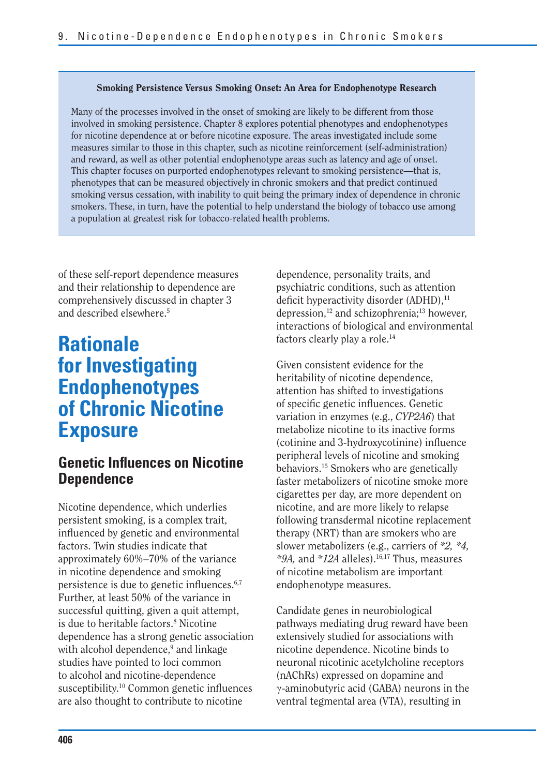#### **Smoking Persistence Versus Smoking Onset: An Area for Endophenotype Research**

Many of the processes involved in the onset of smoking are likely to be different from those involved in smoking persistence. Chapter 8 explores potential phenotypes and endophenotypes for nicotine dependence at or before nicotine exposure. The areas investigated include some measures similar to those in this chapter, such as nicotine reinforcement (self-administration) and reward, as well as other potential endophenotype areas such as latency and age of onset. This chapter focuses on purported endophenotypes relevant to smoking persistence—that is, phenotypes that can be measured objectively in chronic smokers and that predict continued smoking versus cessation, with inability to quit being the primary index of dependence in chronic smokers. These, in turn, have the potential to help understand the biology of tobacco use among a population at greatest risk for tobacco-related health problems.

of these self-report dependence measures and their relationship to dependence are comprehensively discussed in chapter 3 and described elsewhere.5

# **Rationale for Investigating Endophenotypes of Chronic Nicotine Exposure**

## **Genetic Influences on Nicotine Dependence**

Nicotine dependence, which underlies persistent smoking, is a complex trait, influenced by genetic and environmental factors. Twin studies indicate that approximately 60%–70% of the variance in nicotine dependence and smoking persistence is due to genetic influences. $6,7$ Further, at least 50% of the variance in successful quitting, given a quit attempt, is due to heritable factors.<sup>8</sup> Nicotine dependence has a strong genetic association with alcohol dependence,<sup>9</sup> and linkage studies have pointed to loci common to alcohol and nicotine-dependence susceptibility. $10$  Common genetic influences are also thought to contribute to nicotine

dependence, personality traits, and psychiatric conditions, such as attention deficit hyperactivity disorder  $(ADHD)$ ,<sup>11</sup> depression,<sup>12</sup> and schizophrenia;<sup>13</sup> however, interactions of biological and environmental factors clearly play a role.<sup>14</sup>

Given consistent evidence for the heritability of nicotine dependence, attention has shifted to investigations of specific genetic influences. Genetic variation in enzymes (e.g., *CYP2A6*) that metabolize nicotine to its inactive forms (cotinine and 3-hydroxycotinine) influence peripheral levels of nicotine and smoking behaviors.15 Smokers who are genetically faster metabolizers of nicotine smoke more cigarettes per day, are more dependent on nicotine, and are more likely to relapse following transdermal nicotine replacement therapy (NRT) than are smokers who are slower metabolizers (e.g., carriers of *\*2, \*4, \*9A,* and *\*12A* alleles).16,17 Thus, measures of nicotine metabolism are important endophenotype measures.

Candidate genes in neurobiological pathways mediating drug reward have been extensively studied for associations with nicotine dependence. Nicotine binds to neuronal nicotinic acetylcholine receptors (nAChRs) expressed on dopamine and  $\gamma$ -aminobutyric acid (GABA) neurons in the ventral tegmental area (VTA), resulting in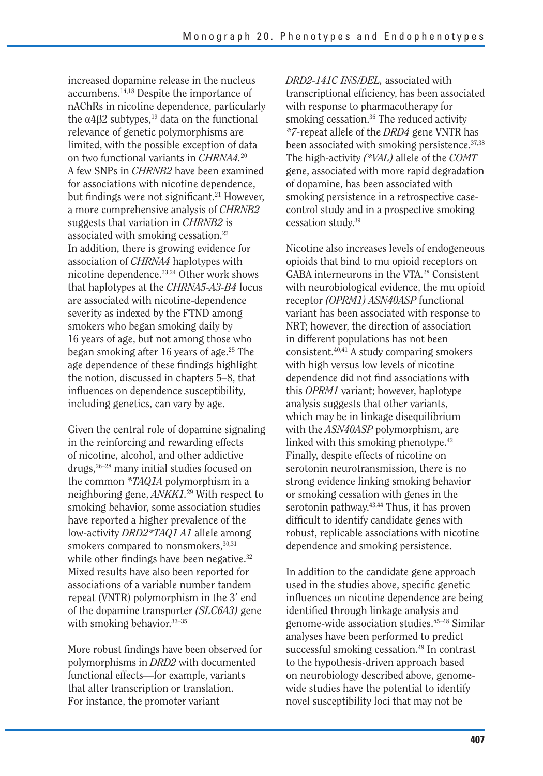increased dopamine release in the nucleus accumbens.14,18 Despite the importance of nAChRs in nicotine dependence, particularly the  $\alpha$ 4 $\beta$ 2 subtypes,<sup>19</sup> data on the functional relevance of genetic polymorphisms are limited, with the possible exception of data on two functional variants in *CHRNA4.*<sup>20</sup> A few SNPs in *CHRNB2* have been examined for associations with nicotine dependence, but findings were not significant.<sup>21</sup> However, a more comprehensive analysis of *CHRNB2*  suggests that variation in *CHRNB2* is associated with smoking cessation.22 In addition, there is growing evidence for association of *CHRNA4* haplotypes with nicotine dependence.23,24 Other work shows that haplotypes at the *CHRNA5-A3-B4* locus are associated with nicotine-dependence severity as indexed by the FTND among smokers who began smoking daily by 16 years of age, but not among those who began smoking after 16 years of age.25 The age dependence of these findings highlight the notion, discussed in chapters 5–8, that influences on dependence susceptibility, including genetics, can vary by age.

Given the central role of dopamine signaling in the reinforcing and rewarding effects of nicotine, alcohol, and other addictive drugs,26–28 many initial studies focused on the common *\*TAQ1A* polymorphism in a neighboring gene, *ANKK1.*29 With respect to smoking behavior, some association studies have reported a higher prevalence of the low-activity *DRD2\*TAQ1 A1* allele among smokers compared to nonsmokers, 30,31 while other findings have been negative.<sup>32</sup> Mixed results have also been reported for associations of a variable number tandem repeat (VNTR) polymorphism in the 3' end of the dopamine transporter *(SLC6A3)* gene with smoking behavior.<sup>33-35</sup>

More robust findings have been observed for polymorphisms in *DRD2* with documented functional effects—for example, variants that alter transcription or translation. For instance, the promoter variant

*DRD2-141C INS/DEL,* associated with transcriptional efficiency, has been associated with response to pharmacotherapy for smoking cessation.<sup>36</sup> The reduced activity *\*7-*repeat allele of the *DRD4* gene VNTR has been associated with smoking persistence.37,38 The high-activity *(\*VAL)* allele of the *COMT*  gene, associated with more rapid degradation of dopamine, has been associated with smoking persistence in a retrospective casecontrol study and in a prospective smoking cessation study.39

Nicotine also increases levels of endogeneous opioids that bind to mu opioid receptors on GABA interneurons in the VTA.28 Consistent with neurobiological evidence, the mu opioid receptor *(OPRM1) ASN40ASP* functional variant has been associated with response to NRT; however, the direction of association in different populations has not been consistent.40,41 A study comparing smokers with high versus low levels of nicotine dependence did not find associations with this *OPRM1* variant; however, haplotype analysis suggests that other variants, which may be in linkage disequilibrium with the *ASN40ASP* polymorphism, are linked with this smoking phenotype.<sup>42</sup> Finally, despite effects of nicotine on serotonin neurotransmission, there is no strong evidence linking smoking behavior or smoking cessation with genes in the serotonin pathway.<sup>43,44</sup> Thus, it has proven difficult to identify candidate genes with robust, replicable associations with nicotine dependence and smoking persistence.

In addition to the candidate gene approach used in the studies above, specific genetic influences on nicotine dependence are being identified through linkage analysis and genome-wide association studies.45–48 Similar analyses have been performed to predict successful smoking cessation.<sup>49</sup> In contrast to the hypothesis-driven approach based on neurobiology described above, genomewide studies have the potential to identify novel susceptibility loci that may not be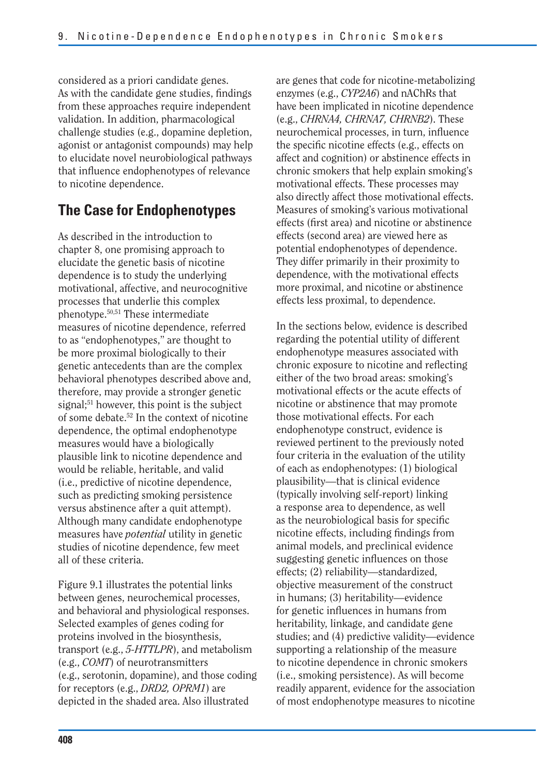considered as a priori candidate genes. As with the candidate gene studies, findings from these approaches require independent validation. In addition, pharmacological challenge studies (e.g., dopamine depletion, agonist or antagonist compounds) may help to elucidate novel neurobiological pathways that influence endophenotypes of relevance to nicotine dependence.

## **The Case for Endophenotypes**

As described in the introduction to chapter 8, one promising approach to elucidate the genetic basis of nicotine dependence is to study the underlying motivational, affective, and neurocognitive processes that underlie this complex phenotype.50,51 These intermediate measures of nicotine dependence, referred to as "endophenotypes," are thought to be more proximal biologically to their genetic antecedents than are the complex behavioral phenotypes described above and, therefore, may provide a stronger genetic signal;<sup>51</sup> however, this point is the subject of some debate.52 In the context of nicotine dependence, the optimal endophenotype measures would have a biologically plausible link to nicotine dependence and would be reliable, heritable, and valid (i.e., predictive of nicotine dependence, such as predicting smoking persistence versus abstinence after a quit attempt). Although many candidate endophenotype measures have *potential* utility in genetic studies of nicotine dependence, few meet all of these criteria.

Figure 9.1 illustrates the potential links between genes, neurochemical processes, and behavioral and physiological responses. Selected examples of genes coding for proteins involved in the biosynthesis, transport (e.g., *5-HTTLPR*), and metabolism (e.g., *COMT*) of neurotransmitters (e.g., serotonin, dopamine), and those coding for receptors (e.g., *DRD2, OPRM1*) are depicted in the shaded area. Also illustrated

are genes that code for nicotine-metabolizing enzymes (e.g., *CYP2A6*) and nAChRs that have been implicated in nicotine dependence (e.g., *CHRNA4, CHRNA7, CHRNB2*). These neurochemical processes, in turn, influence the specific nicotine effects (e.g., effects on affect and cognition) or abstinence effects in chronic smokers that help explain smoking's motivational effects. These processes may also directly affect those motivational effects. Measures of smoking's various motivational effects (first area) and nicotine or abstinence effects (second area) are viewed here as potential endophenotypes of dependence. They differ primarily in their proximity to dependence, with the motivational effects more proximal, and nicotine or abstinence effects less proximal, to dependence.

In the sections below, evidence is described regarding the potential utility of different endophenotype measures associated with chronic exposure to nicotine and reflecting either of the two broad areas: smoking's motivational effects or the acute effects of nicotine or abstinence that may promote those motivational effects. For each endophenotype construct, evidence is reviewed pertinent to the previously noted four criteria in the evaluation of the utility of each as endophenotypes: (1) biological plausibility—that is clinical evidence (typically involving self-report) linking a response area to dependence, as well as the neurobiological basis for specific nicotine effects, including findings from animal models, and preclinical evidence suggesting genetic influences on those effects; (2) reliability—standardized, objective measurement of the construct in humans; (3) heritability—evidence for genetic influences in humans from heritability, linkage, and candidate gene studies; and (4) predictive validity—evidence supporting a relationship of the measure to nicotine dependence in chronic smokers (i.e., smoking persistence). As will become readily apparent, evidence for the association of most endophenotype measures to nicotine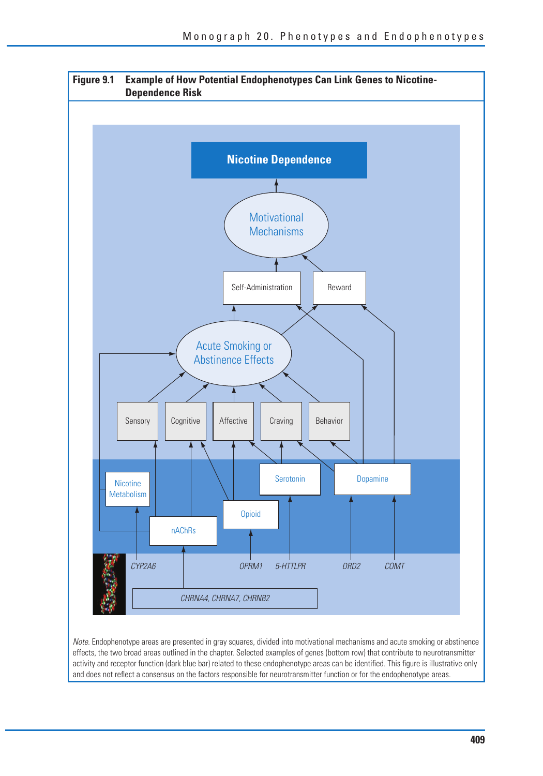

Note. Endophenotype areas are presented in gray squares, divided into motivational mechanisms and acute smoking or abstinence effects, the two broad areas outlined in the chapter. Selected examples of genes (bottom row) that contribute to neurotransmitter activity and receptor function (dark blue bar) related to these endophenotype areas can be identified. This figure is illustrative only and does not reflect a consensus on the factors responsible for neurotransmitter function or for the endophenotype areas.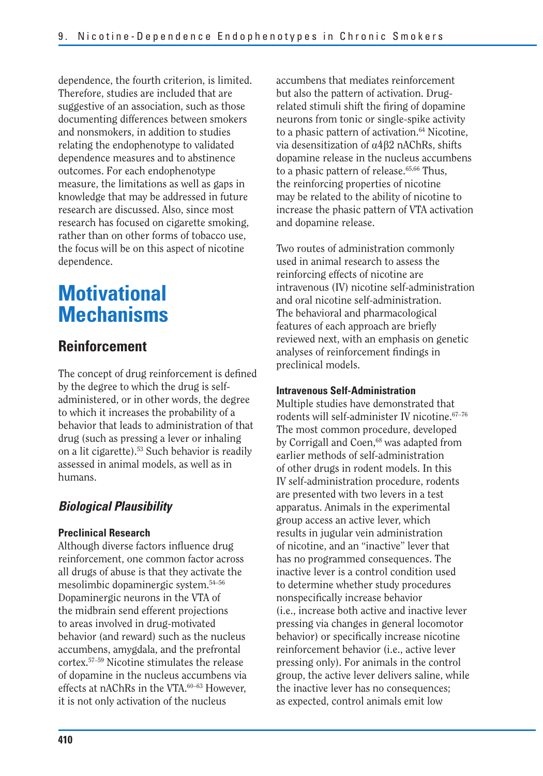dependence, the fourth criterion, is limited. Therefore, studies are included that are suggestive of an association, such as those documenting differences between smokers and nonsmokers, in addition to studies relating the endophenotype to validated dependence measures and to abstinence outcomes. For each endophenotype measure, the limitations as well as gaps in knowledge that may be addressed in future research are discussed. Also, since most research has focused on cigarette smoking, rather than on other forms of tobacco use, the focus will be on this aspect of nicotine dependence.

# **Motivational Mechanisms**

## **Reinforcement**

The concept of drug reinforcement is defined by the degree to which the drug is selfadministered, or in other words, the degree to which it increases the probability of a behavior that leads to administration of that drug (such as pressing a lever or inhaling on a lit cigarette).53 Such behavior is readily assessed in animal models, as well as in humans.

## *Biological Plausibility*

#### **Preclinical Research**

Although diverse factors influence drug reinforcement, one common factor across all drugs of abuse is that they activate the mesolimbic dopaminergic system.54–56 Dopaminergic neurons in the VTA of the midbrain send efferent projections to areas involved in drug-motivated behavior (and reward) such as the nucleus accumbens, amygdala, and the prefrontal cortex.57–59 Nicotine stimulates the release of dopamine in the nucleus accumbens via effects at nAChRs in the VTA.<sup>60-63</sup> However, it is not only activation of the nucleus

accumbens that mediates reinforcement but also the pattern of activation. Drugrelated stimuli shift the firing of dopamine neurons from tonic or single-spike activity to a phasic pattern of activation.<sup>64</sup> Nicotine, via desensitization of  $\alpha$ 4 $\beta$ 2 nAChRs, shifts dopamine release in the nucleus accumbens to a phasic pattern of release.<sup>65,66</sup> Thus, the reinforcing properties of nicotine may be related to the ability of nicotine to increase the phasic pattern of VTA activation and dopamine release.

Two routes of administration commonly used in animal research to assess the reinforcing effects of nicotine are intravenous (IV) nicotine self-administration and oral nicotine self-administration. The behavioral and pharmacological features of each approach are briefly reviewed next, with an emphasis on genetic analyses of reinforcement findings in preclinical models.

#### **Intravenous Self-Administration**

Multiple studies have demonstrated that rodents will self-administer IV nicotine.67–76 The most common procedure, developed by Corrigall and Coen,<sup>68</sup> was adapted from earlier methods of self-administration of other drugs in rodent models. In this IV self-administration procedure, rodents are presented with two levers in a test apparatus. Animals in the experimental group access an active lever, which results in jugular vein administration of nicotine, and an "inactive" lever that has no programmed consequences. The inactive lever is a control condition used to determine whether study procedures nonspecifically increase behavior (i.e., increase both active and inactive lever pressing via changes in general locomotor behavior) or specifically increase nicotine reinforcement behavior (i.e., active lever pressing only). For animals in the control group, the active lever delivers saline, while the inactive lever has no consequences; as expected, control animals emit low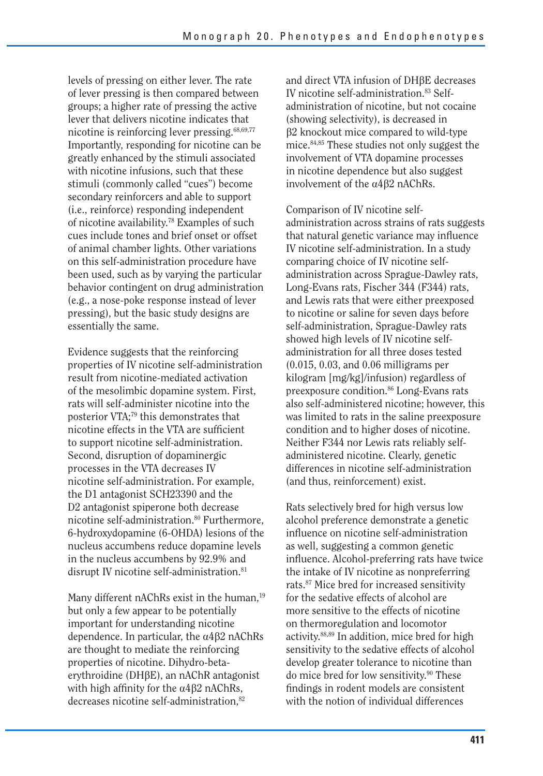levels of pressing on either lever. The rate of lever pressing is then compared between groups; a higher rate of pressing the active lever that delivers nicotine indicates that nicotine is reinforcing lever pressing.68,69,77 Importantly, responding for nicotine can be greatly enhanced by the stimuli associated with nicotine infusions, such that these stimuli (commonly called "cues") become secondary reinforcers and able to support (i.e., reinforce) responding independent of nicotine availability.78 Examples of such cues include tones and brief onset or offset of animal chamber lights. Other variations on this self-administration procedure have been used, such as by varying the particular behavior contingent on drug administration (e.g., a nose-poke response instead of lever pressing), but the basic study designs are essentially the same.

Evidence suggests that the reinforcing properties of IV nicotine self-administration result from nicotine-mediated activation of the mesolimbic dopamine system. First, rats will self-administer nicotine into the posterior VTA;79 this demonstrates that nicotine effects in the VTA are sufficient to support nicotine self-administration. Second, disruption of dopaminergic processes in the VTA decreases IV nicotine self-administration. For example, the D1 antagonist SCH23390 and the D2 antagonist spiperone both decrease nicotine self-administration.<sup>80</sup> Furthermore, 6-hydroxydopamine (6-OHDA) lesions of the nucleus accumbens reduce dopamine levels in the nucleus accumbens by 92.9% and disrupt IV nicotine self-administration.<sup>81</sup>

Many different nAChRs exist in the human,<sup>19</sup> but only a few appear to be potentially important for understanding nicotine dependence. In particular, the  $\alpha$ 4 $\beta$ 2 nAChRs are thought to mediate the reinforcing properties of nicotine. Dihydro-beta $e$ rythroidine (DH $\beta$ E), an nAChR antagonist with high affinity for the  $\alpha$ 4 $\beta$ 2 nAChRs, decreases nicotine self-administration,<sup>82</sup>

and direct VTA infusion of DHßE decreases IV nicotine self-administration.<sup>83</sup> Selfadministration of nicotine, but not cocaine (showing selectivity), is decreased in  $\beta$ 2 knockout mice compared to wild-type mice.84,85 These studies not only suggest the involvement of VTA dopamine processes in nicotine dependence but also suggest involvement of the  $\alpha$ 4 $\beta$ 2 nAChRs.

Comparison of IV nicotine selfadministration across strains of rats suggests that natural genetic variance may influence IV nicotine self-administration. In a study comparing choice of IV nicotine selfadministration across Sprague-Dawley rats, Long-Evans rats, Fischer 344 (F344) rats, and Lewis rats that were either preexposed to nicotine or saline for seven days before self-administration, Sprague-Dawley rats showed high levels of IV nicotine selfadministration for all three doses tested (0.015, 0.03, and 0.06 milligrams per kilogram [mg/kg]/infusion) regardless of preexposure condition.86 Long-Evans rats also self-administered nicotine; however, this was limited to rats in the saline preexposure condition and to higher doses of nicotine. Neither F344 nor Lewis rats reliably selfadministered nicotine. Clearly, genetic differences in nicotine self-administration (and thus, reinforcement) exist.

Rats selectively bred for high versus low alcohol preference demonstrate a genetic influence on nicotine self-administration as well, suggesting a common genetic influence. Alcohol-preferring rats have twice the intake of IV nicotine as nonpreferring rats.87 Mice bred for increased sensitivity for the sedative effects of alcohol are more sensitive to the effects of nicotine on thermoregulation and locomotor activity.88,89 In addition, mice bred for high sensitivity to the sedative effects of alcohol develop greater tolerance to nicotine than do mice bred for low sensitivity.90 These findings in rodent models are consistent with the notion of individual differences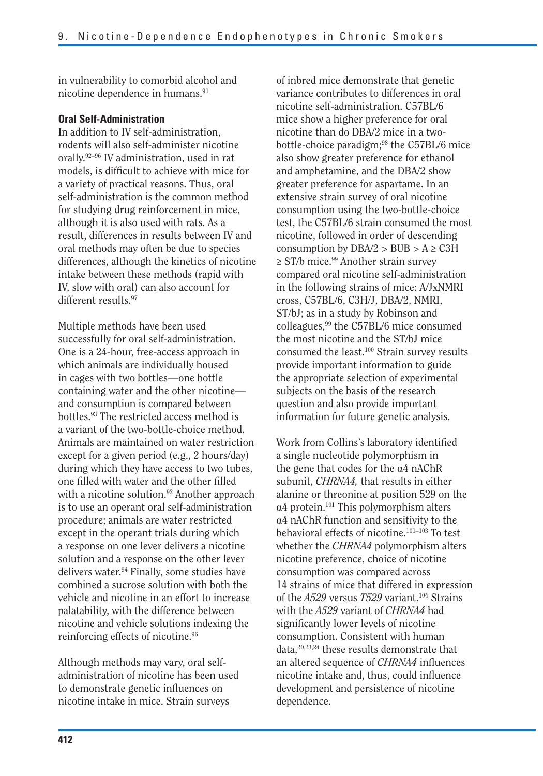in vulnerability to comorbid alcohol and nicotine dependence in humans.<sup>91</sup>

#### **Oral Self-Administration**

In addition to IV self-administration, rodents will also self-administer nicotine orally.92–96 IV administration, used in rat models, is difficult to achieve with mice for a variety of practical reasons. Thus, oral self-administration is the common method for studying drug reinforcement in mice, although it is also used with rats. As a result, differences in results between IV and oral methods may often be due to species differences, although the kinetics of nicotine intake between these methods (rapid with IV, slow with oral) can also account for different results.<sup>97</sup>

Multiple methods have been used successfully for oral self-administration. One is a 24-hour, free-access approach in which animals are individually housed in cages with two bottles—one bottle containing water and the other nicotine and consumption is compared between bottles.93 The restricted access method is a variant of the two-bottle-choice method. Animals are maintained on water restriction except for a given period (e.g., 2 hours/day) during which they have access to two tubes, one filled with water and the other filled with a nicotine solution.<sup>92</sup> Another approach is to use an operant oral self-administration procedure; animals are water restricted except in the operant trials during which a response on one lever delivers a nicotine solution and a response on the other lever delivers water.94 Finally, some studies have combined a sucrose solution with both the vehicle and nicotine in an effort to increase palatability, with the difference between nicotine and vehicle solutions indexing the reinforcing effects of nicotine.96

Although methods may vary, oral selfadministration of nicotine has been used to demonstrate genetic influences on nicotine intake in mice. Strain surveys

of inbred mice demonstrate that genetic variance contributes to differences in oral nicotine self-administration. C57BL/6 mice show a higher preference for oral nicotine than do DBA/2 mice in a twobottle-choice paradigm;<sup>98</sup> the C57BL/6 mice also show greater preference for ethanol and amphetamine, and the DBA/2 show greater preference for aspartame. In an extensive strain survey of oral nicotine consumption using the two-bottle-choice test, the C57BL/6 strain consumed the most nicotine, followed in order of descending consumption by  $DBA/2 > BUB > A \geq C3H$  $\geq$  ST/b mice.<sup>99</sup> Another strain survey compared oral nicotine self-administration in the following strains of mice: A/JxNMRI cross, C57BL/6, C3H/J, DBA/2, NMRI, ST/bJ; as in a study by Robinson and colleagues,99 the C57BL/6 mice consumed the most nicotine and the ST/bJ mice consumed the least.100 Strain survey results provide important information to guide the appropriate selection of experimental subjects on the basis of the research question and also provide important information for future genetic analysis.

Work from Collins's laboratory identified a single nucleotide polymorphism in the gene that codes for the  $\alpha$ 4 nAChR subunit, *CHRNA4,* that results in either alanine or threonine at position 529 on the  $\alpha$ 4 protein.<sup>101</sup> This polymorphism alters a4 nAChR function and sensitivity to the behavioral effects of nicotine.101–103 To test whether the *CHRNA4* polymorphism alters nicotine preference, choice of nicotine consumption was compared across 14 strains of mice that differed in expression of the *A529* versus *T529* variant.104 Strains with the *A529* variant of *CHRNA4* had significantly lower levels of nicotine consumption. Consistent with human data,20,23,24 these results demonstrate that an altered sequence of *CHRNA4* influences nicotine intake and, thus, could influence development and persistence of nicotine dependence.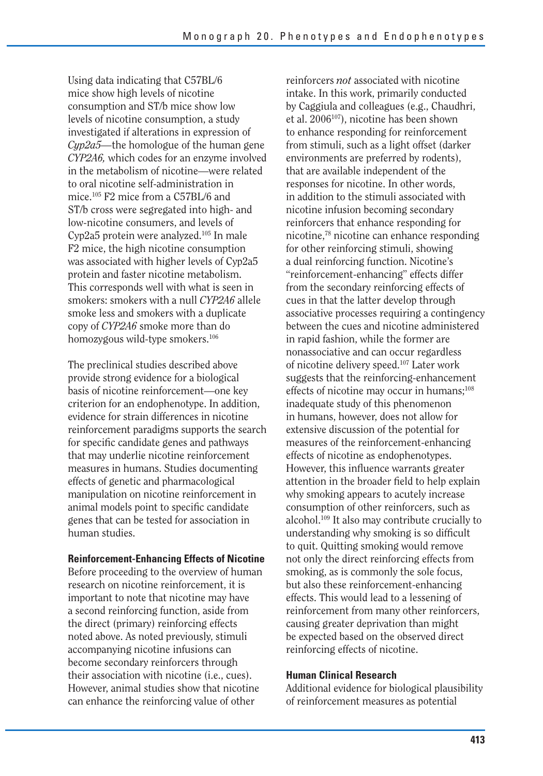Using data indicating that C57BL/6 mice show high levels of nicotine consumption and ST/b mice show low levels of nicotine consumption, a study investigated if alterations in expression of *Cyp2a5—*the homologue of the human gene *CYP2A6,* which codes for an enzyme involved in the metabolism of nicotine—were related to oral nicotine self-administration in mice.105 F2 mice from a C57BL/6 and ST/b cross were segregated into high- and low-nicotine consumers, and levels of Cyp2a5 protein were analyzed.105 In male F2 mice, the high nicotine consumption was associated with higher levels of Cyp2a5 protein and faster nicotine metabolism. This corresponds well with what is seen in smokers: smokers with a null *CYP2A6* allele smoke less and smokers with a duplicate copy of *CYP2A6* smoke more than do homozygous wild-type smokers.<sup>106</sup>

The preclinical studies described above provide strong evidence for a biological basis of nicotine reinforcement—one key criterion for an endophenotype. In addition, evidence for strain differences in nicotine reinforcement paradigms supports the search for specific candidate genes and pathways that may underlie nicotine reinforcement measures in humans. Studies documenting effects of genetic and pharmacological manipulation on nicotine reinforcement in animal models point to specific candidate genes that can be tested for association in human studies.

#### **Reinforcement-Enhancing Effects of Nicotine**

Before proceeding to the overview of human research on nicotine reinforcement, it is important to note that nicotine may have a second reinforcing function, aside from the direct (primary) reinforcing effects noted above. As noted previously, stimuli accompanying nicotine infusions can become secondary reinforcers through their association with nicotine (i.e., cues). However, animal studies show that nicotine can enhance the reinforcing value of other

reinforcers *not* associated with nicotine intake. In this work, primarily conducted by Caggiula and colleagues (e.g., Chaudhri, et al. 2006<sup>107</sup>), nicotine has been shown to enhance responding for reinforcement from stimuli, such as a light offset (darker environments are preferred by rodents), that are available independent of the responses for nicotine. In other words, in addition to the stimuli associated with nicotine infusion becoming secondary reinforcers that enhance responding for nicotine,78 nicotine can enhance responding for other reinforcing stimuli, showing a dual reinforcing function. Nicotine's "reinforcement-enhancing" effects differ from the secondary reinforcing effects of cues in that the latter develop through associative processes requiring a contingency between the cues and nicotine administered in rapid fashion, while the former are nonassociative and can occur regardless of nicotine delivery speed.107 Later work suggests that the reinforcing-enhancement effects of nicotine may occur in humans;<sup>108</sup> inadequate study of this phenomenon in humans, however, does not allow for extensive discussion of the potential for measures of the reinforcement-enhancing effects of nicotine as endophenotypes. However, this influence warrants greater attention in the broader field to help explain why smoking appears to acutely increase consumption of other reinforcers, such as alcohol.109 It also may contribute crucially to understanding why smoking is so difficult to quit. Quitting smoking would remove not only the direct reinforcing effects from smoking, as is commonly the sole focus, but also these reinforcement-enhancing effects. This would lead to a lessening of reinforcement from many other reinforcers, causing greater deprivation than might be expected based on the observed direct reinforcing effects of nicotine.

#### **Human Clinical Research**

Additional evidence for biological plausibility of reinforcement measures as potential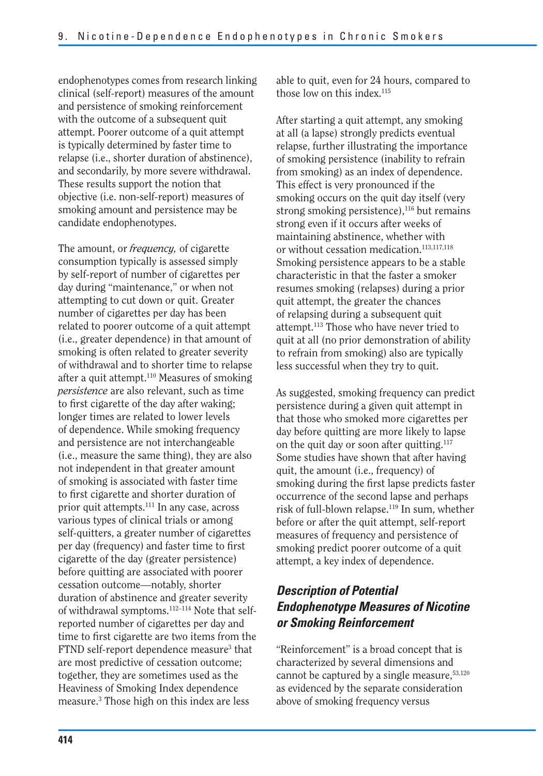endophenotypes comes from research linking clinical (self-report) measures of the amount and persistence of smoking reinforcement with the outcome of a subsequent quit attempt. Poorer outcome of a quit attempt is typically determined by faster time to relapse (i.e., shorter duration of abstinence), and secondarily, by more severe withdrawal. These results support the notion that objective (i.e. non-self-report) measures of smoking amount and persistence may be candidate endophenotypes.

The amount, or *frequency,* of cigarette consumption typically is assessed simply by self-report of number of cigarettes per day during "maintenance," or when not attempting to cut down or quit. Greater number of cigarettes per day has been related to poorer outcome of a quit attempt (i.e., greater dependence) in that amount of smoking is often related to greater severity of withdrawal and to shorter time to relapse after a quit attempt.<sup>110</sup> Measures of smoking *persistence* are also relevant, such as time to first cigarette of the day after waking; longer times are related to lower levels of dependence. While smoking frequency and persistence are not interchangeable (i.e., measure the same thing), they are also not independent in that greater amount of smoking is associated with faster time to first cigarette and shorter duration of prior quit attempts.<sup>111</sup> In any case, across various types of clinical trials or among self-quitters, a greater number of cigarettes per day (frequency) and faster time to first cigarette of the day (greater persistence) before quitting are associated with poorer cessation outcome—notably, shorter duration of abstinence and greater severity of withdrawal symptoms.112–114 Note that selfreported number of cigarettes per day and time to first cigarette are two items from the FTND self-report dependence measure<sup>3</sup> that are most predictive of cessation outcome; together, they are sometimes used as the Heaviness of Smoking Index dependence measure.3 Those high on this index are less

able to quit, even for 24 hours, compared to those low on this index.<sup>115</sup>

After starting a quit attempt, any smoking at all (a lapse) strongly predicts eventual relapse, further illustrating the importance of smoking persistence (inability to refrain from smoking) as an index of dependence. This effect is very pronounced if the smoking occurs on the quit day itself (very strong smoking persistence), $116$  but remains strong even if it occurs after weeks of maintaining abstinence, whether with or without cessation medication.<sup>113,117,118</sup> Smoking persistence appears to be a stable characteristic in that the faster a smoker resumes smoking (relapses) during a prior quit attempt, the greater the chances of relapsing during a subsequent quit attempt.113 Those who have never tried to quit at all (no prior demonstration of ability to refrain from smoking) also are typically less successful when they try to quit.

As suggested, smoking frequency can predict persistence during a given quit attempt in that those who smoked more cigarettes per day before quitting are more likely to lapse on the quit day or soon after quitting.<sup>117</sup> Some studies have shown that after having quit, the amount (i.e., frequency) of smoking during the first lapse predicts faster occurrence of the second lapse and perhaps risk of full-blown relapse.119 In sum, whether before or after the quit attempt, self-report measures of frequency and persistence of smoking predict poorer outcome of a quit attempt, a key index of dependence.

## *Description of Potential Endophenotype Measures of Nicotine or Smoking Reinforcement*

"Reinforcement" is a broad concept that is characterized by several dimensions and cannot be captured by a single measure,  $53,120$ as evidenced by the separate consideration above of smoking frequency versus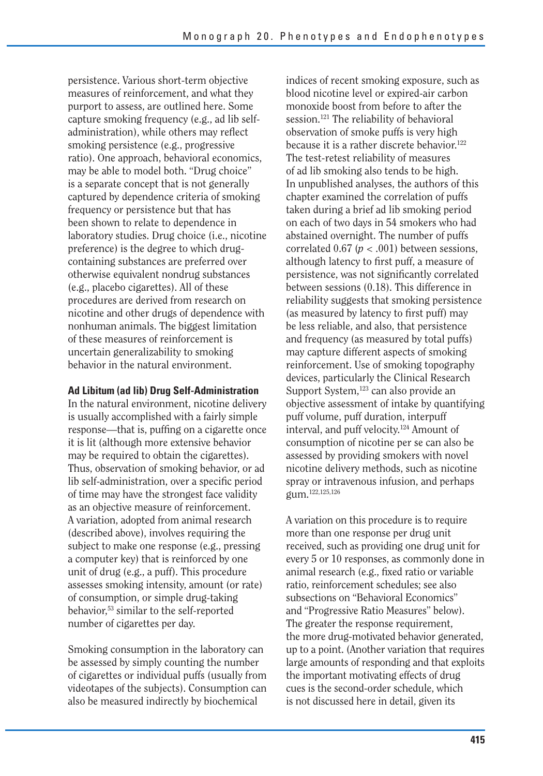persistence. Various short-term objective measures of reinforcement, and what they purport to assess, are outlined here. Some capture smoking frequency (e.g., ad lib selfadministration), while others may reflect smoking persistence (e.g., progressive ratio). One approach, behavioral economics, may be able to model both. "Drug choice" is a separate concept that is not generally captured by dependence criteria of smoking frequency or persistence but that has been shown to relate to dependence in laboratory studies. Drug choice (i.e., nicotine preference) is the degree to which drugcontaining substances are preferred over otherwise equivalent nondrug substances (e.g., placebo cigarettes). All of these procedures are derived from research on nicotine and other drugs of dependence with nonhuman animals. The biggest limitation of these measures of reinforcement is uncertain generalizability to smoking behavior in the natural environment.

#### **Ad Libitum (ad lib) Drug Self-Administration**

In the natural environment, nicotine delivery is usually accomplished with a fairly simple response—that is, puffing on a cigarette once it is lit (although more extensive behavior may be required to obtain the cigarettes). Thus, observation of smoking behavior, or ad lib self-administration, over a specific period of time may have the strongest face validity as an objective measure of reinforcement. A variation, adopted from animal research (described above), involves requiring the subject to make one response (e.g., pressing a computer key) that is reinforced by one unit of drug (e.g., a puff). This procedure assesses smoking intensity, amount (or rate) of consumption, or simple drug-taking behavior,53 similar to the self-reported number of cigarettes per day.

Smoking consumption in the laboratory can be assessed by simply counting the number of cigarettes or individual puffs (usually from videotapes of the subjects). Consumption can also be measured indirectly by biochemical

indices of recent smoking exposure, such as blood nicotine level or expired-air carbon monoxide boost from before to after the session.<sup>121</sup> The reliability of behavioral observation of smoke puffs is very high because it is a rather discrete behavior.<sup>122</sup> The test-retest reliability of measures of ad lib smoking also tends to be high. In unpublished analyses, the authors of this chapter examined the correlation of puffs taken during a brief ad lib smoking period on each of two days in 54 smokers who had abstained overnight. The number of puffs correlated  $0.67$  ( $p < .001$ ) between sessions, although latency to first puff, a measure of persistence, was not significantly correlated between sessions (0.18). This difference in reliability suggests that smoking persistence (as measured by latency to first puff) may be less reliable, and also, that persistence and frequency (as measured by total puffs) may capture different aspects of smoking reinforcement. Use of smoking topography devices, particularly the Clinical Research Support System,<sup>123</sup> can also provide an objective assessment of intake by quantifying puff volume, puff duration, interpuff interval, and puff velocity.124 Amount of consumption of nicotine per se can also be assessed by providing smokers with novel nicotine delivery methods, such as nicotine spray or intravenous infusion, and perhaps gum.122,125,126

A variation on this procedure is to require more than one response per drug unit received, such as providing one drug unit for every 5 or 10 responses, as commonly done in animal research (e.g., fixed ratio or variable ratio, reinforcement schedules; see also subsections on "Behavioral Economics" and "Progressive Ratio Measures" below). The greater the response requirement, the more drug-motivated behavior generated, up to a point. (Another variation that requires large amounts of responding and that exploits the important motivating effects of drug cues is the second-order schedule, which is not discussed here in detail, given its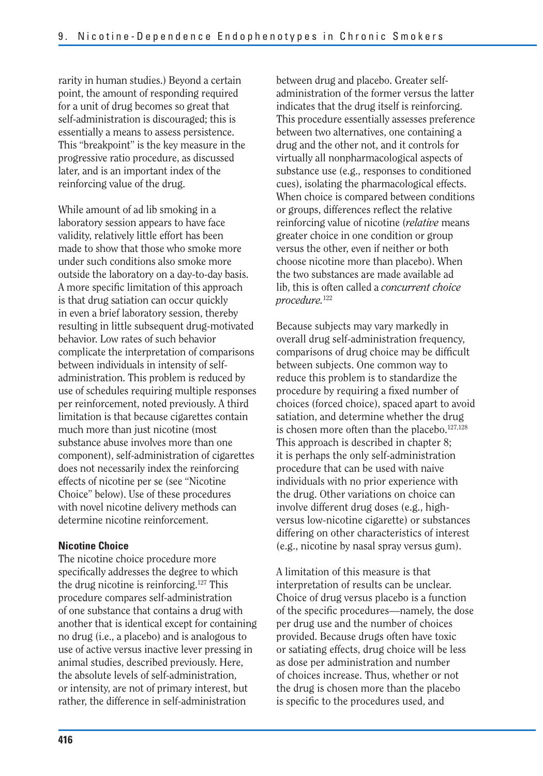rarity in human studies.) Beyond a certain point, the amount of responding required for a unit of drug becomes so great that self-administration is discouraged; this is essentially a means to assess persistence. This "breakpoint" is the key measure in the progressive ratio procedure, as discussed later, and is an important index of the reinforcing value of the drug.

While amount of ad lib smoking in a laboratory session appears to have face validity, relatively little effort has been made to show that those who smoke more under such conditions also smoke more outside the laboratory on a day-to-day basis. A more specific limitation of this approach is that drug satiation can occur quickly in even a brief laboratory session, thereby resulting in little subsequent drug-motivated behavior. Low rates of such behavior complicate the interpretation of comparisons between individuals in intensity of selfadministration. This problem is reduced by use of schedules requiring multiple responses per reinforcement, noted previously. A third limitation is that because cigarettes contain much more than just nicotine (most substance abuse involves more than one component), self-administration of cigarettes does not necessarily index the reinforcing effects of nicotine per se (see "Nicotine Choice" below). Use of these procedures with novel nicotine delivery methods can determine nicotine reinforcement.

#### **Nicotine Choice**

The nicotine choice procedure more specifically addresses the degree to which the drug nicotine is reinforcing.127 This procedure compares self-administration of one substance that contains a drug with another that is identical except for containing no drug (i.e., a placebo) and is analogous to use of active versus inactive lever pressing in animal studies, described previously. Here, the absolute levels of self-administration, or intensity, are not of primary interest, but rather, the difference in self-administration

between drug and placebo. Greater selfadministration of the former versus the latter indicates that the drug itself is reinforcing. This procedure essentially assesses preference between two alternatives, one containing a drug and the other not, and it controls for virtually all nonpharmacological aspects of substance use (e.g., responses to conditioned cues), isolating the pharmacological effects. When choice is compared between conditions or groups, differences reflect the relative reinforcing value of nicotine (*relative* means greater choice in one condition or group versus the other, even if neither or both choose nicotine more than placebo). When the two substances are made available ad lib, this is often called a *concurrent choice procedure.*<sup>122</sup>

Because subjects may vary markedly in overall drug self-administration frequency, comparisons of drug choice may be difficult between subjects. One common way to reduce this problem is to standardize the procedure by requiring a fixed number of choices (forced choice), spaced apart to avoid satiation, and determine whether the drug is chosen more often than the placebo.<sup>127,128</sup> This approach is described in chapter 8; it is perhaps the only self-administration procedure that can be used with naive individuals with no prior experience with the drug. Other variations on choice can involve different drug doses (e.g., highversus low-nicotine cigarette) or substances differing on other characteristics of interest (e.g., nicotine by nasal spray versus gum).

A limitation of this measure is that interpretation of results can be unclear. Choice of drug versus placebo is a function of the specific procedures—namely, the dose per drug use and the number of choices provided. Because drugs often have toxic or satiating effects, drug choice will be less as dose per administration and number of choices increase. Thus, whether or not the drug is chosen more than the placebo is specific to the procedures used, and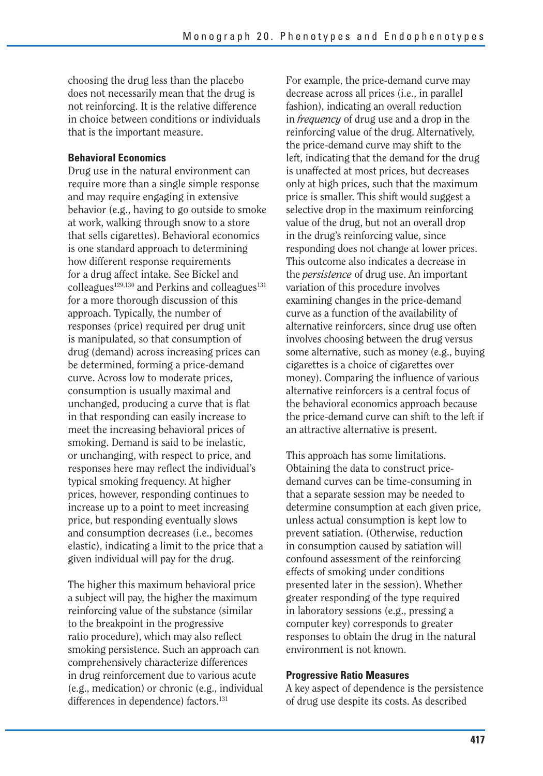choosing the drug less than the placebo does not necessarily mean that the drug is not reinforcing. It is the relative difference in choice between conditions or individuals that is the important measure.

#### **Behavioral Economics**

Drug use in the natural environment can require more than a single simple response and may require engaging in extensive behavior (e.g., having to go outside to smoke at work, walking through snow to a store that sells cigarettes). Behavioral economics is one standard approach to determining how different response requirements for a drug affect intake. See Bickel and  $\text{colle}$ agues<sup>129,130</sup> and Perkins and colleagues<sup>131</sup> for a more thorough discussion of this approach. Typically, the number of responses (price) required per drug unit is manipulated, so that consumption of drug (demand) across increasing prices can be determined, forming a price-demand curve. Across low to moderate prices, consumption is usually maximal and unchanged, producing a curve that is flat in that responding can easily increase to meet the increasing behavioral prices of smoking. Demand is said to be inelastic, or unchanging, with respect to price, and responses here may reflect the individual's typical smoking frequency. At higher prices, however, responding continues to increase up to a point to meet increasing price, but responding eventually slows and consumption decreases (i.e., becomes elastic), indicating a limit to the price that a given individual will pay for the drug.

The higher this maximum behavioral price a subject will pay, the higher the maximum reinforcing value of the substance (similar to the breakpoint in the progressive ratio procedure), which may also reflect smoking persistence. Such an approach can comprehensively characterize differences in drug reinforcement due to various acute (e.g., medication) or chronic (e.g., individual differences in dependence) factors.<sup>131</sup>

For example, the price-demand curve may decrease across all prices (i.e., in parallel fashion), indicating an overall reduction in *frequency* of drug use and a drop in the reinforcing value of the drug. Alternatively, the price-demand curve may shift to the left, indicating that the demand for the drug is unaffected at most prices, but decreases only at high prices, such that the maximum price is smaller. This shift would suggest a selective drop in the maximum reinforcing value of the drug, but not an overall drop in the drug's reinforcing value, since responding does not change at lower prices. This outcome also indicates a decrease in the *persistence* of drug use. An important variation of this procedure involves examining changes in the price-demand curve as a function of the availability of alternative reinforcers, since drug use often involves choosing between the drug versus some alternative, such as money (e.g., buying cigarettes is a choice of cigarettes over money). Comparing the influence of various alternative reinforcers is a central focus of the behavioral economics approach because the price-demand curve can shift to the left if an attractive alternative is present.

This approach has some limitations. Obtaining the data to construct pricedemand curves can be time-consuming in that a separate session may be needed to determine consumption at each given price, unless actual consumption is kept low to prevent satiation. (Otherwise, reduction in consumption caused by satiation will confound assessment of the reinforcing effects of smoking under conditions presented later in the session). Whether greater responding of the type required in laboratory sessions (e.g., pressing a computer key) corresponds to greater responses to obtain the drug in the natural environment is not known.

#### **Progressive Ratio Measures**

A key aspect of dependence is the persistence of drug use despite its costs. As described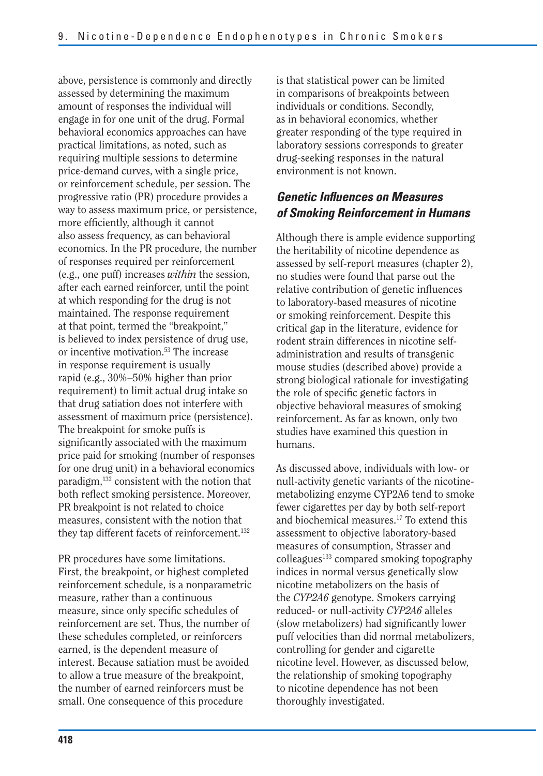above, persistence is commonly and directly assessed by determining the maximum amount of responses the individual will engage in for one unit of the drug. Formal behavioral economics approaches can have practical limitations, as noted, such as requiring multiple sessions to determine price-demand curves, with a single price, or reinforcement schedule, per session. The progressive ratio (PR) procedure provides a way to assess maximum price, or persistence, more efficiently, although it cannot also assess frequency, as can behavioral economics. In the PR procedure, the number of responses required per reinforcement (e.g., one puff) increases *within* the session, after each earned reinforcer, until the point at which responding for the drug is not maintained. The response requirement at that point, termed the "breakpoint," is believed to index persistence of drug use, or incentive motivation.53 The increase in response requirement is usually rapid (e.g., 30%–50% higher than prior requirement) to limit actual drug intake so that drug satiation does not interfere with assessment of maximum price (persistence). The breakpoint for smoke puffs is significantly associated with the maximum price paid for smoking (number of responses for one drug unit) in a behavioral economics paradigm,132 consistent with the notion that both reflect smoking persistence. Moreover, PR breakpoint is not related to choice measures, consistent with the notion that they tap different facets of reinforcement.132

PR procedures have some limitations. First, the breakpoint, or highest completed reinforcement schedule, is a nonparametric measure, rather than a continuous measure, since only specific schedules of reinforcement are set. Thus, the number of these schedules completed, or reinforcers earned, is the dependent measure of interest. Because satiation must be avoided to allow a true measure of the breakpoint, the number of earned reinforcers must be small. One consequence of this procedure

is that statistical power can be limited in comparisons of breakpoints between individuals or conditions. Secondly, as in behavioral economics, whether greater responding of the type required in laboratory sessions corresponds to greater drug-seeking responses in the natural environment is not known.

### *Genetic Influences on Measures of Smoking Reinforcement in Humans*

Although there is ample evidence supporting the heritability of nicotine dependence as assessed by self-report measures (chapter 2), no studies were found that parse out the relative contribution of genetic influences to laboratory-based measures of nicotine or smoking reinforcement. Despite this critical gap in the literature, evidence for rodent strain differences in nicotine selfadministration and results of transgenic mouse studies (described above) provide a strong biological rationale for investigating the role of specific genetic factors in objective behavioral measures of smoking reinforcement. As far as known, only two studies have examined this question in humans.

As discussed above, individuals with low- or null-activity genetic variants of the nicotinemetabolizing enzyme CYP2A6 tend to smoke fewer cigarettes per day by both self-report and biochemical measures.17 To extend this assessment to objective laboratory-based measures of consumption, Strasser and colleagues<sup>133</sup> compared smoking topography indices in normal versus genetically slow nicotine metabolizers on the basis of the *CYP2A6* genotype. Smokers carrying reduced- or null-activity *CYP2A6* alleles (slow metabolizers) had significantly lower puff velocities than did normal metabolizers, controlling for gender and cigarette nicotine level. However, as discussed below, the relationship of smoking topography to nicotine dependence has not been thoroughly investigated.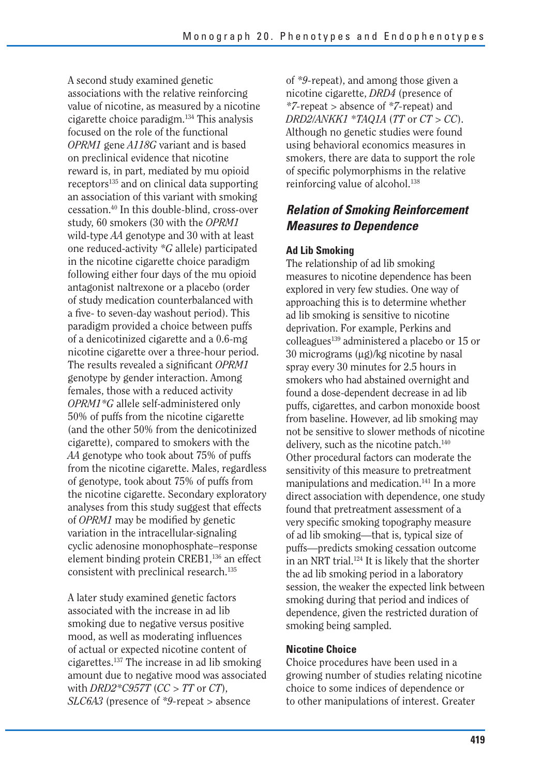A second study examined genetic associations with the relative reinforcing value of nicotine, as measured by a nicotine cigarette choice paradigm.134 This analysis focused on the role of the functional *OPRM1* gene *A118G* variant and is based on preclinical evidence that nicotine reward is, in part, mediated by mu opioid receptors<sup>135</sup> and on clinical data supporting an association of this variant with smoking cessation.40 In this double-blind, cross-over study, 60 smokers (30 with the *OPRM1*  wild-type *AA* genotype and 30 with at least one reduced-activity *\*G* allele) participated in the nicotine cigarette choice paradigm following either four days of the mu opioid antagonist naltrexone or a placebo (order of study medication counterbalanced with a five- to seven-day washout period). This paradigm provided a choice between puffs of a denicotinized cigarette and a 0.6-mg nicotine cigarette over a three-hour period. The results revealed a significant *OPRM1* genotype by gender interaction. Among females, those with a reduced activity *OPRM1\*G* allele self-administered only 50% of puffs from the nicotine cigarette (and the other 50% from the denicotinized cigarette), compared to smokers with the *AA* genotype who took about 75% of puffs from the nicotine cigarette. Males, regardless of genotype, took about 75% of puffs from the nicotine cigarette. Secondary exploratory analyses from this study suggest that effects of *OPRM1* may be modified by genetic variation in the intracellular-signaling cyclic adenosine monophosphate–response element binding protein CREB1,<sup>136</sup> an effect consistent with preclinical research.<sup>135</sup>

A later study examined genetic factors associated with the increase in ad lib smoking due to negative versus positive mood, as well as moderating influences of actual or expected nicotine content of cigarettes.137 The increase in ad lib smoking amount due to negative mood was associated with *DRD2\*C957T* (*CC* > *TT* or *CT*), *SLC6A3* (presence of *\*9-*repeat > absence

of *\*9-*repeat), and among those given a nicotine cigarette, *DRD4* (presence of *\*7-*repeat > absence of *\*7-*repeat) and *DRD2/ANKK1* \**TAQ1A* (*TT* or *CT* > *CC*). Although no genetic studies were found using behavioral economics measures in smokers, there are data to support the role of specific polymorphisms in the relative reinforcing value of alcohol.<sup>138</sup>

### *Relation of Smoking Reinforcement Measures to Dependence*

#### **Ad Lib Smoking**

The relationship of ad lib smoking measures to nicotine dependence has been explored in very few studies. One way of approaching this is to determine whether ad lib smoking is sensitive to nicotine deprivation. For example, Perkins and colleagues<sup>139</sup> administered a placebo or 15 or 30 micrograms  $(\mu g)/kg$  nicotine by nasal spray every 30 minutes for 2.5 hours in smokers who had abstained overnight and found a dose-dependent decrease in ad lib puffs, cigarettes, and carbon monoxide boost from baseline. However, ad lib smoking may not be sensitive to slower methods of nicotine delivery, such as the nicotine patch.<sup>140</sup> Other procedural factors can moderate the sensitivity of this measure to pretreatment manipulations and medication.<sup>141</sup> In a more direct association with dependence, one study found that pretreatment assessment of a very specific smoking topography measure of ad lib smoking—that is, typical size of puffs—predicts smoking cessation outcome in an NRT trial.<sup>124</sup> It is likely that the shorter the ad lib smoking period in a laboratory session, the weaker the expected link between smoking during that period and indices of dependence, given the restricted duration of smoking being sampled.

#### **Nicotine Choice**

Choice procedures have been used in a growing number of studies relating nicotine choice to some indices of dependence or to other manipulations of interest. Greater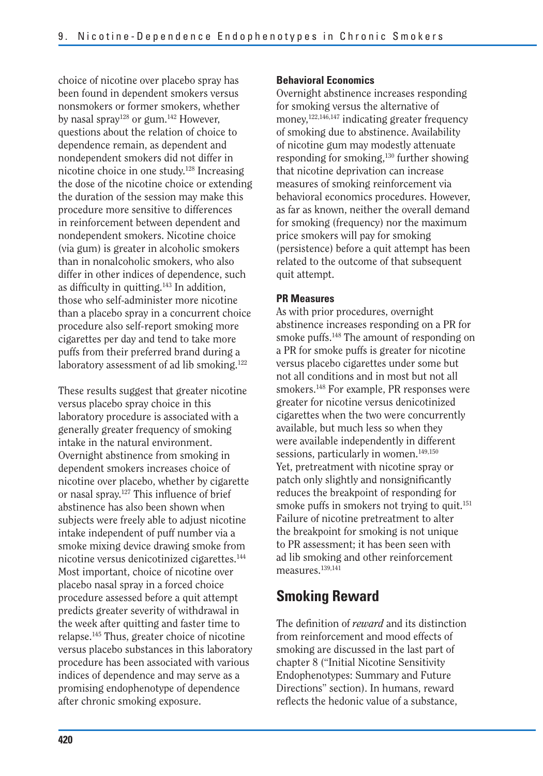choice of nicotine over placebo spray has been found in dependent smokers versus nonsmokers or former smokers, whether by nasal spray<sup>128</sup> or gum.<sup>142</sup> However, questions about the relation of choice to dependence remain, as dependent and nondependent smokers did not differ in nicotine choice in one study.128 Increasing the dose of the nicotine choice or extending the duration of the session may make this procedure more sensitive to differences in reinforcement between dependent and nondependent smokers. Nicotine choice (via gum) is greater in alcoholic smokers than in nonalcoholic smokers, who also differ in other indices of dependence, such as difficulty in quitting.143 In addition, those who self-administer more nicotine than a placebo spray in a concurrent choice procedure also self-report smoking more cigarettes per day and tend to take more puffs from their preferred brand during a laboratory assessment of ad lib smoking.<sup>122</sup>

These results suggest that greater nicotine versus placebo spray choice in this laboratory procedure is associated with a generally greater frequency of smoking intake in the natural environment. Overnight abstinence from smoking in dependent smokers increases choice of nicotine over placebo, whether by cigarette or nasal spray.127 This influence of brief abstinence has also been shown when subjects were freely able to adjust nicotine intake independent of puff number via a smoke mixing device drawing smoke from nicotine versus denicotinized cigarettes.144 Most important, choice of nicotine over placebo nasal spray in a forced choice procedure assessed before a quit attempt predicts greater severity of withdrawal in the week after quitting and faster time to relapse.145 Thus, greater choice of nicotine versus placebo substances in this laboratory procedure has been associated with various indices of dependence and may serve as a promising endophenotype of dependence after chronic smoking exposure.

#### **Behavioral Economics**

Overnight abstinence increases responding for smoking versus the alternative of money,<sup>122,146,147</sup> indicating greater frequency of smoking due to abstinence. Availability of nicotine gum may modestly attenuate responding for smoking,130 further showing that nicotine deprivation can increase measures of smoking reinforcement via behavioral economics procedures. However, as far as known, neither the overall demand for smoking (frequency) nor the maximum price smokers will pay for smoking (persistence) before a quit attempt has been related to the outcome of that subsequent quit attempt.

#### **PR Measures**

As with prior procedures, overnight abstinence increases responding on a PR for smoke puffs.<sup>148</sup> The amount of responding on a PR for smoke puffs is greater for nicotine versus placebo cigarettes under some but not all conditions and in most but not all smokers.148 For example, PR responses were greater for nicotine versus denicotinized cigarettes when the two were concurrently available, but much less so when they were available independently in different sessions, particularly in women.<sup>149,150</sup> Yet, pretreatment with nicotine spray or patch only slightly and nonsignificantly reduces the breakpoint of responding for smoke puffs in smokers not trying to quit.<sup>151</sup> Failure of nicotine pretreatment to alter the breakpoint for smoking is not unique to PR assessment; it has been seen with ad lib smoking and other reinforcement measures.<sup>139,141</sup>

## **Smoking Reward**

The definition of *reward* and its distinction from reinforcement and mood effects of smoking are discussed in the last part of chapter 8 ("Initial Nicotine Sensitivity Endophenotypes: Summary and Future Directions" section). In humans, reward reflects the hedonic value of a substance,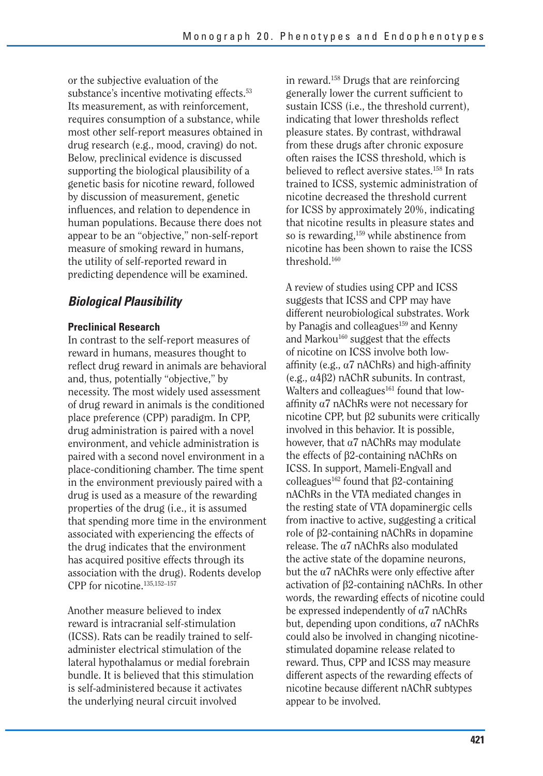or the subjective evaluation of the substance's incentive motivating effects.<sup>53</sup> Its measurement, as with reinforcement, requires consumption of a substance, while most other self-report measures obtained in drug research (e.g., mood, craving) do not. Below, preclinical evidence is discussed supporting the biological plausibility of a genetic basis for nicotine reward, followed by discussion of measurement, genetic influences, and relation to dependence in human populations. Because there does not appear to be an "objective," non-self-report measure of smoking reward in humans, the utility of self-reported reward in predicting dependence will be examined.

## *Biological Plausibility*

#### **Preclinical Research**

In contrast to the self-report measures of reward in humans, measures thought to reflect drug reward in animals are behavioral and, thus, potentially "objective," by necessity. The most widely used assessment of drug reward in animals is the conditioned place preference (CPP) paradigm. In CPP, drug administration is paired with a novel environment, and vehicle administration is paired with a second novel environment in a place-conditioning chamber. The time spent in the environment previously paired with a drug is used as a measure of the rewarding properties of the drug (i.e., it is assumed that spending more time in the environment associated with experiencing the effects of the drug indicates that the environment has acquired positive effects through its association with the drug). Rodents develop CPP for nicotine.135,152–157

Another measure believed to index reward is intracranial self-stimulation (ICSS). Rats can be readily trained to selfadminister electrical stimulation of the lateral hypothalamus or medial forebrain bundle. It is believed that this stimulation is self-administered because it activates the underlying neural circuit involved

in reward.158 Drugs that are reinforcing generally lower the current sufficient to sustain ICSS (i.e., the threshold current), indicating that lower thresholds reflect pleasure states. By contrast, withdrawal from these drugs after chronic exposure often raises the ICSS threshold, which is believed to reflect aversive states.158 In rats trained to ICSS, systemic administration of nicotine decreased the threshold current for ICSS by approximately 20%, indicating that nicotine results in pleasure states and so is rewarding,<sup>159</sup> while abstinence from nicotine has been shown to raise the ICSS threshold.160

A review of studies using CPP and ICSS suggests that ICSS and CPP may have different neurobiological substrates. Work by Panagis and colleagues<sup>159</sup> and Kenny and Markou<sup>160</sup> suggest that the effects of nicotine on ICSS involve both lowaffinity (e.g.,  $\alpha$ 7 nAChRs) and high-affinity (e.g.,  $\alpha$ 4 $\beta$ 2) nAChR subunits. In contrast, Walters and colleagues<sup>161</sup> found that lowaffinity  $\alpha$ 7 nAChRs were not necessary for nicotine CPP, but  $\beta$ 2 subunits were critically involved in this behavior. It is possible, however, that  $\alpha$ 7 nAChRs may modulate the effects of  $\beta$ 2-containing nAChRs on ICSS. In support, Mameli-Engvall and colleagues<sup>162</sup> found that  $\beta$ 2-containing nAChRs in the VTA mediated changes in the resting state of VTA dopaminergic cells from inactive to active, suggesting a critical role of b2-containing nAChRs in dopamine release. The  $\alpha$ 7 nAChRs also modulated the active state of the dopamine neurons, but the  $\alpha$ 7 nAChRs were only effective after activation of  $\beta$ 2-containing nAChRs. In other words, the rewarding effects of nicotine could be expressed independently of  $\alpha$ 7 nAChRs but, depending upon conditions,  $\alpha$ <sup>7</sup> nAChRs could also be involved in changing nicotinestimulated dopamine release related to reward. Thus, CPP and ICSS may measure different aspects of the rewarding effects of nicotine because different nAChR subtypes appear to be involved.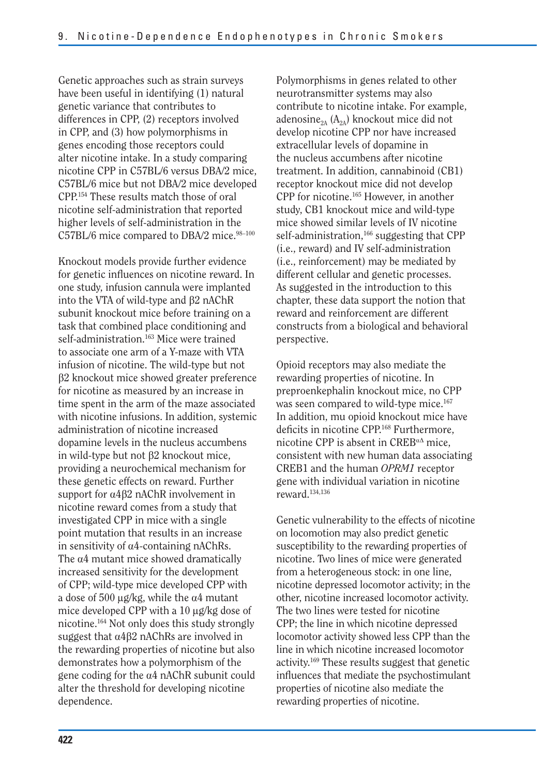Genetic approaches such as strain surveys have been useful in identifying (1) natural genetic variance that contributes to differences in CPP, (2) receptors involved in CPP, and (3) how polymorphisms in genes encoding those receptors could alter nicotine intake. In a study comparing nicotine CPP in C57BL/6 versus DBA/2 mice, C57BL/6 mice but not DBA/2 mice developed CPP.154 These results match those of oral nicotine self-administration that reported higher levels of self-administration in the C57BL/6 mice compared to DBA/2 mice.<sup>98-100</sup>

Knockout models provide further evidence for genetic influences on nicotine reward. In one study, infusion cannula were implanted into the VTA of wild-type and  $\beta$ 2 nAChR subunit knockout mice before training on a task that combined place conditioning and self-administration.<sup>163</sup> Mice were trained to associate one arm of a Y-maze with VTA infusion of nicotine. The wild-type but not β2 knockout mice showed greater preference for nicotine as measured by an increase in time spent in the arm of the maze associated with nicotine infusions. In addition, systemic administration of nicotine increased dopamine levels in the nucleus accumbens in wild-type but not  $\beta$ 2 knockout mice, providing a neurochemical mechanism for these genetic effects on reward. Further support for  $\alpha$ 4 $\beta$ 2 nAChR involvement in nicotine reward comes from a study that investigated CPP in mice with a single point mutation that results in an increase in sensitivity of  $\alpha$ 4-containing nAChRs. The  $\alpha$ 4 mutant mice showed dramatically increased sensitivity for the development of CPP; wild-type mice developed CPP with a dose of 500  $\mu$ g/kg, while the  $\alpha$ 4 mutant mice developed CPP with a  $10 \mu g/kg$  dose of nicotine.164 Not only does this study strongly suggest that  $\alpha$ 4 $\beta$ 2 nAChRs are involved in the rewarding properties of nicotine but also demonstrates how a polymorphism of the gene coding for the  $\alpha$ 4 nAChR subunit could alter the threshold for developing nicotine dependence.

Polymorphisms in genes related to other neurotransmitter systems may also contribute to nicotine intake. For example, adenosine<sub>2A</sub> ( $A_{2A}$ ) knockout mice did not develop nicotine CPP nor have increased extracellular levels of dopamine in the nucleus accumbens after nicotine treatment. In addition, cannabinoid (CB1) receptor knockout mice did not develop CPP for nicotine.165 However, in another study, CB1 knockout mice and wild-type mice showed similar levels of IV nicotine self-administration,<sup>166</sup> suggesting that CPP (i.e., reward) and IV self-administration (i.e., reinforcement) may be mediated by different cellular and genetic processes. As suggested in the introduction to this chapter, these data support the notion that reward and reinforcement are different constructs from a biological and behavioral perspective.

Opioid receptors may also mediate the rewarding properties of nicotine. In preproenkephalin knockout mice, no CPP was seen compared to wild-type mice.<sup>167</sup> In addition, mu opioid knockout mice have deficits in nicotine CPP.168 Furthermore, nicotine CPP is absent in  $CREB<sup>\alpha\Delta</sup>$  mice. consistent with new human data associating CREB1 and the human *OPRM1* receptor gene with individual variation in nicotine reward.134,136

Genetic vulnerability to the effects of nicotine on locomotion may also predict genetic susceptibility to the rewarding properties of nicotine. Two lines of mice were generated from a heterogeneous stock: in one line, nicotine depressed locomotor activity; in the other, nicotine increased locomotor activity. The two lines were tested for nicotine CPP; the line in which nicotine depressed locomotor activity showed less CPP than the line in which nicotine increased locomotor activity.169 These results suggest that genetic influences that mediate the psychostimulant properties of nicotine also mediate the rewarding properties of nicotine.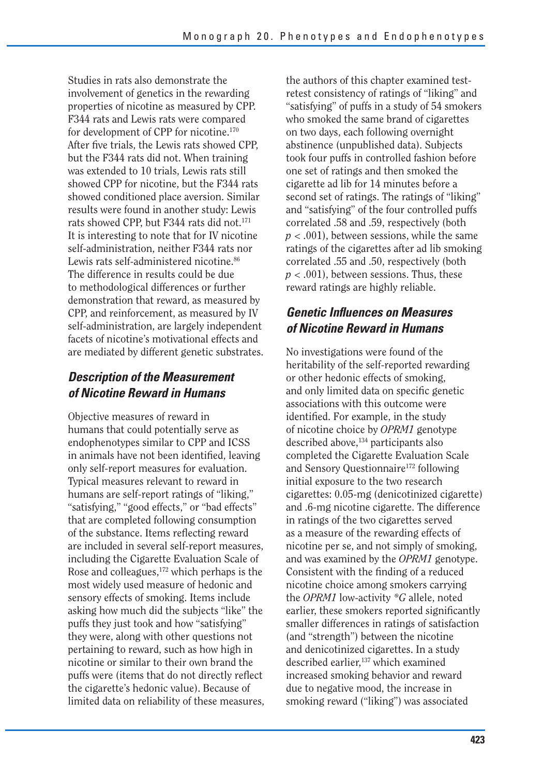Studies in rats also demonstrate the involvement of genetics in the rewarding properties of nicotine as measured by CPP. F344 rats and Lewis rats were compared for development of CPP for nicotine.170 After five trials, the Lewis rats showed CPP, but the F344 rats did not. When training was extended to 10 trials, Lewis rats still showed CPP for nicotine, but the F344 rats showed conditioned place aversion. Similar results were found in another study: Lewis rats showed CPP, but F344 rats did not.<sup>171</sup> It is interesting to note that for IV nicotine self-administration, neither F344 rats nor Lewis rats self-administered nicotine.<sup>86</sup> The difference in results could be due to methodological differences or further demonstration that reward, as measured by CPP, and reinforcement, as measured by IV self-administration, are largely independent facets of nicotine's motivational effects and are mediated by different genetic substrates.

## *Description of the Measurement of Nicotine Reward in Humans*

Objective measures of reward in humans that could potentially serve as endophenotypes similar to CPP and ICSS in animals have not been identified, leaving only self-report measures for evaluation. Typical measures relevant to reward in humans are self-report ratings of "liking," "satisfying," "good effects," or "bad effects" that are completed following consumption of the substance. Items reflecting reward are included in several self-report measures, including the Cigarette Evaluation Scale of Rose and colleagues,<sup>172</sup> which perhaps is the most widely used measure of hedonic and sensory effects of smoking. Items include asking how much did the subjects "like" the puffs they just took and how "satisfying" they were, along with other questions not pertaining to reward, such as how high in nicotine or similar to their own brand the puffs were (items that do not directly reflect the cigarette's hedonic value). Because of limited data on reliability of these measures,

the authors of this chapter examined testretest consistency of ratings of "liking" and "satisfying" of puffs in a study of 54 smokers who smoked the same brand of cigarettes on two days, each following overnight abstinence (unpublished data). Subjects took four puffs in controlled fashion before one set of ratings and then smoked the cigarette ad lib for 14 minutes before a second set of ratings. The ratings of "liking" and "satisfying" of the four controlled puffs correlated .58 and .59, respectively (both *p* < .001), between sessions, while the same ratings of the cigarettes after ad lib smoking correlated .55 and .50, respectively (both  $p < .001$ ), between sessions. Thus, these reward ratings are highly reliable.

## *Genetic Influences on Measures of Nicotine Reward in Humans*

No investigations were found of the heritability of the self-reported rewarding or other hedonic effects of smoking, and only limited data on specific genetic associations with this outcome were identified. For example, in the study of nicotine choice by *OPRM1* genotype described above,<sup>134</sup> participants also completed the Cigarette Evaluation Scale and Sensory Questionnaire172 following initial exposure to the two research cigarettes: 0.05-mg (denicotinized cigarette) and .6-mg nicotine cigarette. The difference in ratings of the two cigarettes served as a measure of the rewarding effects of nicotine per se, and not simply of smoking, and was examined by the *OPRM1* genotype. Consistent with the finding of a reduced nicotine choice among smokers carrying the *OPRM1* low-activity *\*G* allele, noted earlier, these smokers reported significantly smaller differences in ratings of satisfaction (and "strength") between the nicotine and denicotinized cigarettes. In a study described earlier,<sup>137</sup> which examined increased smoking behavior and reward due to negative mood, the increase in smoking reward ("liking") was associated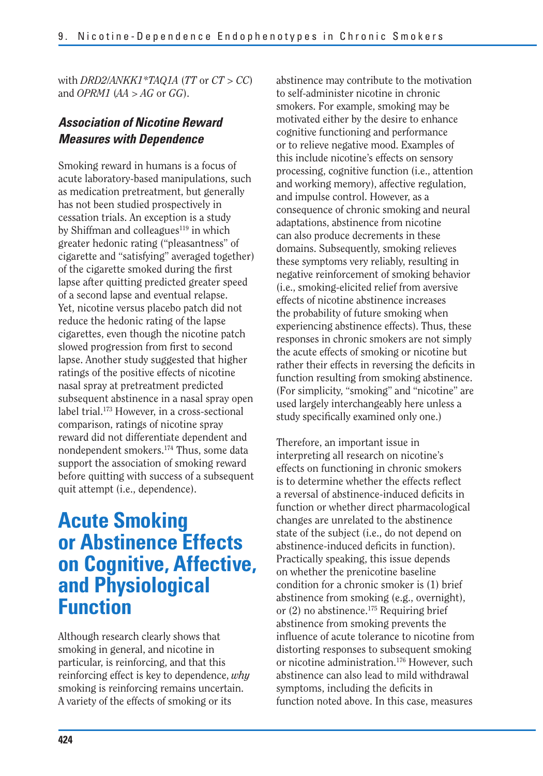with *DRD2/ANKK1\*TAQ1A* (*TT* or *CT* > *CC*) and *OPRM1* (*AA* > *AG* or *GG*).

## *Association of Nicotine Reward Measures with Dependence*

Smoking reward in humans is a focus of acute laboratory-based manipulations, such as medication pretreatment, but generally has not been studied prospectively in cessation trials. An exception is a study by Shiffman and colleagues $119$  in which greater hedonic rating ("pleasantness" of cigarette and "satisfying" averaged together) of the cigarette smoked during the first lapse after quitting predicted greater speed of a second lapse and eventual relapse. Yet, nicotine versus placebo patch did not reduce the hedonic rating of the lapse cigarettes, even though the nicotine patch slowed progression from first to second lapse. Another study suggested that higher ratings of the positive effects of nicotine nasal spray at pretreatment predicted subsequent abstinence in a nasal spray open label trial.<sup>173</sup> However, in a cross-sectional comparison, ratings of nicotine spray reward did not differentiate dependent and nondependent smokers.174 Thus, some data support the association of smoking reward before quitting with success of a subsequent quit attempt (i.e., dependence).

# **Acute Smoking or Abstinence Effects on Cognitive, Affective, and Physiological Function**

Although research clearly shows that smoking in general, and nicotine in particular, is reinforcing, and that this reinforcing effect is key to dependence, *why*  smoking is reinforcing remains uncertain. A variety of the effects of smoking or its

abstinence may contribute to the motivation to self-administer nicotine in chronic smokers. For example, smoking may be motivated either by the desire to enhance cognitive functioning and performance or to relieve negative mood. Examples of this include nicotine's effects on sensory processing, cognitive function (i.e., attention and working memory), affective regulation, and impulse control. However, as a consequence of chronic smoking and neural adaptations, abstinence from nicotine can also produce decrements in these domains. Subsequently, smoking relieves these symptoms very reliably, resulting in negative reinforcement of smoking behavior (i.e., smoking-elicited relief from aversive effects of nicotine abstinence increases the probability of future smoking when experiencing abstinence effects). Thus, these responses in chronic smokers are not simply the acute effects of smoking or nicotine but rather their effects in reversing the deficits in function resulting from smoking abstinence. (For simplicity, "smoking" and "nicotine" are used largely interchangeably here unless a study specifically examined only one.)

Therefore, an important issue in interpreting all research on nicotine's effects on functioning in chronic smokers is to determine whether the effects reflect a reversal of abstinence-induced deficits in function or whether direct pharmacological changes are unrelated to the abstinence state of the subject (i.e., do not depend on abstinence-induced deficits in function). Practically speaking, this issue depends on whether the prenicotine baseline condition for a chronic smoker is (1) brief abstinence from smoking (e.g., overnight), or (2) no abstinence.<sup>175</sup> Requiring brief abstinence from smoking prevents the influence of acute tolerance to nicotine from distorting responses to subsequent smoking or nicotine administration.<sup>176</sup> However, such abstinence can also lead to mild withdrawal symptoms, including the deficits in function noted above. In this case, measures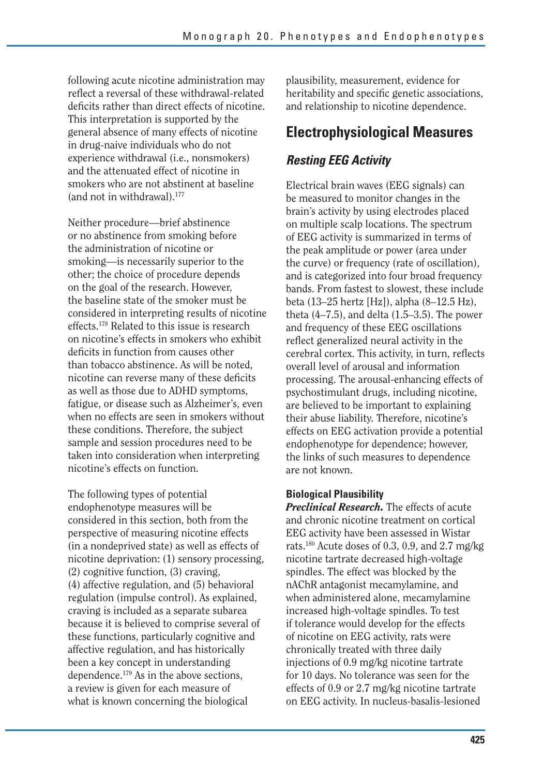following acute nicotine administration may reflect a reversal of these withdrawal-related deficits rather than direct effects of nicotine. This interpretation is supported by the general absence of many effects of nicotine in drug-naive individuals who do not experience withdrawal (i.e., nonsmokers) and the attenuated effect of nicotine in smokers who are not abstinent at baseline (and not in withdrawal).177

Neither procedure—brief abstinence or no abstinence from smoking before the administration of nicotine or smoking—is necessarily superior to the other; the choice of procedure depends on the goal of the research. However, the baseline state of the smoker must be considered in interpreting results of nicotine effects.178 Related to this issue is research on nicotine's effects in smokers who exhibit deficits in function from causes other than tobacco abstinence. As will be noted, nicotine can reverse many of these deficits as well as those due to ADHD symptoms, fatigue, or disease such as Alzheimer's, even when no effects are seen in smokers without these conditions. Therefore, the subject sample and session procedures need to be taken into consideration when interpreting nicotine's effects on function.

The following types of potential endophenotype measures will be considered in this section, both from the perspective of measuring nicotine effects (in a nondeprived state) as well as effects of nicotine deprivation: (1) sensory processing, (2) cognitive function, (3) craving, (4) affective regulation, and (5) behavioral regulation (impulse control). As explained, craving is included as a separate subarea because it is believed to comprise several of these functions, particularly cognitive and affective regulation, and has historically been a key concept in understanding dependence.179 As in the above sections, a review is given for each measure of what is known concerning the biological

plausibility, measurement, evidence for heritability and specific genetic associations, and relationship to nicotine dependence.

## **Electrophysiological Measures**

## *Resting EEG Activity*

Electrical brain waves (EEG signals) can be measured to monitor changes in the brain's activity by using electrodes placed on multiple scalp locations. The spectrum of EEG activity is summarized in terms of the peak amplitude or power (area under the curve) or frequency (rate of oscillation), and is categorized into four broad frequency bands. From fastest to slowest, these include beta (13–25 hertz [Hz]), alpha (8–12.5 Hz), theta  $(4-7.5)$ , and delta  $(1.5-3.5)$ . The power and frequency of these EEG oscillations reflect generalized neural activity in the cerebral cortex. This activity, in turn, reflects overall level of arousal and information processing. The arousal-enhancing effects of psychostimulant drugs, including nicotine, are believed to be important to explaining their abuse liability. Therefore, nicotine's effects on EEG activation provide a potential endophenotype for dependence; however, the links of such measures to dependence are not known.

#### **Biological Plausibility**

*Preclinical Research.* The effects of acute and chronic nicotine treatment on cortical EEG activity have been assessed in Wistar rats.180 Acute doses of 0.3, 0.9, and 2.7 mg/kg nicotine tartrate decreased high-voltage spindles. The effect was blocked by the nAChR antagonist mecamylamine, and when administered alone, mecamylamine increased high-voltage spindles. To test if tolerance would develop for the effects of nicotine on EEG activity, rats were chronically treated with three daily injections of 0.9 mg/kg nicotine tartrate for 10 days. No tolerance was seen for the effects of 0.9 or 2.7 mg/kg nicotine tartrate on EEG activity. In nucleus-basalis-lesioned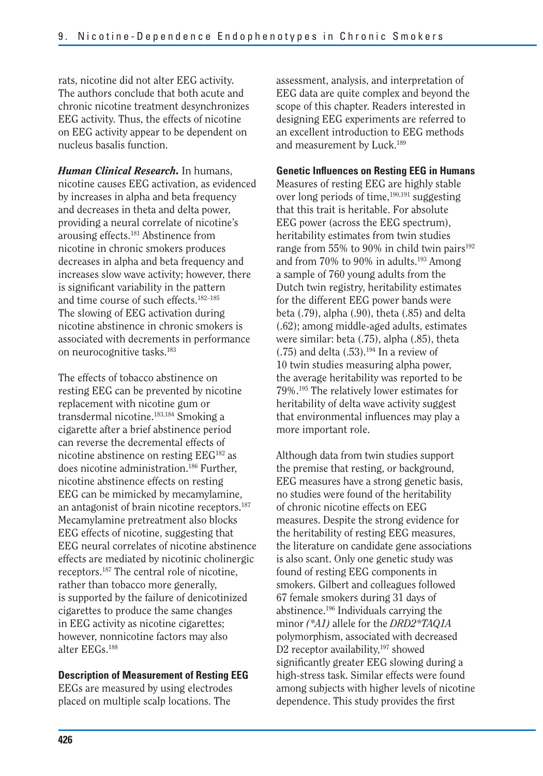rats, nicotine did not alter EEG activity. The authors conclude that both acute and chronic nicotine treatment desynchronizes EEG activity. Thus, the effects of nicotine on EEG activity appear to be dependent on nucleus basalis function.

*Human Clinical Research.* In humans, nicotine causes EEG activation, as evidenced by increases in alpha and beta frequency and decreases in theta and delta power, providing a neural correlate of nicotine's arousing effects.181 Abstinence from nicotine in chronic smokers produces decreases in alpha and beta frequency and increases slow wave activity; however, there is significant variability in the pattern and time course of such effects.182–185 The slowing of EEG activation during nicotine abstinence in chronic smokers is associated with decrements in performance on neurocognitive tasks.183

The effects of tobacco abstinence on resting EEG can be prevented by nicotine replacement with nicotine gum or transdermal nicotine.183,184 Smoking a cigarette after a brief abstinence period can reverse the decremental effects of nicotine abstinence on resting EEG182 as does nicotine administration.186 Further, nicotine abstinence effects on resting EEG can be mimicked by mecamylamine, an antagonist of brain nicotine receptors.<sup>187</sup> Mecamylamine pretreatment also blocks EEG effects of nicotine, suggesting that EEG neural correlates of nicotine abstinence effects are mediated by nicotinic cholinergic receptors.187 The central role of nicotine, rather than tobacco more generally, is supported by the failure of denicotinized cigarettes to produce the same changes in EEG activity as nicotine cigarettes; however, nonnicotine factors may also alter EEGs.188

#### **Description of Measurement of Resting EEG**

EEGs are measured by using electrodes placed on multiple scalp locations. The

assessment, analysis, and interpretation of EEG data are quite complex and beyond the scope of this chapter. Readers interested in designing EEG experiments are referred to an excellent introduction to EEG methods and measurement by Luck.189

#### **Genetic Influences on Resting EEG in Humans**

Measures of resting EEG are highly stable over long periods of time,<sup>190,191</sup> suggesting that this trait is heritable. For absolute EEG power (across the EEG spectrum), heritability estimates from twin studies range from 55% to 90% in child twin pairs $192$ and from 70% to 90% in adults.<sup>193</sup> Among a sample of 760 young adults from the Dutch twin registry, heritability estimates for the different EEG power bands were beta (.79), alpha (.90), theta (.85) and delta (.62); among middle-aged adults, estimates were similar: beta (.75), alpha (.85), theta  $(.75)$  and delta  $(.53).^{194}$  In a review of 10 twin studies measuring alpha power, the average heritability was reported to be 79%.195 The relatively lower estimates for heritability of delta wave activity suggest that environmental influences may play a more important role.

Although data from twin studies support the premise that resting, or background, EEG measures have a strong genetic basis, no studies were found of the heritability of chronic nicotine effects on EEG measures. Despite the strong evidence for the heritability of resting EEG measures, the literature on candidate gene associations is also scant. Only one genetic study was found of resting EEG components in smokers. Gilbert and colleagues followed 67 female smokers during 31 days of abstinence.196 Individuals carrying the minor *(\*A1)* allele for the *DRD2\*TAQ1A*  polymorphism, associated with decreased D2 receptor availability,<sup>197</sup> showed significantly greater EEG slowing during a high-stress task. Similar effects were found among subjects with higher levels of nicotine dependence. This study provides the first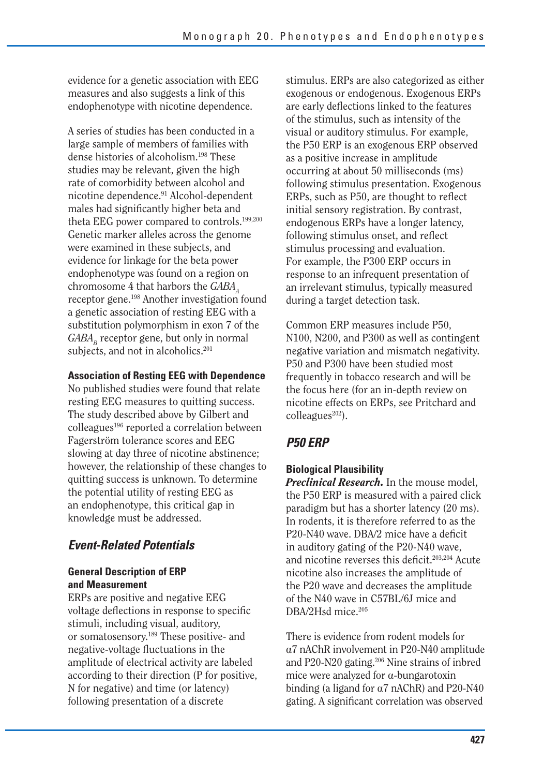evidence for a genetic association with EEG measures and also suggests a link of this endophenotype with nicotine dependence.

A series of studies has been conducted in a large sample of members of families with dense histories of alcoholism.198 These studies may be relevant, given the high rate of comorbidity between alcohol and nicotine dependence.91 Alcohol-dependent males had significantly higher beta and theta EEG power compared to controls.199,200 Genetic marker alleles across the genome were examined in these subjects, and evidence for linkage for the beta power endophenotype was found on a region on chromosome 4 that harbors the *GABAA*  receptor gene.198 Another investigation found a genetic association of resting EEG with a substitution polymorphism in exon 7 of the  $GABA<sub>n</sub>$  receptor gene, but only in normal subjects, and not in alcoholics.<sup>201</sup>

#### **Association of Resting EEG with Dependence**

No published studies were found that relate resting EEG measures to quitting success. The study described above by Gilbert and colleagues<sup>196</sup> reported a correlation between Fagerström tolerance scores and EEG slowing at day three of nicotine abstinence; however, the relationship of these changes to quitting success is unknown. To determine the potential utility of resting EEG as an endophenotype, this critical gap in knowledge must be addressed.

## *Event-Related Potentials*

#### **General Description of ERP and Measurement**

ERPs are positive and negative EEG voltage deflections in response to specific stimuli, including visual, auditory, or somatosensory.189 These positive- and negative-voltage fluctuations in the amplitude of electrical activity are labeled according to their direction (P for positive, N for negative) and time (or latency) following presentation of a discrete

stimulus. ERPs are also categorized as either exogenous or endogenous. Exogenous ERPs are early deflections linked to the features of the stimulus, such as intensity of the visual or auditory stimulus. For example, the P50 ERP is an exogenous ERP observed as a positive increase in amplitude occurring at about 50 milliseconds (ms) following stimulus presentation. Exogenous ERPs, such as P50, are thought to reflect initial sensory registration. By contrast, endogenous ERPs have a longer latency, following stimulus onset, and reflect stimulus processing and evaluation. For example, the P300 ERP occurs in response to an infrequent presentation of an irrelevant stimulus, typically measured during a target detection task.

Common ERP measures include P50, N100, N200, and P300 as well as contingent negative variation and mismatch negativity. P50 and P300 have been studied most frequently in tobacco research and will be the focus here (for an in-depth review on nicotine effects on ERPs, see Pritchard and colleagues<sup>202</sup>).

## *P50 ERP*

#### **Biological Plausibility**

*Preclinical Research.* In the mouse model, the P50 ERP is measured with a paired click paradigm but has a shorter latency (20 ms). In rodents, it is therefore referred to as the P20-N40 wave. DBA/2 mice have a deficit in auditory gating of the P20-N40 wave, and nicotine reverses this deficit.<sup>203,204</sup> Acute nicotine also increases the amplitude of the P20 wave and decreases the amplitude of the N40 wave in C57BL/6J mice and DBA/2Hsd mice.<sup>205</sup>

There is evidence from rodent models for a7 nAChR involvement in P20-N40 amplitude and P20-N20 gating.<sup>206</sup> Nine strains of inbred mice were analyzed for  $\alpha$ -bungarotoxin binding (a ligand for  $\alpha$ 7 nAChR) and P20-N40 gating. A significant correlation was observed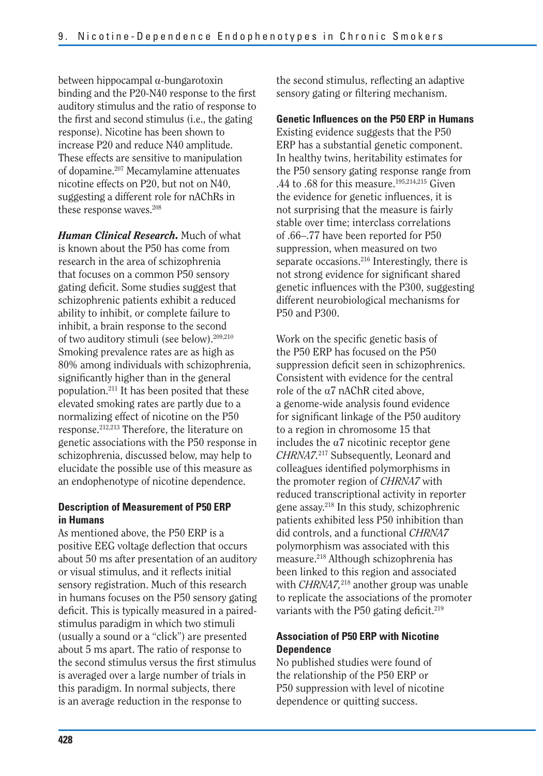between hippocampal  $\alpha$ -bungarotoxin binding and the P20-N40 response to the first auditory stimulus and the ratio of response to the first and second stimulus (i.e., the gating response). Nicotine has been shown to increase P20 and reduce N40 amplitude. These effects are sensitive to manipulation of dopamine.207 Mecamylamine attenuates nicotine effects on P20, but not on N40, suggesting a different role for nAChRs in these response waves.<sup>208</sup>

*Human Clinical Research.* Much of what is known about the P50 has come from research in the area of schizophrenia that focuses on a common P50 sensory gating deficit. Some studies suggest that schizophrenic patients exhibit a reduced ability to inhibit, or complete failure to inhibit, a brain response to the second of two auditory stimuli (see below).209,210 Smoking prevalence rates are as high as 80% among individuals with schizophrenia, significantly higher than in the general population.211 It has been posited that these elevated smoking rates are partly due to a normalizing effect of nicotine on the P50 response.212,213 Therefore, the literature on genetic associations with the P50 response in schizophrenia, discussed below, may help to elucidate the possible use of this measure as an endophenotype of nicotine dependence.

#### **Description of Measurement of P50 ERP in Humans**

As mentioned above, the P50 ERP is a positive EEG voltage deflection that occurs about 50 ms after presentation of an auditory or visual stimulus, and it reflects initial sensory registration. Much of this research in humans focuses on the P50 sensory gating deficit. This is typically measured in a pairedstimulus paradigm in which two stimuli (usually a sound or a "click") are presented about 5 ms apart. The ratio of response to the second stimulus versus the first stimulus is averaged over a large number of trials in this paradigm. In normal subjects, there is an average reduction in the response to

the second stimulus, reflecting an adaptive sensory gating or filtering mechanism.

**Genetic Influences on the P50 ERP in Humans**  Existing evidence suggests that the P50 ERP has a substantial genetic component. In healthy twins, heritability estimates for the P50 sensory gating response range from .44 to .68 for this measure.195,214,215 Given the evidence for genetic influences, it is not surprising that the measure is fairly stable over time; interclass correlations of .66–.77 have been reported for P50 suppression, when measured on two separate occasions.216 Interestingly, there is not strong evidence for significant shared genetic influences with the P300, suggesting different neurobiological mechanisms for P50 and P300.

Work on the specific genetic basis of the P50 ERP has focused on the P50 suppression deficit seen in schizophrenics. Consistent with evidence for the central role of the a7 nAChR cited above, a genome-wide analysis found evidence for significant linkage of the P50 auditory to a region in chromosome 15 that includes the  $\alpha$ 7 nicotinic receptor gene *CHRNA7.*217 Subsequently, Leonard and colleagues identified polymorphisms in the promoter region of *CHRNA7* with reduced transcriptional activity in reporter gene assay.218 In this study, schizophrenic patients exhibited less P50 inhibition than did controls, and a functional *CHRNA7*  polymorphism was associated with this measure.218 Although schizophrenia has been linked to this region and associated with *CHRNA7,*218 another group was unable to replicate the associations of the promoter variants with the P50 gating deficit.<sup>219</sup>

#### **Association of P50 ERP with Nicotine Dependence**

No published studies were found of the relationship of the P50 ERP or P50 suppression with level of nicotine dependence or quitting success.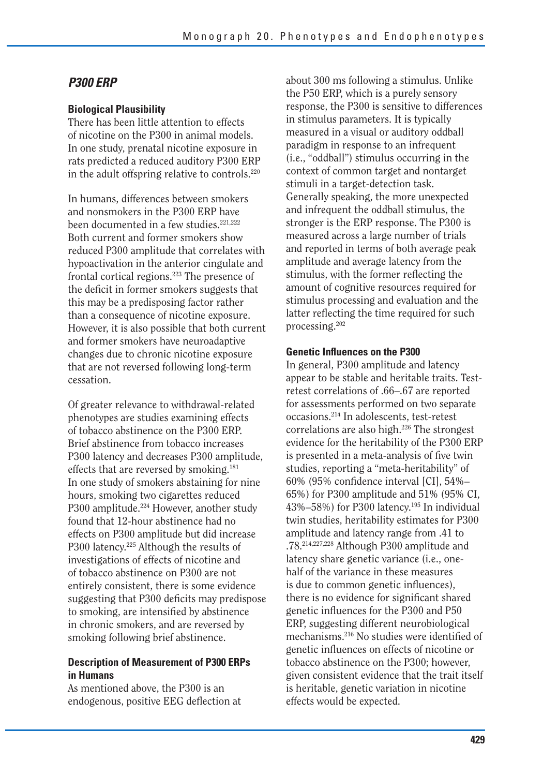### *P300 ERP*

#### **Biological Plausibility**

There has been little attention to effects of nicotine on the P300 in animal models. In one study, prenatal nicotine exposure in rats predicted a reduced auditory P300 ERP in the adult offspring relative to controls.220

In humans, differences between smokers and nonsmokers in the P300 ERP have been documented in a few studies.<sup>221,222</sup> Both current and former smokers show reduced P300 amplitude that correlates with hypoactivation in the anterior cingulate and frontal cortical regions.223 The presence of the deficit in former smokers suggests that this may be a predisposing factor rather than a consequence of nicotine exposure. However, it is also possible that both current and former smokers have neuroadaptive changes due to chronic nicotine exposure that are not reversed following long-term cessation.

Of greater relevance to withdrawal-related phenotypes are studies examining effects of tobacco abstinence on the P300 ERP. Brief abstinence from tobacco increases P300 latency and decreases P300 amplitude, effects that are reversed by smoking.181 In one study of smokers abstaining for nine hours, smoking two cigarettes reduced P300 amplitude.<sup>224</sup> However, another study found that 12-hour abstinence had no effects on P300 amplitude but did increase P300 latency.225 Although the results of investigations of effects of nicotine and of tobacco abstinence on P300 are not entirely consistent, there is some evidence suggesting that P300 deficits may predispose to smoking, are intensified by abstinence in chronic smokers, and are reversed by smoking following brief abstinence.

#### **Description of Measurement of P300 ERPs in Humans**

As mentioned above, the P300 is an endogenous, positive EEG deflection at about 300 ms following a stimulus. Unlike the P50 ERP, which is a purely sensory response, the P300 is sensitive to differences in stimulus parameters. It is typically measured in a visual or auditory oddball paradigm in response to an infrequent (i.e., "oddball") stimulus occurring in the context of common target and nontarget stimuli in a target-detection task. Generally speaking, the more unexpected and infrequent the oddball stimulus, the stronger is the ERP response. The P300 is measured across a large number of trials and reported in terms of both average peak amplitude and average latency from the stimulus, with the former reflecting the amount of cognitive resources required for stimulus processing and evaluation and the latter reflecting the time required for such processing.202

#### **Genetic Influences on the P300**

In general, P300 amplitude and latency appear to be stable and heritable traits. Testretest correlations of .66–.67 are reported for assessments performed on two separate occasions.214 In adolescents, test-retest correlations are also high.226 The strongest evidence for the heritability of the P300 ERP is presented in a meta-analysis of five twin studies, reporting a "meta-heritability" of 60% (95% confidence interval [CI], 54%– 65%) for P300 amplitude and 51% (95% CI, 43%–58%) for P300 latency.195 In individual twin studies, heritability estimates for P300 amplitude and latency range from .41 to .78.214,227,228 Although P300 amplitude and latency share genetic variance (i.e., onehalf of the variance in these measures is due to common genetic influences), there is no evidence for significant shared genetic influences for the P300 and P50 ERP, suggesting different neurobiological mechanisms.<sup>216</sup> No studies were identified of genetic influences on effects of nicotine or tobacco abstinence on the P300; however, given consistent evidence that the trait itself is heritable, genetic variation in nicotine effects would be expected.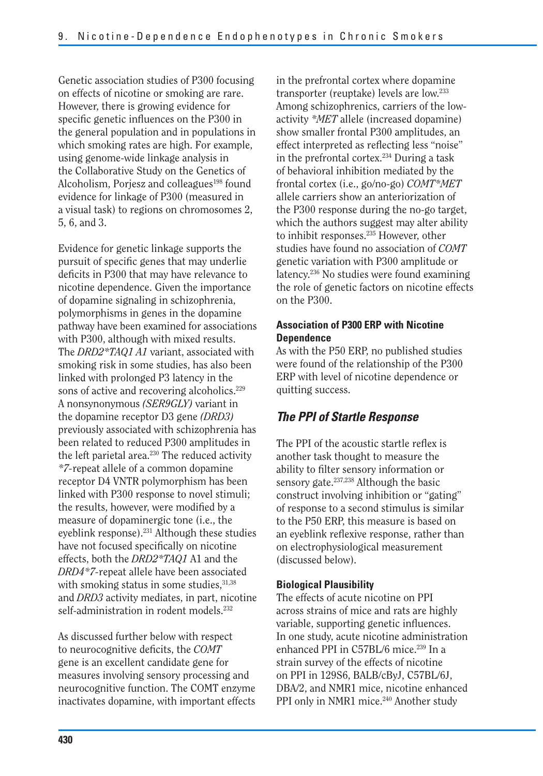Genetic association studies of P300 focusing on effects of nicotine or smoking are rare. However, there is growing evidence for specific genetic influences on the P300 in the general population and in populations in which smoking rates are high. For example, using genome-wide linkage analysis in the Collaborative Study on the Genetics of Alcoholism, Porjesz and colleagues<sup>198</sup> found evidence for linkage of P300 (measured in a visual task) to regions on chromosomes 2, 5, 6, and 3.

Evidence for genetic linkage supports the pursuit of specific genes that may underlie deficits in P300 that may have relevance to nicotine dependence. Given the importance of dopamine signaling in schizophrenia, polymorphisms in genes in the dopamine pathway have been examined for associations with P300, although with mixed results. The *DRD2\*TAQ1 A1* variant, associated with smoking risk in some studies, has also been linked with prolonged P3 latency in the sons of active and recovering alcoholics.<sup>229</sup> A nonsynonymous *(SER9GLY)* variant in the dopamine receptor D3 gene *(DRD3)*  previously associated with schizophrenia has been related to reduced P300 amplitudes in the left parietal area.<sup>230</sup> The reduced activity *\*7-*repeat allele of a common dopamine receptor D4 VNTR polymorphism has been linked with P300 response to novel stimuli; the results, however, were modified by a measure of dopaminergic tone (i.e., the eyeblink response).<sup>231</sup> Although these studies have not focused specifically on nicotine effects, both the *DRD2\*TAQ1* A1 and the *DRD4\*7-*repeat allele have been associated with smoking status in some studies,  $31,38$ and *DRD3* activity mediates, in part, nicotine self-administration in rodent models.<sup>232</sup>

As discussed further below with respect to neurocognitive deficits, the *COMT* gene is an excellent candidate gene for measures involving sensory processing and neurocognitive function. The COMT enzyme inactivates dopamine, with important effects

in the prefrontal cortex where dopamine transporter (reuptake) levels are low.233 Among schizophrenics, carriers of the lowactivity *\*MET* allele (increased dopamine) show smaller frontal P300 amplitudes, an effect interpreted as reflecting less "noise" in the prefrontal cortex.234 During a task of behavioral inhibition mediated by the frontal cortex (i.e., go/no-go) *COMT\*MET*  allele carriers show an anteriorization of the P300 response during the no-go target, which the authors suggest may alter ability to inhibit responses.<sup>235</sup> However, other studies have found no association of *COMT*  genetic variation with P300 amplitude or latency.236 No studies were found examining the role of genetic factors on nicotine effects on the P300.

#### **Association of P300 ERP with Nicotine Dependence**

As with the P50 ERP, no published studies were found of the relationship of the P300 ERP with level of nicotine dependence or quitting success.

## *The PPI of Startle Response*

The PPI of the acoustic startle reflex is another task thought to measure the ability to filter sensory information or sensory gate.237,238 Although the basic construct involving inhibition or "gating" of response to a second stimulus is similar to the P50 ERP, this measure is based on an eyeblink reflexive response, rather than on electrophysiological measurement (discussed below).

#### **Biological Plausibility**

The effects of acute nicotine on PPI across strains of mice and rats are highly variable, supporting genetic influences. In one study, acute nicotine administration enhanced PPI in C57BL/6 mice.<sup>239</sup> In a strain survey of the effects of nicotine on PPI in 129S6, BALB/cByJ, C57BL/6J, DBA/2, and NMR1 mice, nicotine enhanced PPI only in NMR1 mice.<sup>240</sup> Another study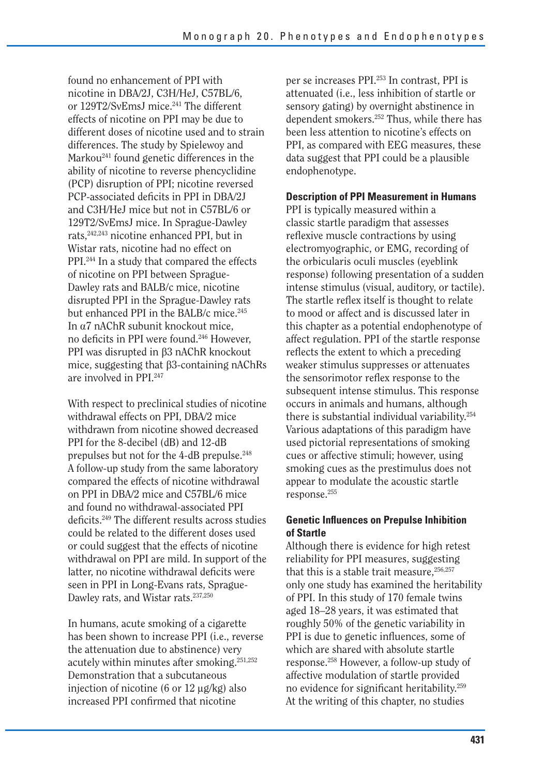found no enhancement of PPI with nicotine in DBA/2J, C3H/HeJ, C57BL/6, or 129T2/SvEmsJ mice.<sup>241</sup> The different effects of nicotine on PPI may be due to different doses of nicotine used and to strain differences. The study by Spielewoy and Markou<sup>241</sup> found genetic differences in the ability of nicotine to reverse phencyclidine (PCP) disruption of PPI; nicotine reversed PCP-associated deficits in PPI in DBA/2J and C3H/HeJ mice but not in C57BL/6 or 129T2/SvEmsJ mice. In Sprague-Dawley rats,242,243 nicotine enhanced PPI, but in Wistar rats, nicotine had no effect on PPI.244 In a study that compared the effects of nicotine on PPI between Sprague-Dawley rats and BALB/c mice, nicotine disrupted PPI in the Sprague-Dawley rats but enhanced PPI in the BALB/c mice.<sup>245</sup> In  $\alpha$ 7 nAChR subunit knockout mice, no deficits in PPI were found.246 However, PPI was disrupted in  $\beta$ 3 nAChR knockout mice, suggesting that  $\beta$ 3-containing nAChRs are involved in PPI.247

With respect to preclinical studies of nicotine withdrawal effects on PPI, DBA/2 mice withdrawn from nicotine showed decreased PPI for the 8-decibel (dB) and 12-dB prepulses but not for the 4-dB prepulse.<sup>248</sup> A follow-up study from the same laboratory compared the effects of nicotine withdrawal on PPI in DBA/2 mice and C57BL/6 mice and found no withdrawal-associated PPI deficits.<sup>249</sup> The different results across studies could be related to the different doses used or could suggest that the effects of nicotine withdrawal on PPI are mild. In support of the latter, no nicotine withdrawal deficits were seen in PPI in Long-Evans rats, Sprague-Dawley rats, and Wistar rats.237,250

In humans, acute smoking of a cigarette has been shown to increase PPI (i.e., reverse the attenuation due to abstinence) very acutely within minutes after smoking.251,252 Demonstration that a subcutaneous injection of nicotine (6 or  $12 \mu g/kg$ ) also increased PPI confirmed that nicotine

per se increases PPI.253 In contrast, PPI is attenuated (i.e., less inhibition of startle or sensory gating) by overnight abstinence in dependent smokers.252 Thus, while there has been less attention to nicotine's effects on PPI, as compared with EEG measures, these data suggest that PPI could be a plausible endophenotype.

#### **Description of PPI Measurement in Humans**

PPI is typically measured within a classic startle paradigm that assesses reflexive muscle contractions by using electromyographic, or EMG, recording of the orbicularis oculi muscles (eyeblink response) following presentation of a sudden intense stimulus (visual, auditory, or tactile). The startle reflex itself is thought to relate to mood or affect and is discussed later in this chapter as a potential endophenotype of affect regulation. PPI of the startle response reflects the extent to which a preceding weaker stimulus suppresses or attenuates the sensorimotor reflex response to the subsequent intense stimulus. This response occurs in animals and humans, although there is substantial individual variability.254 Various adaptations of this paradigm have used pictorial representations of smoking cues or affective stimuli; however, using smoking cues as the prestimulus does not appear to modulate the acoustic startle response.255

#### **Genetic Influences on Prepulse Inhibition of Startle**

Although there is evidence for high retest reliability for PPI measures, suggesting that this is a stable trait measure,  $256,257$ only one study has examined the heritability of PPI. In this study of 170 female twins aged 18–28 years, it was estimated that roughly 50% of the genetic variability in PPI is due to genetic influences, some of which are shared with absolute startle response.258 However, a follow-up study of affective modulation of startle provided no evidence for significant heritability.<sup>259</sup> At the writing of this chapter, no studies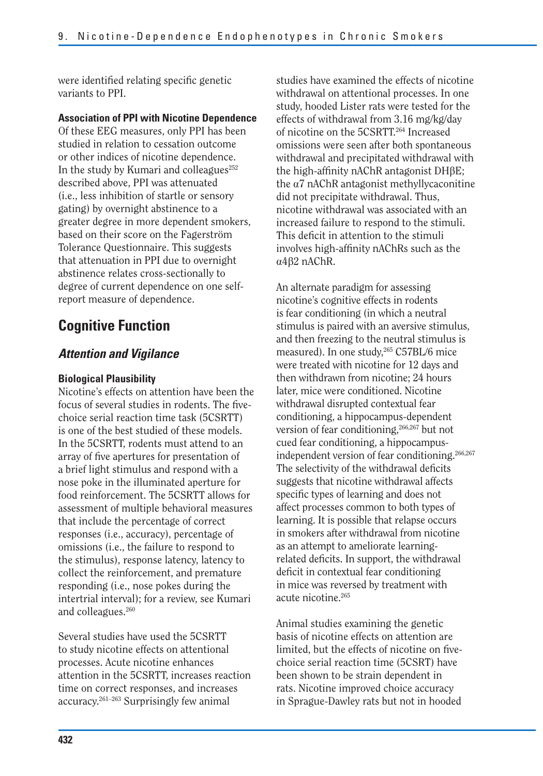were identified relating specific genetic variants to PPI.

#### **Association of PPI with Nicotine Dependence**

Of these EEG measures, only PPI has been studied in relation to cessation outcome or other indices of nicotine dependence. In the study by Kumari and colleagues $^{252}$ described above, PPI was attenuated (i.e., less inhibition of startle or sensory gating) by overnight abstinence to a greater degree in more dependent smokers, based on their score on the Fagerström Tolerance Questionnaire. This suggests that attenuation in PPI due to overnight abstinence relates cross-sectionally to degree of current dependence on one selfreport measure of dependence.

## **Cognitive Function**

#### *Attention and Vigilance*

#### **Biological Plausibility**

Nicotine's effects on attention have been the focus of several studies in rodents. The fivechoice serial reaction time task (5CSRTT) is one of the best studied of these models. In the 5CSRTT, rodents must attend to an array of five apertures for presentation of a brief light stimulus and respond with a nose poke in the illuminated aperture for food reinforcement. The 5CSRTT allows for assessment of multiple behavioral measures that include the percentage of correct responses (i.e., accuracy), percentage of omissions (i.e., the failure to respond to the stimulus), response latency, latency to collect the reinforcement, and premature responding (i.e., nose pokes during the intertrial interval); for a review, see Kumari and colleagues.<sup>260</sup>

Several studies have used the 5CSRTT to study nicotine effects on attentional processes. Acute nicotine enhances attention in the 5CSRTT, increases reaction time on correct responses, and increases accuracy.261–263 Surprisingly few animal

studies have examined the effects of nicotine withdrawal on attentional processes. In one study, hooded Lister rats were tested for the effects of withdrawal from 3.16 mg/kg/day of nicotine on the 5CSRTT.264 Increased omissions were seen after both spontaneous withdrawal and precipitated withdrawal with the high-affinity nAChR antagonist  $DH\beta E$ ; the  $\alpha$ 7 nAChR antagonist methyllycaconitine did not precipitate withdrawal. Thus, nicotine withdrawal was associated with an increased failure to respond to the stimuli. This deficit in attention to the stimuli involves high-affinity nAChRs such as the  $\alpha$ 4 $\beta$ 2 nAChR.

An alternate paradigm for assessing nicotine's cognitive effects in rodents is fear conditioning (in which a neutral stimulus is paired with an aversive stimulus, and then freezing to the neutral stimulus is measured). In one study,<sup>265</sup> C57BL/6 mice were treated with nicotine for 12 days and then withdrawn from nicotine; 24 hours later, mice were conditioned. Nicotine withdrawal disrupted contextual fear conditioning, a hippocampus-dependent version of fear conditioning,<sup>266,267</sup> but not cued fear conditioning, a hippocampusindependent version of fear conditioning.<sup>266,267</sup> The selectivity of the withdrawal deficits suggests that nicotine withdrawal affects specific types of learning and does not affect processes common to both types of learning. It is possible that relapse occurs in smokers after withdrawal from nicotine as an attempt to ameliorate learningrelated deficits. In support, the withdrawal deficit in contextual fear conditioning in mice was reversed by treatment with acute nicotine.265

Animal studies examining the genetic basis of nicotine effects on attention are limited, but the effects of nicotine on fivechoice serial reaction time (5CSRT) have been shown to be strain dependent in rats. Nicotine improved choice accuracy in Sprague-Dawley rats but not in hooded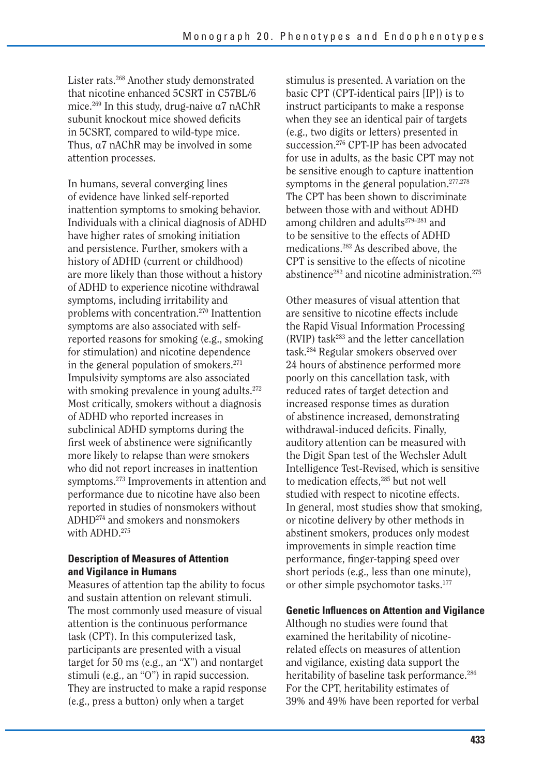Lister rats.268 Another study demonstrated that nicotine enhanced 5CSRT in C57BL/6 mice.<sup>269</sup> In this study, drug-naive  $\alpha$ 7 nAChR subunit knockout mice showed deficits in 5CSRT, compared to wild-type mice. Thus,  $\alpha$ 7 nAChR may be involved in some attention processes.

In humans, several converging lines of evidence have linked self-reported inattention symptoms to smoking behavior. Individuals with a clinical diagnosis of ADHD have higher rates of smoking initiation and persistence. Further, smokers with a history of ADHD (current or childhood) are more likely than those without a history of ADHD to experience nicotine withdrawal symptoms, including irritability and problems with concentration.270 Inattention symptoms are also associated with selfreported reasons for smoking (e.g., smoking for stimulation) and nicotine dependence in the general population of smokers.271 Impulsivity symptoms are also associated with smoking prevalence in young adults.<sup>272</sup> Most critically, smokers without a diagnosis of ADHD who reported increases in subclinical ADHD symptoms during the first week of abstinence were significantly more likely to relapse than were smokers who did not report increases in inattention symptoms.273 Improvements in attention and performance due to nicotine have also been reported in studies of nonsmokers without ADHD274 and smokers and nonsmokers with ADHD.275

#### **Description of Measures of Attention and Vigilance in Humans**

Measures of attention tap the ability to focus and sustain attention on relevant stimuli. The most commonly used measure of visual attention is the continuous performance task (CPT). In this computerized task, participants are presented with a visual target for 50 ms (e.g., an "X") and nontarget stimuli (e.g., an "O") in rapid succession. They are instructed to make a rapid response (e.g., press a button) only when a target

stimulus is presented. A variation on the basic CPT (CPT-identical pairs [IP]) is to instruct participants to make a response when they see an identical pair of targets (e.g., two digits or letters) presented in succession.276 CPT-IP has been advocated for use in adults, as the basic CPT may not be sensitive enough to capture inattention symptoms in the general population.<sup>277,278</sup> The CPT has been shown to discriminate between those with and without ADHD among children and adults<sup>279–281</sup> and to be sensitive to the effects of ADHD medications.282 As described above, the CPT is sensitive to the effects of nicotine abstinence<sup>282</sup> and nicotine administration.<sup>275</sup>

Other measures of visual attention that are sensitive to nicotine effects include the Rapid Visual Information Processing  $(RVIP)$  task<sup>283</sup> and the letter cancellation task.284 Regular smokers observed over 24 hours of abstinence performed more poorly on this cancellation task, with reduced rates of target detection and increased response times as duration of abstinence increased, demonstrating withdrawal-induced deficits. Finally, auditory attention can be measured with the Digit Span test of the Wechsler Adult Intelligence Test-Revised, which is sensitive to medication effects,<sup>285</sup> but not well studied with respect to nicotine effects. In general, most studies show that smoking, or nicotine delivery by other methods in abstinent smokers, produces only modest improvements in simple reaction time performance, finger-tapping speed over short periods (e.g., less than one minute), or other simple psychomotor tasks.<sup>177</sup>

#### **Genetic Influences on Attention and Vigilance**

Although no studies were found that examined the heritability of nicotinerelated effects on measures of attention and vigilance, existing data support the heritability of baseline task performance.<sup>286</sup> For the CPT, heritability estimates of 39% and 49% have been reported for verbal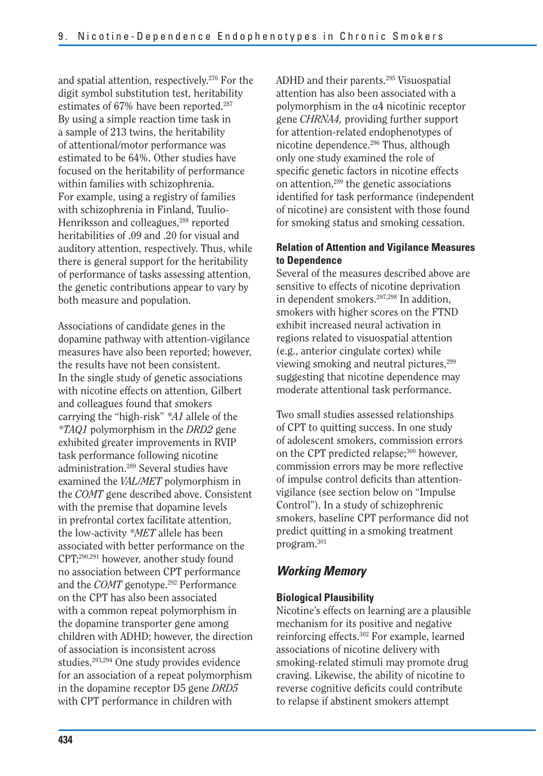and spatial attention, respectively.276 For the digit symbol substitution test, heritability estimates of 67% have been reported.<sup>287</sup> By using a simple reaction time task in a sample of 213 twins, the heritability of attentional/motor performance was estimated to be 64%. Other studies have focused on the heritability of performance within families with schizophrenia. For example, using a registry of families with schizophrenia in Finland, Tuulio-Henriksson and colleagues,<sup>288</sup> reported heritabilities of .09 and .20 for visual and auditory attention, respectively. Thus, while there is general support for the heritability of performance of tasks assessing attention, the genetic contributions appear to vary by both measure and population.

Associations of candidate genes in the dopamine pathway with attention-vigilance measures have also been reported; however, the results have not been consistent. In the single study of genetic associations with nicotine effects on attention, Gilbert and colleagues found that smokers carrying the "high-risk" *\*A1* allele of the *\*TAQ1* polymorphism in the *DRD2* gene exhibited greater improvements in RVIP task performance following nicotine administration.289 Several studies have examined the *VAL/MET* polymorphism in the *COMT* gene described above. Consistent with the premise that dopamine levels in prefrontal cortex facilitate attention, the low-activity *\*MET* allele has been associated with better performance on the CPT;290,291 however, another study found no association between CPT performance and the *COMT* genotype.<sup>292</sup> Performance on the CPT has also been associated with a common repeat polymorphism in the dopamine transporter gene among children with ADHD; however, the direction of association is inconsistent across studies.293,294 One study provides evidence for an association of a repeat polymorphism in the dopamine receptor D5 gene *DRD5*  with CPT performance in children with

ADHD and their parents.295 Visuospatial attention has also been associated with a polymorphism in the  $\alpha$ 4 nicotinic receptor gene *CHRNA4,* providing further support for attention-related endophenotypes of nicotine dependence.296 Thus, although only one study examined the role of specific genetic factors in nicotine effects on attention,289 the genetic associations identified for task performance (independent of nicotine) are consistent with those found for smoking status and smoking cessation.

#### **Relation of Attention and Vigilance Measures to Dependence**

Several of the measures described above are sensitive to effects of nicotine deprivation in dependent smokers.297,298 In addition, smokers with higher scores on the FTND exhibit increased neural activation in regions related to visuospatial attention (e.g., anterior cingulate cortex) while viewing smoking and neutral pictures,<sup>299</sup> suggesting that nicotine dependence may moderate attentional task performance.

Two small studies assessed relationships of CPT to quitting success. In one study of adolescent smokers, commission errors on the CPT predicted relapse;<sup>300</sup> however, commission errors may be more reflective of impulse control deficits than attentionvigilance (see section below on "Impulse Control"). In a study of schizophrenic smokers, baseline CPT performance did not predict quitting in a smoking treatment program.301

## *Working Memory*

#### **Biological Plausibility**

Nicotine's effects on learning are a plausible mechanism for its positive and negative reinforcing effects.302 For example, learned associations of nicotine delivery with smoking-related stimuli may promote drug craving. Likewise, the ability of nicotine to reverse cognitive deficits could contribute to relapse if abstinent smokers attempt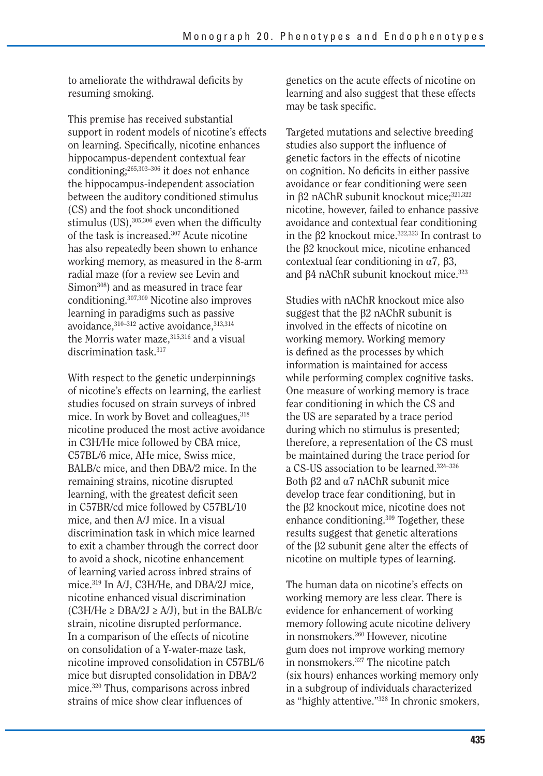to ameliorate the withdrawal deficits by resuming smoking.

This premise has received substantial support in rodent models of nicotine's effects on learning. Specifically, nicotine enhances hippocampus-dependent contextual fear conditioning;265,303–306 it does not enhance the hippocampus-independent association between the auditory conditioned stimulus (CS) and the foot shock unconditioned stimulus (US), $305,306$  even when the difficulty of the task is increased.<sup>307</sup> Acute nicotine has also repeatedly been shown to enhance working memory, as measured in the 8-arm radial maze (for a review see Levin and Simon<sup>308</sup>) and as measured in trace fear conditioning.307,309 Nicotine also improves learning in paradigms such as passive avoidance, 310-312 active avoidance, 313,314 the Morris water maze, 315,316 and a visual discrimination task.<sup>317</sup>

With respect to the genetic underpinnings of nicotine's effects on learning, the earliest studies focused on strain surveys of inbred mice. In work by Bovet and colleagues, <sup>318</sup> nicotine produced the most active avoidance in C3H/He mice followed by CBA mice, C57BL/6 mice, AHe mice, Swiss mice, BALB/c mice, and then DBA/2 mice. In the remaining strains, nicotine disrupted learning, with the greatest deficit seen in C57BR/cd mice followed by C57BL/10 mice, and then A/J mice. In a visual discrimination task in which mice learned to exit a chamber through the correct door to avoid a shock, nicotine enhancement of learning varied across inbred strains of mice.319 In A/J, C3H/He, and DBA/2J mice, nicotine enhanced visual discrimination (C3H/He  $\ge$  DBA/2J  $\ge$  A/J), but in the BALB/c strain, nicotine disrupted performance. In a comparison of the effects of nicotine on consolidation of a Y-water-maze task, nicotine improved consolidation in C57BL/6 mice but disrupted consolidation in DBA/2 mice.320 Thus, comparisons across inbred strains of mice show clear influences of

genetics on the acute effects of nicotine on learning and also suggest that these effects may be task specific.

Targeted mutations and selective breeding studies also support the influence of genetic factors in the effects of nicotine on cognition. No deficits in either passive avoidance or fear conditioning were seen in  $\beta$ 2 nAChR subunit knockout mice; $321,322$ nicotine, however, failed to enhance passive avoidance and contextual fear conditioning in the b2 knockout mice.322,323 In contrast to the b2 knockout mice, nicotine enhanced contextual fear conditioning in  $\alpha$ 7,  $\beta$ 3, and  $\beta$ 4 nAChR subunit knockout mice.<sup>323</sup>

Studies with nAChR knockout mice also suggest that the  $\beta$ 2 nAChR subunit is involved in the effects of nicotine on working memory. Working memory is defined as the processes by which information is maintained for access while performing complex cognitive tasks. One measure of working memory is trace fear conditioning in which the CS and the US are separated by a trace period during which no stimulus is presented; therefore, a representation of the CS must be maintained during the trace period for a CS-US association to be learned.324–326 Both  $\beta$ 2 and  $\alpha$ 7 nAChR subunit mice develop trace fear conditioning, but in the  $\beta$ 2 knockout mice, nicotine does not enhance conditioning.309 Together, these results suggest that genetic alterations of the  $\beta$ 2 subunit gene alter the effects of nicotine on multiple types of learning.

The human data on nicotine's effects on working memory are less clear. There is evidence for enhancement of working memory following acute nicotine delivery in nonsmokers.<sup>260</sup> However, nicotine gum does not improve working memory in nonsmokers.327 The nicotine patch (six hours) enhances working memory only in a subgroup of individuals characterized as "highly attentive."328 In chronic smokers,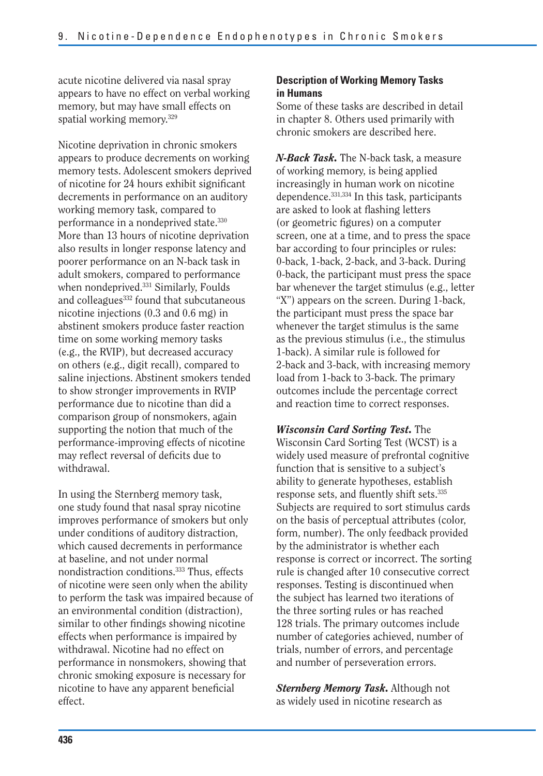acute nicotine delivered via nasal spray appears to have no effect on verbal working memory, but may have small effects on spatial working memory.<sup>329</sup>

Nicotine deprivation in chronic smokers appears to produce decrements on working memory tests. Adolescent smokers deprived of nicotine for 24 hours exhibit significant decrements in performance on an auditory working memory task, compared to performance in a nondeprived state.330 More than 13 hours of nicotine deprivation also results in longer response latency and poorer performance on an N-back task in adult smokers, compared to performance when nondeprived.<sup>331</sup> Similarly, Foulds and colleagues<sup>332</sup> found that subcutaneous nicotine injections (0.3 and 0.6 mg) in abstinent smokers produce faster reaction time on some working memory tasks (e.g., the RVIP), but decreased accuracy on others (e.g., digit recall), compared to saline injections. Abstinent smokers tended to show stronger improvements in RVIP performance due to nicotine than did a comparison group of nonsmokers, again supporting the notion that much of the performance-improving effects of nicotine may reflect reversal of deficits due to withdrawal.

In using the Sternberg memory task, one study found that nasal spray nicotine improves performance of smokers but only under conditions of auditory distraction, which caused decrements in performance at baseline, and not under normal nondistraction conditions.333 Thus, effects of nicotine were seen only when the ability to perform the task was impaired because of an environmental condition (distraction), similar to other findings showing nicotine effects when performance is impaired by withdrawal. Nicotine had no effect on performance in nonsmokers, showing that chronic smoking exposure is necessary for nicotine to have any apparent beneficial effect.

#### **Description of Working Memory Tasks in Humans**

Some of these tasks are described in detail in chapter 8. Others used primarily with chronic smokers are described here.

*N-Back Task.* The N-back task, a measure of working memory, is being applied increasingly in human work on nicotine dependence.331,334 In this task, participants are asked to look at flashing letters (or geometric figures) on a computer screen, one at a time, and to press the space bar according to four principles or rules: 0-back, 1-back, 2-back, and 3-back. During 0-back, the participant must press the space bar whenever the target stimulus (e.g., letter "X") appears on the screen. During 1-back, the participant must press the space bar whenever the target stimulus is the same as the previous stimulus (i.e., the stimulus 1-back). A similar rule is followed for 2-back and 3-back, with increasing memory load from 1-back to 3-back. The primary outcomes include the percentage correct and reaction time to correct responses.

*Wisconsin Card Sorting Test.* The Wisconsin Card Sorting Test (WCST) is a widely used measure of prefrontal cognitive function that is sensitive to a subject's ability to generate hypotheses, establish response sets, and fluently shift sets.335 Subjects are required to sort stimulus cards on the basis of perceptual attributes (color, form, number). The only feedback provided by the administrator is whether each response is correct or incorrect. The sorting rule is changed after 10 consecutive correct responses. Testing is discontinued when the subject has learned two iterations of the three sorting rules or has reached 128 trials. The primary outcomes include number of categories achieved, number of trials, number of errors, and percentage and number of perseveration errors.

*Sternberg Memory Task.* Although not as widely used in nicotine research as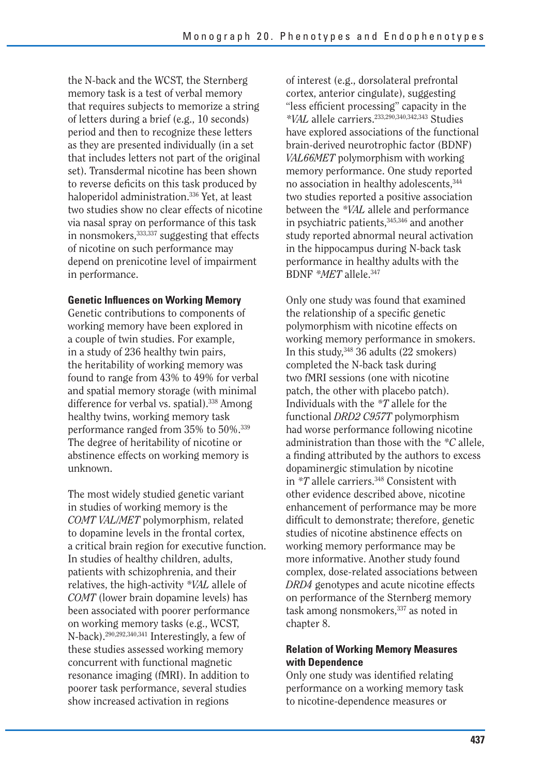the N-back and the WCST, the Sternberg memory task is a test of verbal memory that requires subjects to memorize a string of letters during a brief (e.g., 10 seconds) period and then to recognize these letters as they are presented individually (in a set that includes letters not part of the original set). Transdermal nicotine has been shown to reverse deficits on this task produced by haloperidol administration.336 Yet, at least two studies show no clear effects of nicotine via nasal spray on performance of this task in nonsmokers,<sup>333,337</sup> suggesting that effects of nicotine on such performance may depend on prenicotine level of impairment in performance.

#### **Genetic Influences on Working Memory**

Genetic contributions to components of working memory have been explored in a couple of twin studies. For example, in a study of 236 healthy twin pairs, the heritability of working memory was found to range from 43% to 49% for verbal and spatial memory storage (with minimal difference for verbal vs. spatial).<sup>338</sup> Among healthy twins, working memory task performance ranged from 35% to 50%.339 The degree of heritability of nicotine or abstinence effects on working memory is unknown.

The most widely studied genetic variant in studies of working memory is the *COMT VAL/MET* polymorphism, related to dopamine levels in the frontal cortex, a critical brain region for executive function. In studies of healthy children, adults, patients with schizophrenia, and their relatives, the high-activity *\*VAL* allele of *COMT* (lower brain dopamine levels) has been associated with poorer performance on working memory tasks (e.g., WCST, N-back).290,292,340,341 Interestingly, a few of these studies assessed working memory concurrent with functional magnetic resonance imaging (fMRI). In addition to poorer task performance, several studies show increased activation in regions

of interest (e.g., dorsolateral prefrontal cortex, anterior cingulate), suggesting "less efficient processing" capacity in the *\*VAL* allele carriers.233,290,340,342,343 Studies have explored associations of the functional brain-derived neurotrophic factor (BDNF) *VAL66MET* polymorphism with working memory performance. One study reported no association in healthy adolescents, 344 two studies reported a positive association between the *\*VAL* allele and performance in psychiatric patients, 345,346 and another study reported abnormal neural activation in the hippocampus during N-back task performance in healthy adults with the BDNF *\*MET* allele.347

Only one study was found that examined the relationship of a specific genetic polymorphism with nicotine effects on working memory performance in smokers. In this study,348 36 adults (22 smokers) completed the N-back task during two fMRI sessions (one with nicotine patch, the other with placebo patch). Individuals with the *\*T* allele for the functional *DRD2 C957T* polymorphism had worse performance following nicotine administration than those with the *\*C* allele, a finding attributed by the authors to excess dopaminergic stimulation by nicotine in *\*T* allele carriers.<sup>348</sup> Consistent with other evidence described above, nicotine enhancement of performance may be more difficult to demonstrate; therefore, genetic studies of nicotine abstinence effects on working memory performance may be more informative. Another study found complex, dose-related associations between *DRD4* genotypes and acute nicotine effects on performance of the Sternberg memory task among nonsmokers, 337 as noted in chapter 8.

#### **Relation of Working Memory Measures with Dependence**

Only one study was identified relating performance on a working memory task to nicotine-dependence measures or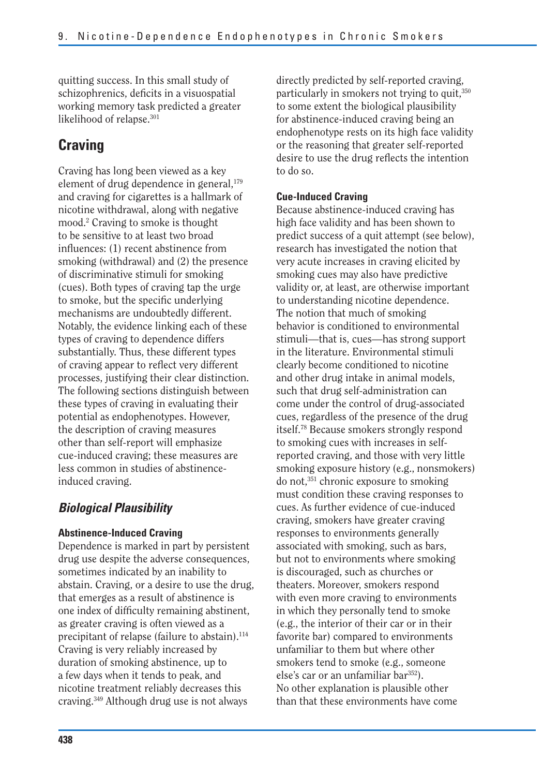quitting success. In this small study of schizophrenics, deficits in a visuospatial working memory task predicted a greater likelihood of relapse.<sup>301</sup>

## **Craving**

Craving has long been viewed as a key element of drug dependence in general,<sup>179</sup> and craving for cigarettes is a hallmark of nicotine withdrawal, along with negative mood.2 Craving to smoke is thought to be sensitive to at least two broad influences: (1) recent abstinence from smoking (withdrawal) and (2) the presence of discriminative stimuli for smoking (cues). Both types of craving tap the urge to smoke, but the specific underlying mechanisms are undoubtedly different. Notably, the evidence linking each of these types of craving to dependence differs substantially. Thus, these different types of craving appear to reflect very different processes, justifying their clear distinction. The following sections distinguish between these types of craving in evaluating their potential as endophenotypes. However, the description of craving measures other than self-report will emphasize cue-induced craving; these measures are less common in studies of abstinenceinduced craving.

## *Biological Plausibility*

#### **Abstinence-Induced Craving**

Dependence is marked in part by persistent drug use despite the adverse consequences, sometimes indicated by an inability to abstain. Craving, or a desire to use the drug, that emerges as a result of abstinence is one index of difficulty remaining abstinent, as greater craving is often viewed as a precipitant of relapse (failure to abstain).<sup>114</sup> Craving is very reliably increased by duration of smoking abstinence, up to a few days when it tends to peak, and nicotine treatment reliably decreases this craving.349 Although drug use is not always

directly predicted by self-reported craving, particularly in smokers not trying to quit,<sup>350</sup> to some extent the biological plausibility for abstinence-induced craving being an endophenotype rests on its high face validity or the reasoning that greater self-reported desire to use the drug reflects the intention to do so.

#### **Cue-Induced Craving**

Because abstinence-induced craving has high face validity and has been shown to predict success of a quit attempt (see below), research has investigated the notion that very acute increases in craving elicited by smoking cues may also have predictive validity or, at least, are otherwise important to understanding nicotine dependence. The notion that much of smoking behavior is conditioned to environmental stimuli—that is, cues—has strong support in the literature. Environmental stimuli clearly become conditioned to nicotine and other drug intake in animal models, such that drug self-administration can come under the control of drug-associated cues, regardless of the presence of the drug itself.78 Because smokers strongly respond to smoking cues with increases in selfreported craving, and those with very little smoking exposure history (e.g., nonsmokers) do not,351 chronic exposure to smoking must condition these craving responses to cues. As further evidence of cue-induced craving, smokers have greater craving responses to environments generally associated with smoking, such as bars, but not to environments where smoking is discouraged, such as churches or theaters. Moreover, smokers respond with even more craving to environments in which they personally tend to smoke (e.g., the interior of their car or in their favorite bar) compared to environments unfamiliar to them but where other smokers tend to smoke (e.g., someone else's car or an unfamiliar bar<sup>352</sup>). No other explanation is plausible other than that these environments have come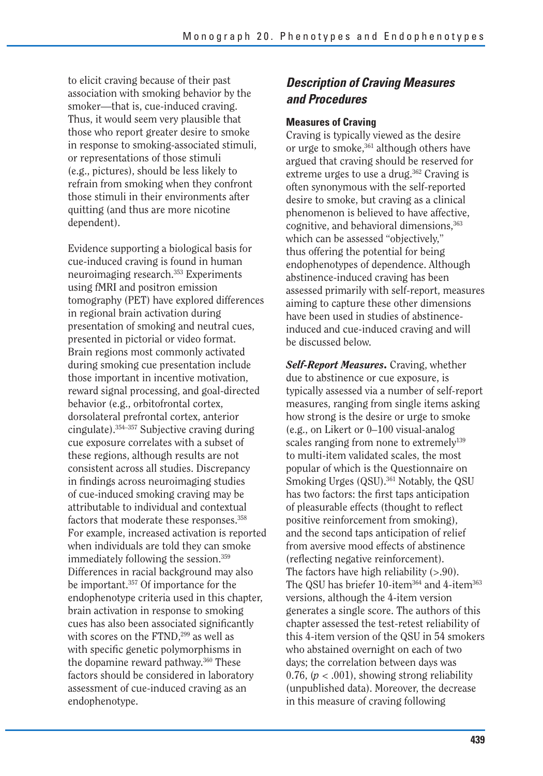to elicit craving because of their past association with smoking behavior by the smoker—that is, cue-induced craving. Thus, it would seem very plausible that those who report greater desire to smoke in response to smoking-associated stimuli, or representations of those stimuli (e.g., pictures), should be less likely to refrain from smoking when they confront those stimuli in their environments after quitting (and thus are more nicotine dependent).

Evidence supporting a biological basis for cue-induced craving is found in human neuroimaging research.<sup>353</sup> Experiments using fMRI and positron emission tomography (PET) have explored differences in regional brain activation during presentation of smoking and neutral cues, presented in pictorial or video format. Brain regions most commonly activated during smoking cue presentation include those important in incentive motivation, reward signal processing, and goal-directed behavior (e.g., orbitofrontal cortex, dorsolateral prefrontal cortex, anterior cingulate).354–357 Subjective craving during cue exposure correlates with a subset of these regions, although results are not consistent across all studies. Discrepancy in findings across neuroimaging studies of cue-induced smoking craving may be attributable to individual and contextual factors that moderate these responses.<sup>358</sup> For example, increased activation is reported when individuals are told they can smoke immediately following the session.<sup>359</sup> Differences in racial background may also be important.357 Of importance for the endophenotype criteria used in this chapter, brain activation in response to smoking cues has also been associated significantly with scores on the FTND,<sup>299</sup> as well as with specific genetic polymorphisms in the dopamine reward pathway.<sup>360</sup> These factors should be considered in laboratory assessment of cue-induced craving as an endophenotype.

## *Description of Craving Measures and Procedures*

### **Measures of Craving**

Craving is typically viewed as the desire or urge to smoke,<sup>361</sup> although others have argued that craving should be reserved for extreme urges to use a drug.<sup>362</sup> Craving is often synonymous with the self-reported desire to smoke, but craving as a clinical phenomenon is believed to have affective, cognitive, and behavioral dimensions,<sup>363</sup> which can be assessed "objectively," thus offering the potential for being endophenotypes of dependence. Although abstinence-induced craving has been assessed primarily with self-report, measures aiming to capture these other dimensions have been used in studies of abstinenceinduced and cue-induced craving and will be discussed below.

*Self-Report Measures.* Craving, whether due to abstinence or cue exposure, is typically assessed via a number of self-report measures, ranging from single items asking how strong is the desire or urge to smoke (e.g., on Likert or 0–100 visual-analog scales ranging from none to extremely<sup>139</sup> to multi-item validated scales, the most popular of which is the Questionnaire on Smoking Urges (QSU).<sup>361</sup> Notably, the QSU has two factors: the first taps anticipation of pleasurable effects (thought to reflect positive reinforcement from smoking), and the second taps anticipation of relief from aversive mood effects of abstinence (reflecting negative reinforcement). The factors have high reliability  $(>0.90)$ . The QSU has briefer 10-item<sup>364</sup> and 4-item<sup>363</sup> versions, although the 4-item version generates a single score. The authors of this chapter assessed the test-retest reliability of this 4-item version of the QSU in 54 smokers who abstained overnight on each of two days; the correlation between days was 0.76,  $(p < .001)$ , showing strong reliability (unpublished data). Moreover, the decrease in this measure of craving following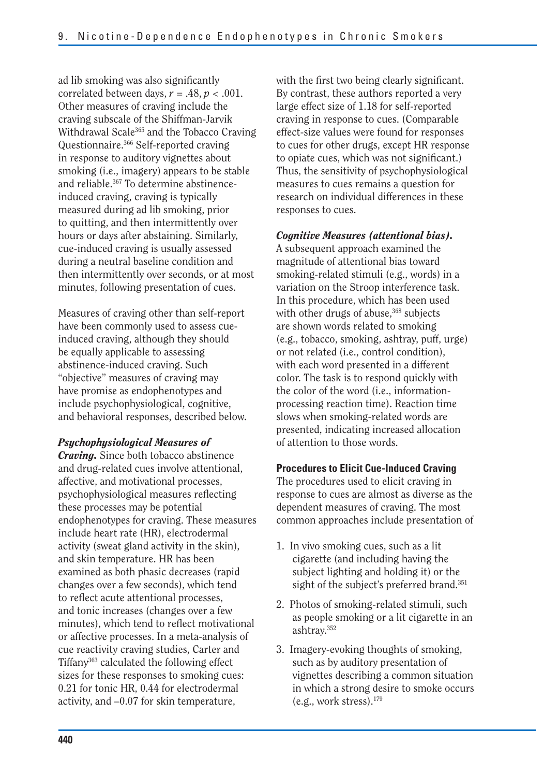ad lib smoking was also significantly correlated between days,  $r = .48$ ,  $p < .001$ . Other measures of craving include the craving subscale of the Shiffman-Jarvik Withdrawal Scale<sup>365</sup> and the Tobacco Craving Questionnaire.366 Self-reported craving in response to auditory vignettes about smoking (i.e., imagery) appears to be stable and reliable.<sup>367</sup> To determine abstinenceinduced craving, craving is typically measured during ad lib smoking, prior to quitting, and then intermittently over hours or days after abstaining. Similarly, cue-induced craving is usually assessed during a neutral baseline condition and then intermittently over seconds, or at most minutes, following presentation of cues.

Measures of craving other than self-report have been commonly used to assess cueinduced craving, although they should be equally applicable to assessing abstinence-induced craving. Such "objective" measures of craving may have promise as endophenotypes and include psychophysiological, cognitive, and behavioral responses, described below.

### *Psychophysiological Measures of*

*Craving.* Since both tobacco abstinence and drug-related cues involve attentional, affective, and motivational processes, psychophysiological measures reflecting these processes may be potential endophenotypes for craving. These measures include heart rate (HR), electrodermal activity (sweat gland activity in the skin), and skin temperature. HR has been examined as both phasic decreases (rapid changes over a few seconds), which tend to reflect acute attentional processes, and tonic increases (changes over a few minutes), which tend to reflect motivational or affective processes. In a meta-analysis of cue reactivity craving studies, Carter and Tiffany363 calculated the following effect sizes for these responses to smoking cues: 0.21 for tonic HR, 0.44 for electrodermal activity, and –0.07 for skin temperature,

with the first two being clearly significant. By contrast, these authors reported a very large effect size of 1.18 for self-reported craving in response to cues. (Comparable effect-size values were found for responses to cues for other drugs, except HR response to opiate cues, which was not significant.) Thus, the sensitivity of psychophysiological measures to cues remains a question for research on individual differences in these responses to cues.

### *Cognitive Measures (attentional bias).*

A subsequent approach examined the magnitude of attentional bias toward smoking-related stimuli (e.g., words) in a variation on the Stroop interference task. In this procedure, which has been used with other drugs of abuse,<sup>368</sup> subjects are shown words related to smoking (e.g., tobacco, smoking, ashtray, puff, urge) or not related (i.e., control condition), with each word presented in a different color. The task is to respond quickly with the color of the word (i.e., informationprocessing reaction time). Reaction time slows when smoking-related words are presented, indicating increased allocation of attention to those words.

### **Procedures to Elicit Cue-Induced Craving**

The procedures used to elicit craving in response to cues are almost as diverse as the dependent measures of craving. The most common approaches include presentation of

- 1. In vivo smoking cues, such as a lit cigarette (and including having the subject lighting and holding it) or the sight of the subject's preferred brand.<sup>351</sup>
- 2. Photos of smoking-related stimuli, such as people smoking or a lit cigarette in an ashtray.352
- 3. Imagery-evoking thoughts of smoking, such as by auditory presentation of vignettes describing a common situation in which a strong desire to smoke occurs (e.g., work stress).179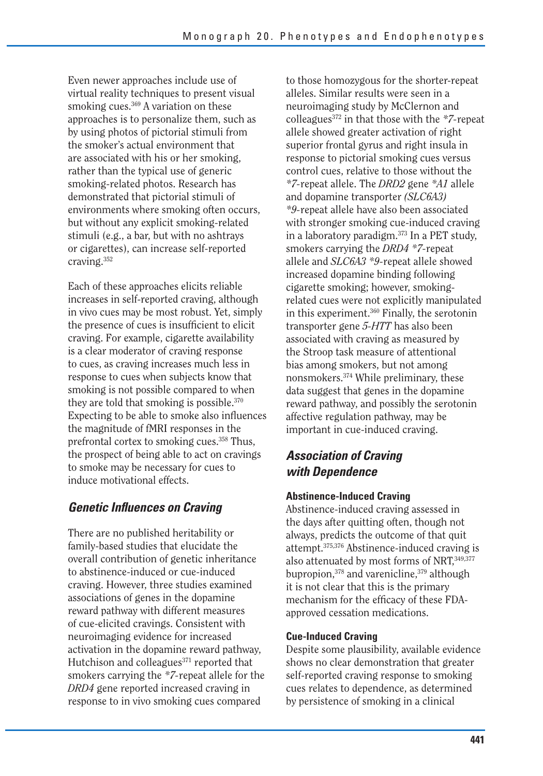Even newer approaches include use of virtual reality techniques to present visual smoking cues.<sup>369</sup> A variation on these approaches is to personalize them, such as by using photos of pictorial stimuli from the smoker's actual environment that are associated with his or her smoking, rather than the typical use of generic smoking-related photos. Research has demonstrated that pictorial stimuli of environments where smoking often occurs, but without any explicit smoking-related stimuli (e.g., a bar, but with no ashtrays or cigarettes), can increase self-reported craving.352

Each of these approaches elicits reliable increases in self-reported craving, although in vivo cues may be most robust. Yet, simply the presence of cues is insufficient to elicit craving. For example, cigarette availability is a clear moderator of craving response to cues, as craving increases much less in response to cues when subjects know that smoking is not possible compared to when they are told that smoking is possible.<sup>370</sup> Expecting to be able to smoke also influences the magnitude of fMRI responses in the prefrontal cortex to smoking cues.358 Thus, the prospect of being able to act on cravings to smoke may be necessary for cues to induce motivational effects.

## *Genetic Influences on Craving*

There are no published heritability or family-based studies that elucidate the overall contribution of genetic inheritance to abstinence-induced or cue-induced craving. However, three studies examined associations of genes in the dopamine reward pathway with different measures of cue-elicited cravings. Consistent with neuroimaging evidence for increased activation in the dopamine reward pathway, Hutchison and colleagues<sup>371</sup> reported that smokers carrying the *\*7-*repeat allele for the *DRD4* gene reported increased craving in response to in vivo smoking cues compared

to those homozygous for the shorter-repeat alleles. Similar results were seen in a neuroimaging study by McClernon and colleagues372 in that those with the *\*7-*repeat allele showed greater activation of right superior frontal gyrus and right insula in response to pictorial smoking cues versus control cues, relative to those without the *\*7-*repeat allele. The *DRD2* gene *\*A1* allele and dopamine transporter *(SLC6A3) \*9-*repeat allele have also been associated with stronger smoking cue-induced craving in a laboratory paradigm.373 In a PET study, smokers carrying the *DRD4 \*7-*repeat allele and *SLC6A3 \*9-*repeat allele showed increased dopamine binding following cigarette smoking; however, smokingrelated cues were not explicitly manipulated in this experiment.360 Finally, the serotonin transporter gene *5-HTT* has also been associated with craving as measured by the Stroop task measure of attentional bias among smokers, but not among nonsmokers.374 While preliminary, these data suggest that genes in the dopamine reward pathway, and possibly the serotonin affective regulation pathway, may be important in cue-induced craving.

### *Association of Craving with Dependence*

### **Abstinence-Induced Craving**

Abstinence-induced craving assessed in the days after quitting often, though not always, predicts the outcome of that quit attempt.375,376 Abstinence-induced craving is also attenuated by most forms of NRT, 349,377 bupropion,<sup>378</sup> and varenicline,<sup>379</sup> although it is not clear that this is the primary mechanism for the efficacy of these FDAapproved cessation medications.

### **Cue-Induced Craving**

Despite some plausibility, available evidence shows no clear demonstration that greater self-reported craving response to smoking cues relates to dependence, as determined by persistence of smoking in a clinical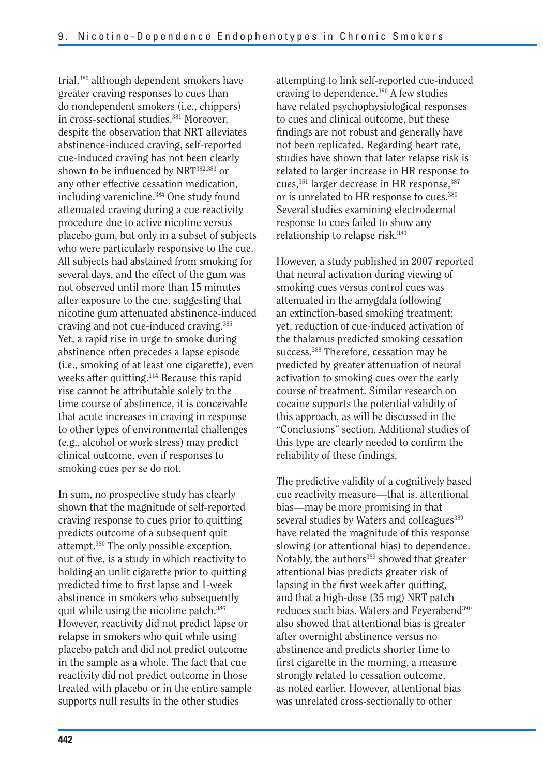trial,380 although dependent smokers have greater craving responses to cues than do nondependent smokers (i.e., chippers) in cross-sectional studies.<sup>381</sup> Moreover, despite the observation that NRT alleviates abstinence-induced craving, self-reported cue-induced craving has not been clearly shown to be influenced by NRT382,383 or any other effective cessation medication, including varenicline.<sup>384</sup> One study found attenuated craving during a cue reactivity procedure due to active nicotine versus placebo gum, but only in a subset of subjects who were particularly responsive to the cue. All subjects had abstained from smoking for several days, and the effect of the gum was not observed until more than 15 minutes after exposure to the cue, suggesting that nicotine gum attenuated abstinence-induced craving and not cue-induced craving.385 Yet, a rapid rise in urge to smoke during abstinence often precedes a lapse episode (i.e., smoking of at least one cigarette), even weeks after quitting.<sup>114</sup> Because this rapid rise cannot be attributable solely to the time course of abstinence, it is conceivable that acute increases in craving in response to other types of environmental challenges (e.g., alcohol or work stress) may predict clinical outcome, even if responses to smoking cues per se do not.

In sum, no prospective study has clearly shown that the magnitude of self-reported craving response to cues prior to quitting predicts outcome of a subsequent quit attempt.380 The only possible exception, out of five, is a study in which reactivity to holding an unlit cigarette prior to quitting predicted time to first lapse and 1-week abstinence in smokers who subsequently quit while using the nicotine patch.386 However, reactivity did not predict lapse or relapse in smokers who quit while using placebo patch and did not predict outcome in the sample as a whole. The fact that cue reactivity did not predict outcome in those treated with placebo or in the entire sample supports null results in the other studies

attempting to link self-reported cue-induced craving to dependence.<sup>380</sup> A few studies have related psychophysiological responses to cues and clinical outcome, but these findings are not robust and generally have not been replicated. Regarding heart rate, studies have shown that later relapse risk is related to larger increase in HR response to cues,<sup>351</sup> larger decrease in HR response,<sup>387</sup> or is unrelated to HR response to cues.380 Several studies examining electrodermal response to cues failed to show any relationship to relapse risk.380

However, a study published in 2007 reported that neural activation during viewing of smoking cues versus control cues was attenuated in the amygdala following an extinction-based smoking treatment; yet, reduction of cue-induced activation of the thalamus predicted smoking cessation success.<sup>388</sup> Therefore, cessation may be predicted by greater attenuation of neural activation to smoking cues over the early course of treatment. Similar research on cocaine supports the potential validity of this approach, as will be discussed in the "Conclusions" section. Additional studies of this type are clearly needed to confirm the reliability of these findings.

The predictive validity of a cognitively based cue reactivity measure—that is, attentional bias—may be more promising in that several studies by Waters and colleagues<sup>389</sup> have related the magnitude of this response slowing (or attentional bias) to dependence. Notably, the authors<sup>389</sup> showed that greater attentional bias predicts greater risk of lapsing in the first week after quitting, and that a high-dose (35 mg) NRT patch reduces such bias. Waters and Feyerabend390 also showed that attentional bias is greater after overnight abstinence versus no abstinence and predicts shorter time to first cigarette in the morning, a measure strongly related to cessation outcome, as noted earlier. However, attentional bias was unrelated cross-sectionally to other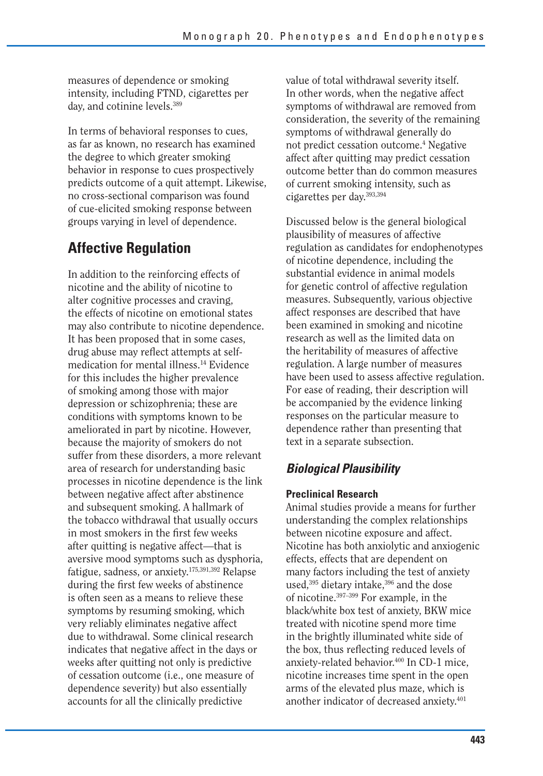measures of dependence or smoking intensity, including FTND, cigarettes per day, and cotinine levels.389

In terms of behavioral responses to cues, as far as known, no research has examined the degree to which greater smoking behavior in response to cues prospectively predicts outcome of a quit attempt. Likewise, no cross-sectional comparison was found of cue-elicited smoking response between groups varying in level of dependence.

# **Affective Regulation**

In addition to the reinforcing effects of nicotine and the ability of nicotine to alter cognitive processes and craving, the effects of nicotine on emotional states may also contribute to nicotine dependence. It has been proposed that in some cases, drug abuse may reflect attempts at selfmedication for mental illness.14 Evidence for this includes the higher prevalence of smoking among those with major depression or schizophrenia; these are conditions with symptoms known to be ameliorated in part by nicotine. However, because the majority of smokers do not suffer from these disorders, a more relevant area of research for understanding basic processes in nicotine dependence is the link between negative affect after abstinence and subsequent smoking. A hallmark of the tobacco withdrawal that usually occurs in most smokers in the first few weeks after quitting is negative affect—that is aversive mood symptoms such as dysphoria, fatigue, sadness, or anxiety.175,391,392 Relapse during the first few weeks of abstinence is often seen as a means to relieve these symptoms by resuming smoking, which very reliably eliminates negative affect due to withdrawal. Some clinical research indicates that negative affect in the days or weeks after quitting not only is predictive of cessation outcome (i.e., one measure of dependence severity) but also essentially accounts for all the clinically predictive

value of total withdrawal severity itself. In other words, when the negative affect symptoms of withdrawal are removed from consideration, the severity of the remaining symptoms of withdrawal generally do not predict cessation outcome.4 Negative affect after quitting may predict cessation outcome better than do common measures of current smoking intensity, such as cigarettes per day.393,394

Discussed below is the general biological plausibility of measures of affective regulation as candidates for endophenotypes of nicotine dependence, including the substantial evidence in animal models for genetic control of affective regulation measures. Subsequently, various objective affect responses are described that have been examined in smoking and nicotine research as well as the limited data on the heritability of measures of affective regulation. A large number of measures have been used to assess affective regulation. For ease of reading, their description will be accompanied by the evidence linking responses on the particular measure to dependence rather than presenting that text in a separate subsection.

## *Biological Plausibility*

### **Preclinical Research**

Animal studies provide a means for further understanding the complex relationships between nicotine exposure and affect. Nicotine has both anxiolytic and anxiogenic effects, effects that are dependent on many factors including the test of anxiety used,<sup>395</sup> dietary intake,<sup>396</sup> and the dose of nicotine.397–399 For example, in the black/white box test of anxiety, BKW mice treated with nicotine spend more time in the brightly illuminated white side of the box, thus reflecting reduced levels of anxiety-related behavior.<sup>400</sup> In CD-1 mice, nicotine increases time spent in the open arms of the elevated plus maze, which is another indicator of decreased anxiety.401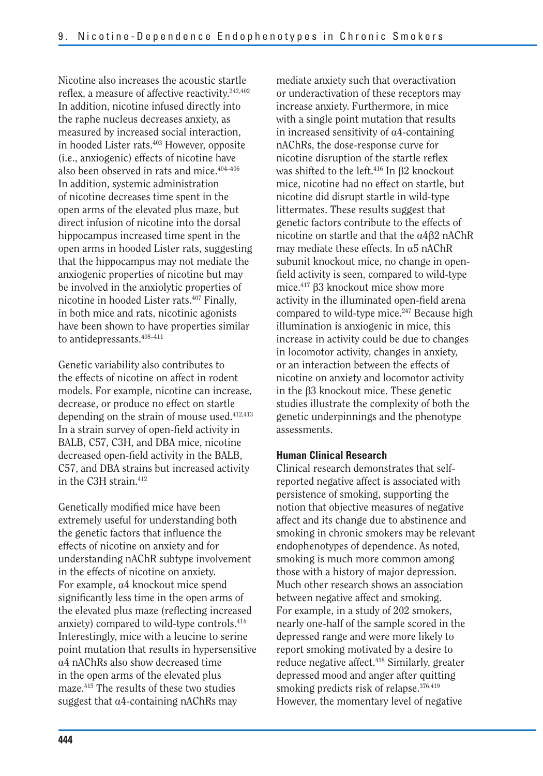Nicotine also increases the acoustic startle reflex, a measure of affective reactivity.242,402 In addition, nicotine infused directly into the raphe nucleus decreases anxiety, as measured by increased social interaction, in hooded Lister rats.403 However, opposite (i.e., anxiogenic) effects of nicotine have also been observed in rats and mice.404–406 In addition, systemic administration of nicotine decreases time spent in the open arms of the elevated plus maze, but direct infusion of nicotine into the dorsal hippocampus increased time spent in the open arms in hooded Lister rats, suggesting that the hippocampus may not mediate the anxiogenic properties of nicotine but may be involved in the anxiolytic properties of nicotine in hooded Lister rats.407 Finally, in both mice and rats, nicotinic agonists have been shown to have properties similar to antidepressants.408–411

Genetic variability also contributes to the effects of nicotine on affect in rodent models. For example, nicotine can increase, decrease, or produce no effect on startle depending on the strain of mouse used.412,413 In a strain survey of open-field activity in BALB, C57, C3H, and DBA mice, nicotine decreased open-field activity in the BALB, C57, and DBA strains but increased activity in the C3H strain.412

Genetically modified mice have been extremely useful for understanding both the genetic factors that influence the effects of nicotine on anxiety and for understanding nAChR subtype involvement in the effects of nicotine on anxiety. For example,  $\alpha$ 4 knockout mice spend significantly less time in the open arms of the elevated plus maze (reflecting increased anxiety) compared to wild-type controls.414 Interestingly, mice with a leucine to serine point mutation that results in hypersensitive a4 nAChRs also show decreased time in the open arms of the elevated plus maze.415 The results of these two studies suggest that  $\alpha$ 4-containing nAChRs may

mediate anxiety such that overactivation or underactivation of these receptors may increase anxiety. Furthermore, in mice with a single point mutation that results in increased sensitivity of  $\alpha$ 4-containing nAChRs, the dose-response curve for nicotine disruption of the startle reflex was shifted to the left.<sup>416</sup> In  $\beta$ 2 knockout mice, nicotine had no effect on startle, but nicotine did disrupt startle in wild-type littermates. These results suggest that genetic factors contribute to the effects of nicotine on startle and that the  $\alpha$ 4 $\beta$ 2 nAChR may mediate these effects. In  $\alpha$ 5 nAChR subunit knockout mice, no change in openfield activity is seen, compared to wild-type mice.<sup>417</sup>  $\beta$ 3 knockout mice show more activity in the illuminated open-field arena compared to wild-type mice.<sup>247</sup> Because high illumination is anxiogenic in mice, this increase in activity could be due to changes in locomotor activity, changes in anxiety, or an interaction between the effects of nicotine on anxiety and locomotor activity in the  $\beta$ 3 knockout mice. These genetic studies illustrate the complexity of both the genetic underpinnings and the phenotype assessments.

### **Human Clinical Research**

Clinical research demonstrates that selfreported negative affect is associated with persistence of smoking, supporting the notion that objective measures of negative affect and its change due to abstinence and smoking in chronic smokers may be relevant endophenotypes of dependence. As noted, smoking is much more common among those with a history of major depression. Much other research shows an association between negative affect and smoking. For example, in a study of 202 smokers, nearly one-half of the sample scored in the depressed range and were more likely to report smoking motivated by a desire to reduce negative affect.418 Similarly, greater depressed mood and anger after quitting smoking predicts risk of relapse.<sup>376,419</sup> However, the momentary level of negative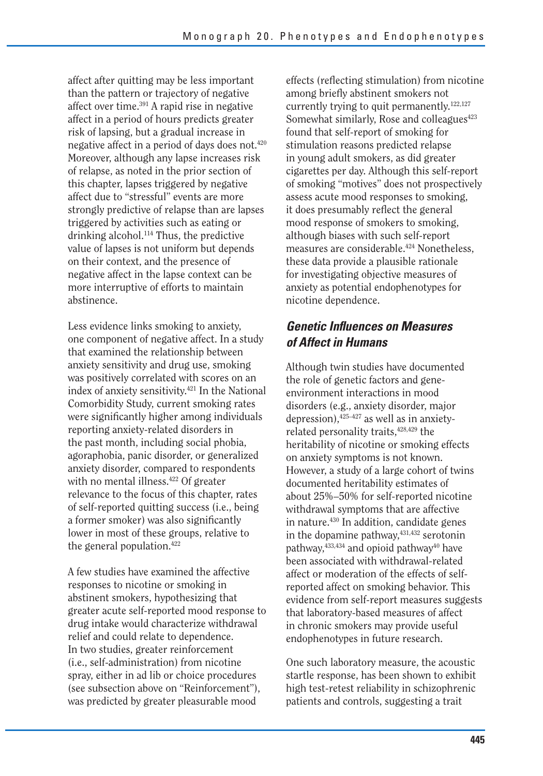affect after quitting may be less important than the pattern or trajectory of negative affect over time.391 A rapid rise in negative affect in a period of hours predicts greater risk of lapsing, but a gradual increase in negative affect in a period of days does not.420 Moreover, although any lapse increases risk of relapse, as noted in the prior section of this chapter, lapses triggered by negative affect due to "stressful" events are more strongly predictive of relapse than are lapses triggered by activities such as eating or drinking alcohol.114 Thus, the predictive value of lapses is not uniform but depends on their context, and the presence of negative affect in the lapse context can be more interruptive of efforts to maintain abstinence.

Less evidence links smoking to anxiety, one component of negative affect. In a study that examined the relationship between anxiety sensitivity and drug use, smoking was positively correlated with scores on an index of anxiety sensitivity.421 In the National Comorbidity Study, current smoking rates were significantly higher among individuals reporting anxiety-related disorders in the past month, including social phobia, agoraphobia, panic disorder, or generalized anxiety disorder, compared to respondents with no mental illness.<sup>422</sup> Of greater relevance to the focus of this chapter, rates of self-reported quitting success (i.e., being a former smoker) was also significantly lower in most of these groups, relative to the general population.422

A few studies have examined the affective responses to nicotine or smoking in abstinent smokers, hypothesizing that greater acute self-reported mood response to drug intake would characterize withdrawal relief and could relate to dependence. In two studies, greater reinforcement (i.e., self-administration) from nicotine spray, either in ad lib or choice procedures (see subsection above on "Reinforcement"), was predicted by greater pleasurable mood

effects (reflecting stimulation) from nicotine among briefly abstinent smokers not currently trying to quit permanently.<sup>122,127</sup> Somewhat similarly, Rose and colleagues<sup>423</sup> found that self-report of smoking for stimulation reasons predicted relapse in young adult smokers, as did greater cigarettes per day. Although this self-report of smoking "motives" does not prospectively assess acute mood responses to smoking, it does presumably reflect the general mood response of smokers to smoking, although biases with such self-report measures are considerable.<sup>424</sup> Nonetheless, these data provide a plausible rationale for investigating objective measures of anxiety as potential endophenotypes for nicotine dependence.

### *Genetic Influences on Measures of Affect in Humans*

Although twin studies have documented the role of genetic factors and geneenvironment interactions in mood disorders (e.g., anxiety disorder, major depression),425–427 as well as in anxietyrelated personality traits,  $428,429$  the heritability of nicotine or smoking effects on anxiety symptoms is not known. However, a study of a large cohort of twins documented heritability estimates of about 25%–50% for self-reported nicotine withdrawal symptoms that are affective in nature.<sup>430</sup> In addition, candidate genes in the dopamine pathway,  $431,432$  serotonin pathway,  $433,434$  and opioid pathway<sup>40</sup> have been associated with withdrawal-related affect or moderation of the effects of selfreported affect on smoking behavior. This evidence from self-report measures suggests that laboratory-based measures of affect in chronic smokers may provide useful endophenotypes in future research.

One such laboratory measure, the acoustic startle response, has been shown to exhibit high test-retest reliability in schizophrenic patients and controls, suggesting a trait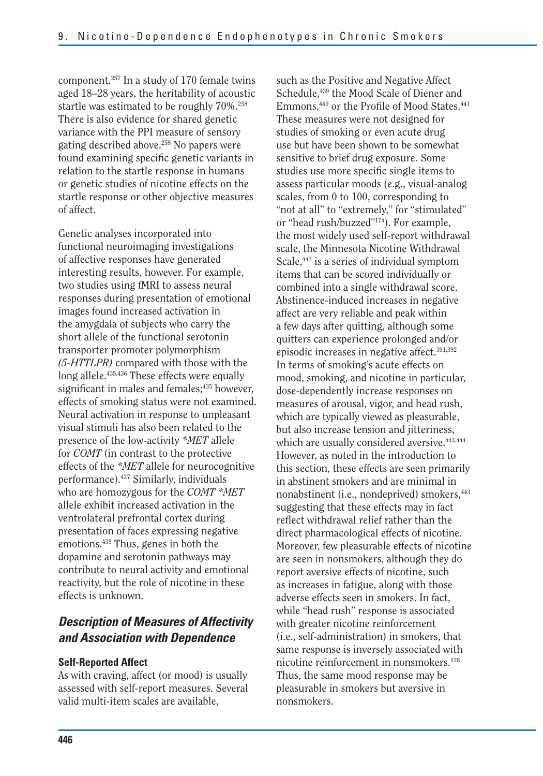component.257 In a study of 170 female twins aged 18–28 years, the heritability of acoustic startle was estimated to be roughly 70%.258 There is also evidence for shared genetic variance with the PPI measure of sensory gating described above.<sup>258</sup> No papers were found examining specific genetic variants in relation to the startle response in humans or genetic studies of nicotine effects on the startle response or other objective measures of affect.

 who are homozygous for the *COMT \*MET*  Genetic analyses incorporated into functional neuroimaging investigations of affective responses have generated interesting results, however. For example, two studies using fMRI to assess neural responses during presentation of emotional images found increased activation in the amygdala of subjects who carry the short allele of the functional serotonin transporter promoter polymorphism *(5-HTTLPR)* compared with those with the long allele.435,436 These effects were equally significant in males and females;<sup>435</sup> however, effects of smoking status were not examined. Neural activation in response to unpleasant visual stimuli has also been related to the presence of the low-activity *\*MET* allele for *COMT* (in contrast to the protective effects of the *\*MET* allele for neurocognitive performance).437 Similarly, individuals allele exhibit increased activation in the ventrolateral prefrontal cortex during presentation of faces expressing negative emotions.438 Thus, genes in both the dopamine and serotonin pathways may contribute to neural activity and emotional reactivity, but the role of nicotine in these effects is unknown.

## *Description of Measures of Affectivity and Association with Dependence*

### **Self-Reported Affect**

As with craving, affect (or mood) is usually assessed with self-report measures. Several valid multi-item scales are available,

such as the Positive and Negative Affect Schedule,<sup>439</sup> the Mood Scale of Diener and Emmons,<sup>440</sup> or the Profile of Mood States.<sup>441</sup> These measures were not designed for studies of smoking or even acute drug use but have been shown to be somewhat sensitive to brief drug exposure. Some studies use more specific single items to assess particular moods (e.g., visual-analog scales, from 0 to 100, corresponding to "not at all" to "extremely," for "stimulated" or "head rush/buzzed"174). For example, the most widely used self-report withdrawal scale, the Minnesota Nicotine Withdrawal Scale,<sup>442</sup> is a series of individual symptom items that can be scored individually or combined into a single withdrawal score. Abstinence-induced increases in negative affect are very reliable and peak within a few days after quitting, although some quitters can experience prolonged and/or episodic increases in negative affect.391,392 In terms of smoking's acute effects on mood, smoking, and nicotine in particular, dose-dependently increase responses on measures of arousal, vigor, and head rush, which are typically viewed as pleasurable, but also increase tension and jitteriness, which are usually considered aversive.<sup>443,444</sup> However, as noted in the introduction to this section, these effects are seen primarily in abstinent smokers and are minimal in nonabstinent (i.e., nondeprived) smokers,  $443$ suggesting that these effects may in fact reflect withdrawal relief rather than the direct pharmacological effects of nicotine. Moreover, few pleasurable effects of nicotine are seen in nonsmokers, although they do report aversive effects of nicotine, such as increases in fatigue, along with those adverse effects seen in smokers. In fact, while "head rush" response is associated with greater nicotine reinforcement (i.e., self-administration) in smokers, that same response is inversely associated with nicotine reinforcement in nonsmokers.128 Thus, the same mood response may be pleasurable in smokers but aversive in nonsmokers.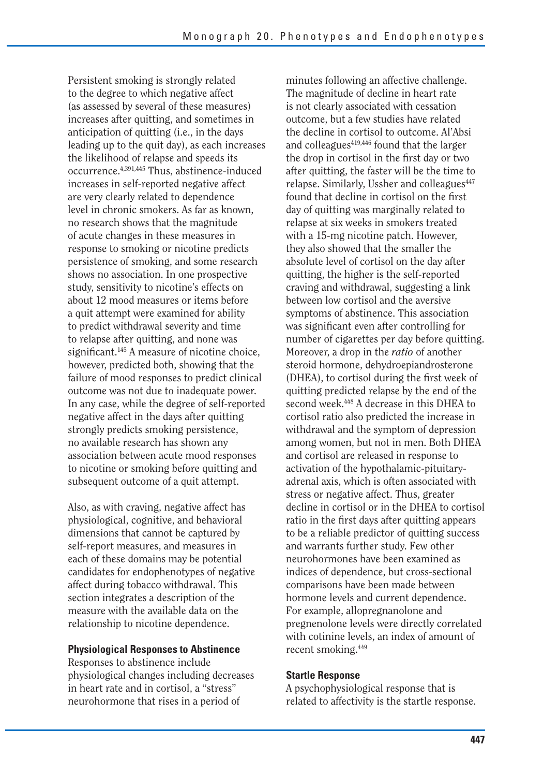Persistent smoking is strongly related to the degree to which negative affect (as assessed by several of these measures) increases after quitting, and sometimes in anticipation of quitting (i.e., in the days leading up to the quit day), as each increases the likelihood of relapse and speeds its occurrence.4,391,445 Thus, abstinence-induced increases in self-reported negative affect are very clearly related to dependence level in chronic smokers. As far as known, no research shows that the magnitude of acute changes in these measures in response to smoking or nicotine predicts persistence of smoking, and some research shows no association. In one prospective study, sensitivity to nicotine's effects on about 12 mood measures or items before a quit attempt were examined for ability to predict withdrawal severity and time to relapse after quitting, and none was significant.<sup>145</sup> A measure of nicotine choice, however, predicted both, showing that the failure of mood responses to predict clinical outcome was not due to inadequate power. In any case, while the degree of self-reported negative affect in the days after quitting strongly predicts smoking persistence, no available research has shown any association between acute mood responses to nicotine or smoking before quitting and subsequent outcome of a quit attempt.

Also, as with craving, negative affect has physiological, cognitive, and behavioral dimensions that cannot be captured by self-report measures, and measures in each of these domains may be potential candidates for endophenotypes of negative affect during tobacco withdrawal. This section integrates a description of the measure with the available data on the relationship to nicotine dependence.

### **Physiological Responses to Abstinence**

Responses to abstinence include physiological changes including decreases in heart rate and in cortisol, a "stress" neurohormone that rises in a period of

minutes following an affective challenge. The magnitude of decline in heart rate is not clearly associated with cessation outcome, but a few studies have related the decline in cortisol to outcome. Al'Absi and colleagues<sup>419,446</sup> found that the larger the drop in cortisol in the first day or two after quitting, the faster will be the time to relapse. Similarly, Ussher and colleagues<sup>447</sup> found that decline in cortisol on the first day of quitting was marginally related to relapse at six weeks in smokers treated with a 15-mg nicotine patch. However, they also showed that the smaller the absolute level of cortisol on the day after quitting, the higher is the self-reported craving and withdrawal, suggesting a link between low cortisol and the aversive symptoms of abstinence. This association was significant even after controlling for number of cigarettes per day before quitting. Moreover, a drop in the *ratio* of another steroid hormone, dehydroepiandrosterone (DHEA), to cortisol during the first week of quitting predicted relapse by the end of the second week.<sup>448</sup> A decrease in this DHEA to cortisol ratio also predicted the increase in withdrawal and the symptom of depression among women, but not in men. Both DHEA and cortisol are released in response to activation of the hypothalamic-pituitaryadrenal axis, which is often associated with stress or negative affect. Thus, greater decline in cortisol or in the DHEA to cortisol ratio in the first days after quitting appears to be a reliable predictor of quitting success and warrants further study. Few other neurohormones have been examined as indices of dependence, but cross-sectional comparisons have been made between hormone levels and current dependence. For example, allopregnanolone and pregnenolone levels were directly correlated with cotinine levels, an index of amount of recent smoking.449

#### **Startle Response**

A psychophysiological response that is related to affectivity is the startle response.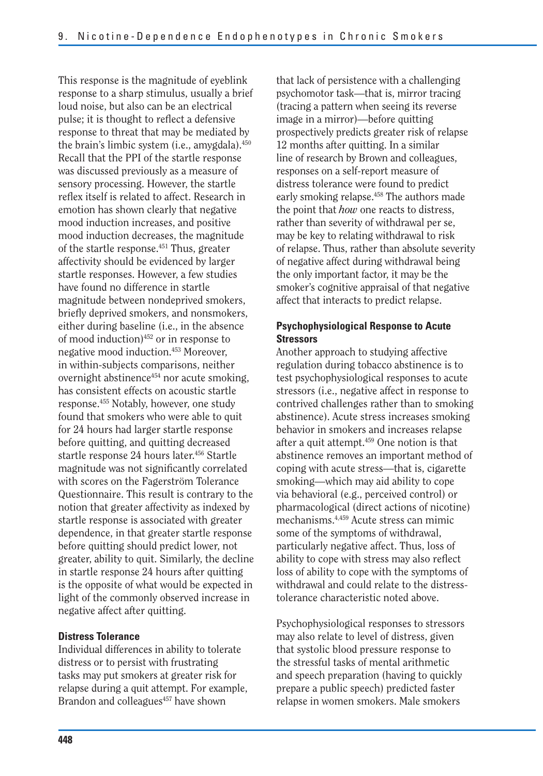This response is the magnitude of eyeblink response to a sharp stimulus, usually a brief loud noise, but also can be an electrical pulse; it is thought to reflect a defensive response to threat that may be mediated by the brain's limbic system (i.e., amygdala).450 Recall that the PPI of the startle response was discussed previously as a measure of sensory processing. However, the startle reflex itself is related to affect. Research in emotion has shown clearly that negative mood induction increases, and positive mood induction decreases, the magnitude of the startle response.451 Thus, greater affectivity should be evidenced by larger startle responses. However, a few studies have found no difference in startle magnitude between nondeprived smokers, briefly deprived smokers, and nonsmokers, either during baseline (i.e., in the absence of mood induction)452 or in response to negative mood induction.453 Moreover, in within-subjects comparisons, neither overnight abstinence454 nor acute smoking, has consistent effects on acoustic startle response.455 Notably, however, one study found that smokers who were able to quit for 24 hours had larger startle response before quitting, and quitting decreased startle response 24 hours later.<sup>456</sup> Startle magnitude was not significantly correlated with scores on the Fagerström Tolerance Questionnaire. This result is contrary to the notion that greater affectivity as indexed by startle response is associated with greater dependence, in that greater startle response before quitting should predict lower, not greater, ability to quit. Similarly, the decline in startle response 24 hours after quitting is the opposite of what would be expected in light of the commonly observed increase in negative affect after quitting.

### **Distress Tolerance**

Individual differences in ability to tolerate distress or to persist with frustrating tasks may put smokers at greater risk for relapse during a quit attempt. For example, Brandon and colleagues<sup>457</sup> have shown

that lack of persistence with a challenging psychomotor task—that is, mirror tracing (tracing a pattern when seeing its reverse image in a mirror)—before quitting prospectively predicts greater risk of relapse 12 months after quitting. In a similar line of research by Brown and colleagues, responses on a self-report measure of distress tolerance were found to predict early smoking relapse.<sup>458</sup> The authors made the point that *how* one reacts to distress, rather than severity of withdrawal per se, may be key to relating withdrawal to risk of relapse. Thus, rather than absolute severity of negative affect during withdrawal being the only important factor, it may be the smoker's cognitive appraisal of that negative affect that interacts to predict relapse.

### **Psychophysiological Response to Acute Stressors**

Another approach to studying affective regulation during tobacco abstinence is to test psychophysiological responses to acute stressors (i.e., negative affect in response to contrived challenges rather than to smoking abstinence). Acute stress increases smoking behavior in smokers and increases relapse after a quit attempt.459 One notion is that abstinence removes an important method of coping with acute stress—that is, cigarette smoking—which may aid ability to cope via behavioral (e.g., perceived control) or pharmacological (direct actions of nicotine) mechanisms.4,459 Acute stress can mimic some of the symptoms of withdrawal, particularly negative affect. Thus, loss of ability to cope with stress may also reflect loss of ability to cope with the symptoms of withdrawal and could relate to the distresstolerance characteristic noted above.

Psychophysiological responses to stressors may also relate to level of distress, given that systolic blood pressure response to the stressful tasks of mental arithmetic and speech preparation (having to quickly prepare a public speech) predicted faster relapse in women smokers. Male smokers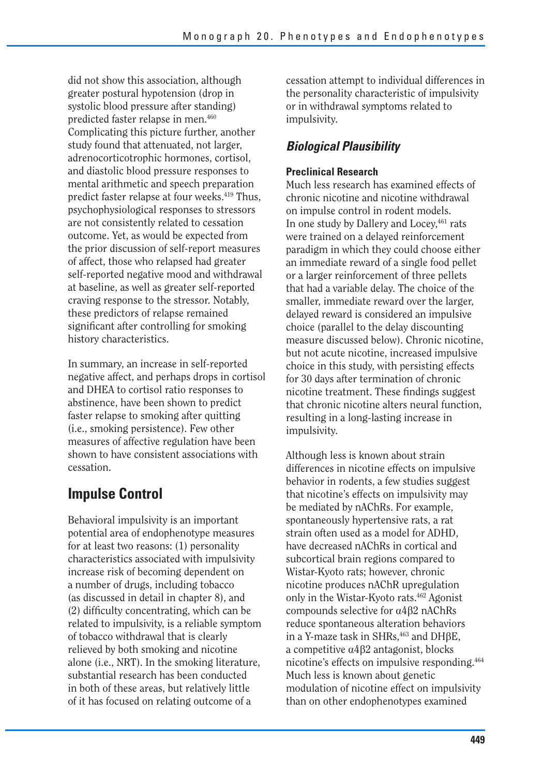did not show this association, although greater postural hypotension (drop in systolic blood pressure after standing) predicted faster relapse in men.460 Complicating this picture further, another study found that attenuated, not larger, adrenocorticotrophic hormones, cortisol, and diastolic blood pressure responses to mental arithmetic and speech preparation predict faster relapse at four weeks.419 Thus, psychophysiological responses to stressors are not consistently related to cessation outcome. Yet, as would be expected from the prior discussion of self-report measures of affect, those who relapsed had greater self-reported negative mood and withdrawal at baseline, as well as greater self-reported craving response to the stressor. Notably, these predictors of relapse remained significant after controlling for smoking history characteristics.

In summary, an increase in self-reported negative affect, and perhaps drops in cortisol and DHEA to cortisol ratio responses to abstinence, have been shown to predict faster relapse to smoking after quitting (i.e., smoking persistence). Few other measures of affective regulation have been shown to have consistent associations with cessation.

# **Impulse Control**

Behavioral impulsivity is an important potential area of endophenotype measures for at least two reasons: (1) personality characteristics associated with impulsivity increase risk of becoming dependent on a number of drugs, including tobacco (as discussed in detail in chapter 8), and (2) difficulty concentrating, which can be related to impulsivity, is a reliable symptom of tobacco withdrawal that is clearly relieved by both smoking and nicotine alone (i.e., NRT). In the smoking literature, substantial research has been conducted in both of these areas, but relatively little of it has focused on relating outcome of a

cessation attempt to individual differences in the personality characteristic of impulsivity or in withdrawal symptoms related to impulsivity.

# *Biological Plausibility*

### **Preclinical Research**

Much less research has examined effects of chronic nicotine and nicotine withdrawal on impulse control in rodent models. In one study by Dallery and Locey, 461 rats were trained on a delayed reinforcement paradigm in which they could choose either an immediate reward of a single food pellet or a larger reinforcement of three pellets that had a variable delay. The choice of the smaller, immediate reward over the larger, delayed reward is considered an impulsive choice (parallel to the delay discounting measure discussed below). Chronic nicotine, but not acute nicotine, increased impulsive choice in this study, with persisting effects for 30 days after termination of chronic nicotine treatment. These findings suggest that chronic nicotine alters neural function, resulting in a long-lasting increase in impulsivity.

Although less is known about strain differences in nicotine effects on impulsive behavior in rodents, a few studies suggest that nicotine's effects on impulsivity may be mediated by nAChRs. For example, spontaneously hypertensive rats, a rat strain often used as a model for ADHD, have decreased nAChRs in cortical and subcortical brain regions compared to Wistar-Kyoto rats; however, chronic nicotine produces nAChR upregulation only in the Wistar-Kyoto rats.462 Agonist compounds selective for  $\alpha$ 4 $\beta$ 2 nAChRs reduce spontaneous alteration behaviors in a Y-maze task in SHRs, $463$  and DH $\beta$ E, a competitive  $\alpha$ 4 $\beta$ 2 antagonist, blocks nicotine's effects on impulsive responding.464 Much less is known about genetic modulation of nicotine effect on impulsivity than on other endophenotypes examined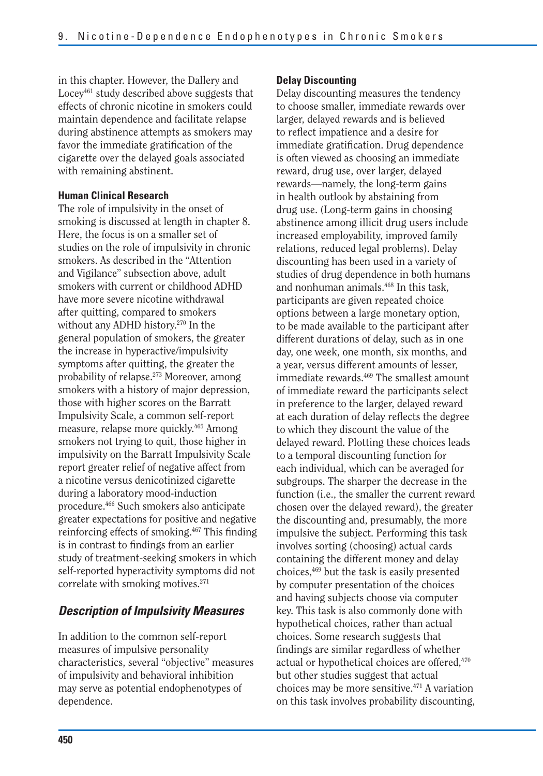in this chapter. However, the Dallery and Locey<sup>461</sup> study described above suggests that effects of chronic nicotine in smokers could maintain dependence and facilitate relapse during abstinence attempts as smokers may favor the immediate gratification of the cigarette over the delayed goals associated with remaining abstinent.

### **Human Clinical Research**

The role of impulsivity in the onset of smoking is discussed at length in chapter 8. Here, the focus is on a smaller set of studies on the role of impulsivity in chronic smokers. As described in the "Attention and Vigilance" subsection above, adult smokers with current or childhood ADHD have more severe nicotine withdrawal after quitting, compared to smokers without any ADHD history.<sup>270</sup> In the general population of smokers, the greater the increase in hyperactive/impulsivity symptoms after quitting, the greater the probability of relapse.<sup>273</sup> Moreover, among smokers with a history of major depression, those with higher scores on the Barratt Impulsivity Scale, a common self-report measure, relapse more quickly.465 Among smokers not trying to quit, those higher in impulsivity on the Barratt Impulsivity Scale report greater relief of negative affect from a nicotine versus denicotinized cigarette during a laboratory mood-induction procedure.466 Such smokers also anticipate greater expectations for positive and negative reinforcing effects of smoking.<sup>467</sup> This finding is in contrast to findings from an earlier study of treatment-seeking smokers in which self-reported hyperactivity symptoms did not correlate with smoking motives.271

## *Description of Impulsivity Measures*

In addition to the common self-report measures of impulsive personality characteristics, several "objective" measures of impulsivity and behavioral inhibition may serve as potential endophenotypes of dependence.

### **Delay Discounting**

Delay discounting measures the tendency to choose smaller, immediate rewards over larger, delayed rewards and is believed to reflect impatience and a desire for immediate gratification. Drug dependence is often viewed as choosing an immediate reward, drug use, over larger, delayed rewards—namely, the long-term gains in health outlook by abstaining from drug use. (Long-term gains in choosing abstinence among illicit drug users include increased employability, improved family relations, reduced legal problems). Delay discounting has been used in a variety of studies of drug dependence in both humans and nonhuman animals.468 In this task, participants are given repeated choice options between a large monetary option, to be made available to the participant after different durations of delay, such as in one day, one week, one month, six months, and a year, versus different amounts of lesser, immediate rewards.<sup>469</sup> The smallest amount of immediate reward the participants select in preference to the larger, delayed reward at each duration of delay reflects the degree to which they discount the value of the delayed reward. Plotting these choices leads to a temporal discounting function for each individual, which can be averaged for subgroups. The sharper the decrease in the function (i.e., the smaller the current reward chosen over the delayed reward), the greater the discounting and, presumably, the more impulsive the subject. Performing this task involves sorting (choosing) actual cards containing the different money and delay choices,469 but the task is easily presented by computer presentation of the choices and having subjects choose via computer key. This task is also commonly done with hypothetical choices, rather than actual choices. Some research suggests that findings are similar regardless of whether actual or hypothetical choices are offered,470 but other studies suggest that actual choices may be more sensitive.471 A variation on this task involves probability discounting,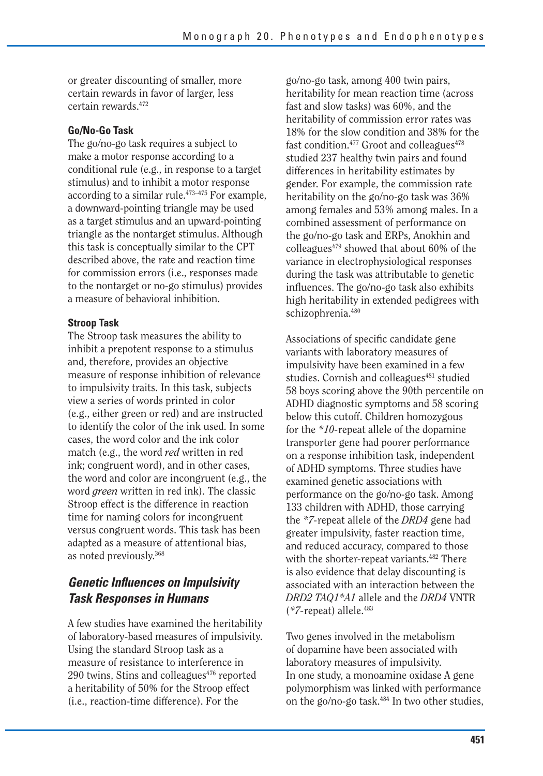or greater discounting of smaller, more certain rewards in favor of larger, less certain rewards.472

### **Go/No-Go Task**

The go/no-go task requires a subject to make a motor response according to a conditional rule (e.g., in response to a target stimulus) and to inhibit a motor response according to a similar rule.473–475 For example, a downward-pointing triangle may be used as a target stimulus and an upward-pointing triangle as the nontarget stimulus. Although this task is conceptually similar to the CPT described above, the rate and reaction time for commission errors (i.e., responses made to the nontarget or no-go stimulus) provides a measure of behavioral inhibition.

### **Stroop Task**

The Stroop task measures the ability to inhibit a prepotent response to a stimulus and, therefore, provides an objective measure of response inhibition of relevance to impulsivity traits. In this task, subjects view a series of words printed in color (e.g., either green or red) and are instructed to identify the color of the ink used. In some cases, the word color and the ink color match (e.g., the word *red* written in red ink; congruent word), and in other cases, the word and color are incongruent (e.g., the word *green* written in red ink). The classic Stroop effect is the difference in reaction time for naming colors for incongruent versus congruent words. This task has been adapted as a measure of attentional bias, as noted previously.368

## *Genetic Influences on Impulsivity Task Responses in Humans*

A few studies have examined the heritability of laboratory-based measures of impulsivity. Using the standard Stroop task as a measure of resistance to interference in  $290$  twins, Stins and colleagues $476$  reported a heritability of 50% for the Stroop effect (i.e., reaction-time difference). For the

go/no-go task, among 400 twin pairs, heritability for mean reaction time (across fast and slow tasks) was 60%, and the heritability of commission error rates was 18% for the slow condition and 38% for the fast condition.<sup>477</sup> Groot and colleagues<sup>478</sup> studied 237 healthy twin pairs and found differences in heritability estimates by gender. For example, the commission rate heritability on the go/no-go task was 36% among females and 53% among males. In a combined assessment of performance on the go/no-go task and ERPs, Anokhin and colleagues $479$  showed that about 60% of the variance in electrophysiological responses during the task was attributable to genetic influences. The go/no-go task also exhibits high heritability in extended pedigrees with schizophrenia.<sup>480</sup>

Associations of specific candidate gene variants with laboratory measures of impulsivity have been examined in a few studies. Cornish and colleagues<sup>481</sup> studied 58 boys scoring above the 90th percentile on ADHD diagnostic symptoms and 58 scoring below this cutoff. Children homozygous for the *\*10-*repeat allele of the dopamine transporter gene had poorer performance on a response inhibition task, independent of ADHD symptoms. Three studies have examined genetic associations with performance on the go/no-go task. Among 133 children with ADHD, those carrying the *\*7-*repeat allele of the *DRD4* gene had greater impulsivity, faster reaction time, and reduced accuracy, compared to those with the shorter-repeat variants.<sup>482</sup> There is also evidence that delay discounting is associated with an interaction between the *DRD2 TAQ1\*A1* allele and the *DRD4* VNTR (*\*7-*repeat) allele.483

Two genes involved in the metabolism of dopamine have been associated with laboratory measures of impulsivity. In one study, a monoamine oxidase A gene polymorphism was linked with performance on the go/no-go task.484 In two other studies,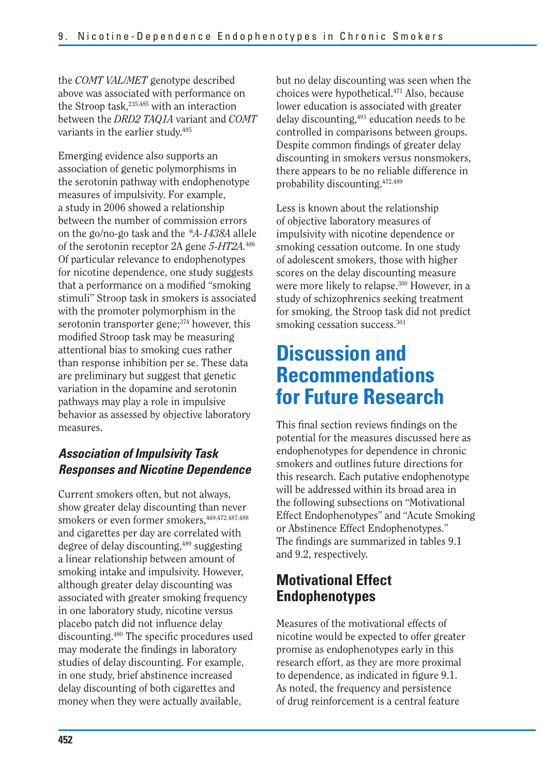the *COMT VAL/MET* genotype described above was associated with performance on the Stroop task,<sup>235,485</sup> with an interaction between the *DRD2 TAQ1A* variant and *COMT*  variants in the earlier study.<sup>485</sup>

Emerging evidence also supports an association of genetic polymorphisms in the serotonin pathway with endophenotype measures of impulsivity. For example, a study in 2006 showed a relationship between the number of commission errors on the go/no-go task and the *\*A-1438A* allele of the serotonin receptor 2A gene *5-HT2A.*<sup>486</sup> Of particular relevance to endophenotypes for nicotine dependence, one study suggests that a performance on a modified "smoking" stimuli" Stroop task in smokers is associated with the promoter polymorphism in the serotonin transporter gene;<sup>374</sup> however, this modified Stroop task may be measuring attentional bias to smoking cues rather than response inhibition per se. These data are preliminary but suggest that genetic variation in the dopamine and serotonin pathways may play a role in impulsive behavior as assessed by objective laboratory measures.

# *Association of Impulsivity Task Responses and Nicotine Dependence*

Current smokers often, but not always, show greater delay discounting than never smokers or even former smokers, 469,472,487,488 and cigarettes per day are correlated with degree of delay discounting,489 suggesting a linear relationship between amount of smoking intake and impulsivity. However, although greater delay discounting was associated with greater smoking frequency in one laboratory study, nicotine versus placebo patch did not influence delay discounting.490 The specific procedures used may moderate the findings in laboratory studies of delay discounting. For example, in one study, brief abstinence increased delay discounting of both cigarettes and money when they were actually available,

but no delay discounting was seen when the choices were hypothetical.471 Also, because lower education is associated with greater delay discounting,491 education needs to be controlled in comparisons between groups. Despite common findings of greater delay discounting in smokers versus nonsmokers, there appears to be no reliable difference in probability discounting.472,489

Less is known about the relationship of objective laboratory measures of impulsivity with nicotine dependence or smoking cessation outcome. In one study of adolescent smokers, those with higher scores on the delay discounting measure were more likely to relapse.<sup>300</sup> However, in a study of schizophrenics seeking treatment for smoking, the Stroop task did not predict smoking cessation success.<sup>301</sup>

# **Discussion and Recommendations for Future Research**

This final section reviews findings on the potential for the measures discussed here as endophenotypes for dependence in chronic smokers and outlines future directions for this research. Each putative endophenotype will be addressed within its broad area in the following subsections on "Motivational Effect Endophenotypes" and "Acute Smoking or Abstinence Effect Endophenotypes." The findings are summarized in tables 9.1 and 9.2, respectively.

# **Motivational Effect Endophenotypes**

Measures of the motivational effects of nicotine would be expected to offer greater promise as endophenotypes early in this research effort, as they are more proximal to dependence, as indicated in figure 9.1. As noted, the frequency and persistence of drug reinforcement is a central feature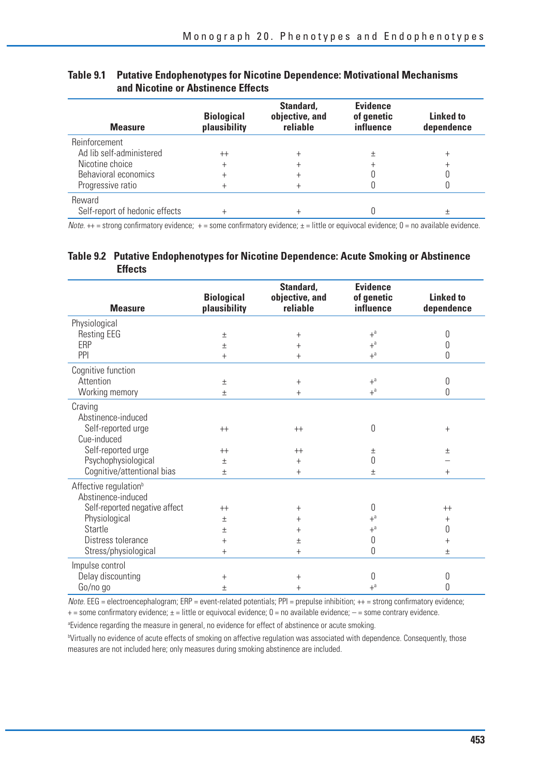| <b>Measure</b>                 | <b>Biological</b><br>plausibility | Standard.<br>objective, and<br>reliable | <b>Evidence</b><br>of genetic<br>influence | Linked to<br>dependence |
|--------------------------------|-----------------------------------|-----------------------------------------|--------------------------------------------|-------------------------|
| <b>Reinforcement</b>           |                                   |                                         |                                            |                         |
| Ad lib self-administered       | $^{++}$                           |                                         | 土                                          |                         |
| Nicotine choice                | +                                 |                                         |                                            |                         |
| Behavioral economics           |                                   |                                         |                                            |                         |
| Progressive ratio              |                                   |                                         |                                            |                         |
| Reward                         |                                   |                                         |                                            |                         |
| Self-report of hedonic effects |                                   |                                         |                                            |                         |

### **Table 9.1 Putative Endophenotypes for Nicotine Dependence: Motivational Mechanisms and Nicotine or Abstinence Effects**

Note.  $++$  = strong confirmatory evidence;  $+=$  some confirmatory evidence;  $\pm$  = little or equivocal evidence; 0 = no available evidence.

#### **Table 9.2 Putative Endophenotypes for Nicotine Dependence: Acute Smoking or Abstinence Effects**

| <b>Measure</b>                    | <b>Biological</b><br>plausibility | Standard,<br>objective, and<br>reliable | <b>Evidence</b><br>of genetic<br>influence | <b>Linked to</b><br>dependence |
|-----------------------------------|-----------------------------------|-----------------------------------------|--------------------------------------------|--------------------------------|
| Physiological                     |                                   |                                         |                                            |                                |
| <b>Resting EEG</b>                | $\pm$                             | $^{+}$                                  | $+$ <sup>a</sup>                           | 0                              |
| ERP                               | $\pm$                             | $^{+}$                                  | $+$ <sup>a</sup>                           | 0                              |
| PPI                               | $^{+}$                            | $^{+}$                                  | $+$ <sup>a</sup>                           | 0                              |
| Cognitive function                |                                   |                                         |                                            |                                |
| Attention                         | $\pm$                             | $^{+}$                                  | $+$ <sup>a</sup>                           | 0                              |
| Working memory                    | $\pm$                             | $^{+}$                                  | $+$ <sup>a</sup>                           | 0                              |
| Craving                           |                                   |                                         |                                            |                                |
| Abstinence-induced                |                                   |                                         |                                            |                                |
| Self-reported urge                | $++$                              | $^{++}$                                 | 0                                          | $^{+}$                         |
| Cue-induced                       |                                   |                                         |                                            |                                |
| Self-reported urge                | $++$                              | $++$                                    | 土                                          | $\pm$                          |
| Psychophysiological               | $\pm$                             | $^{+}$                                  | 0                                          |                                |
| Cognitive/attentional bias        | $\pm$                             | $^{+}$                                  | $\pm$                                      | $+$                            |
| Affective regulation <sup>b</sup> |                                   |                                         |                                            |                                |
| Abstinence-induced                |                                   |                                         |                                            |                                |
| Self-reported negative affect     | $^{++}$                           | $^{+}$                                  | 0                                          | $^{++}$                        |
| Physiological                     | $\pm$                             | $^{+}$                                  | $+$ <sup>a</sup>                           | $^{+}$                         |
| Startle                           | $\pm$                             | $^{+}$                                  | $+$ <sup>a</sup>                           | 0                              |
| Distress tolerance                | $^{+}$                            | 土                                       | 0                                          | $^{+}$                         |
| Stress/physiological              | $+$                               | $^{+}$                                  | 0                                          | $\pm$                          |
| Impulse control                   |                                   |                                         |                                            |                                |
| Delay discounting                 | $^{+}$                            | $^+$                                    | 0                                          | 0                              |
| Go/no go                          | $\pm$                             | $^{+}$                                  | $+$ <sup>a</sup>                           | 0                              |

 $Note. EEG = electroencephalogram; ERP = event-related potentials; PPI = prepulse inhibition; ++ = strong confirmatory evidence;$  $+=$  some confirmatory evidence;  $\pm$  = little or equivocal evidence;  $0=$  no available evidence;  $-$  = some contrary evidence.

a Evidence regarding the measure in general, no evidence for effect of abstinence or acute smoking.

b Virtually no evidence of acute effects of smoking on affective regulation was associated with dependence. Consequently, those measures are not included here; only measures during smoking abstinence are included.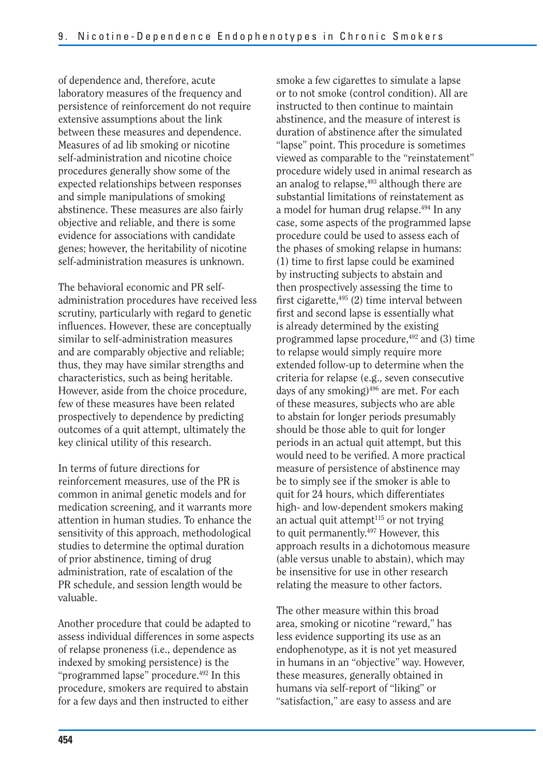of dependence and, therefore, acute laboratory measures of the frequency and persistence of reinforcement do not require extensive assumptions about the link between these measures and dependence. Measures of ad lib smoking or nicotine self-administration and nicotine choice procedures generally show some of the expected relationships between responses and simple manipulations of smoking abstinence. These measures are also fairly objective and reliable, and there is some evidence for associations with candidate genes; however, the heritability of nicotine self-administration measures is unknown.

The behavioral economic and PR selfadministration procedures have received less scrutiny, particularly with regard to genetic influences. However, these are conceptually similar to self-administration measures and are comparably objective and reliable; thus, they may have similar strengths and characteristics, such as being heritable. However, aside from the choice procedure, few of these measures have been related prospectively to dependence by predicting outcomes of a quit attempt, ultimately the key clinical utility of this research.

In terms of future directions for reinforcement measures, use of the PR is common in animal genetic models and for medication screening, and it warrants more attention in human studies. To enhance the sensitivity of this approach, methodological studies to determine the optimal duration of prior abstinence, timing of drug administration, rate of escalation of the PR schedule, and session length would be valuable.

Another procedure that could be adapted to assess individual differences in some aspects of relapse proneness (i.e., dependence as indexed by smoking persistence) is the "programmed lapse" procedure.<sup>492</sup> In this procedure, smokers are required to abstain for a few days and then instructed to either

smoke a few cigarettes to simulate a lapse or to not smoke (control condition). All are instructed to then continue to maintain abstinence, and the measure of interest is duration of abstinence after the simulated "lapse" point. This procedure is sometimes viewed as comparable to the "reinstatement" procedure widely used in animal research as an analog to relapse,<sup>493</sup> although there are substantial limitations of reinstatement as a model for human drug relapse.<sup>494</sup> In any case, some aspects of the programmed lapse procedure could be used to assess each of the phases of smoking relapse in humans: (1) time to first lapse could be examined by instructing subjects to abstain and then prospectively assessing the time to first cigarette,<sup>495</sup> (2) time interval between first and second lapse is essentially what is already determined by the existing programmed lapse procedure, $492$  and (3) time to relapse would simply require more extended follow-up to determine when the criteria for relapse (e.g., seven consecutive days of any smoking)<sup>496</sup> are met. For each of these measures, subjects who are able to abstain for longer periods presumably should be those able to quit for longer periods in an actual quit attempt, but this would need to be verified. A more practical measure of persistence of abstinence may be to simply see if the smoker is able to quit for 24 hours, which differentiates high- and low-dependent smokers making an actual quit attempt $115$  or not trying to quit permanently.497 However, this approach results in a dichotomous measure (able versus unable to abstain), which may be insensitive for use in other research relating the measure to other factors.

The other measure within this broad area, smoking or nicotine "reward," has less evidence supporting its use as an endophenotype, as it is not yet measured in humans in an "objective" way. However, these measures, generally obtained in humans via self-report of "liking" or "satisfaction," are easy to assess and are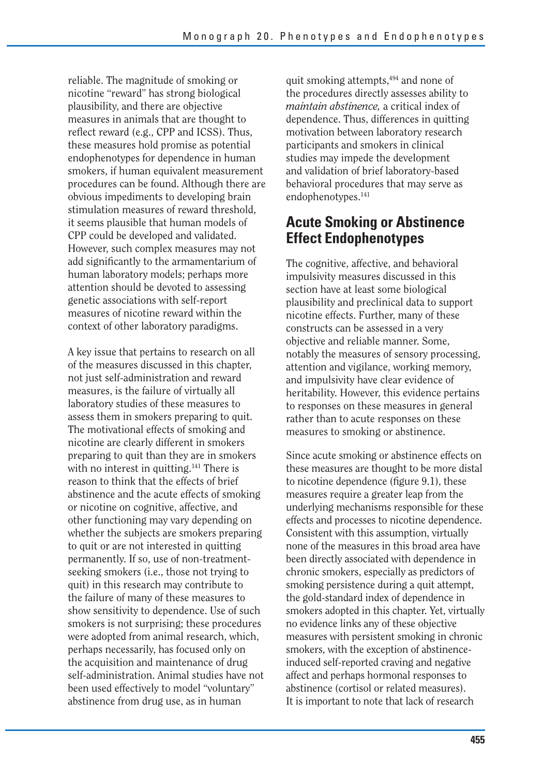reliable. The magnitude of smoking or nicotine "reward" has strong biological plausibility, and there are objective measures in animals that are thought to reflect reward (e.g., CPP and ICSS). Thus, these measures hold promise as potential endophenotypes for dependence in human smokers, if human equivalent measurement procedures can be found. Although there are obvious impediments to developing brain stimulation measures of reward threshold, it seems plausible that human models of CPP could be developed and validated. However, such complex measures may not add significantly to the armamentarium of human laboratory models; perhaps more attention should be devoted to assessing genetic associations with self-report measures of nicotine reward within the context of other laboratory paradigms.

A key issue that pertains to research on all of the measures discussed in this chapter, not just self-administration and reward measures, is the failure of virtually all laboratory studies of these measures to assess them in smokers preparing to quit. The motivational effects of smoking and nicotine are clearly different in smokers preparing to quit than they are in smokers with no interest in quitting.<sup>141</sup> There is reason to think that the effects of brief abstinence and the acute effects of smoking or nicotine on cognitive, affective, and other functioning may vary depending on whether the subjects are smokers preparing to quit or are not interested in quitting permanently. If so, use of non-treatmentseeking smokers (i.e., those not trying to quit) in this research may contribute to the failure of many of these measures to show sensitivity to dependence. Use of such smokers is not surprising; these procedures were adopted from animal research, which, perhaps necessarily, has focused only on the acquisition and maintenance of drug self-administration. Animal studies have not been used effectively to model "voluntary" abstinence from drug use, as in human

quit smoking attempts,494 and none of the procedures directly assesses ability to *maintain abstinence,* a critical index of dependence. Thus, differences in quitting motivation between laboratory research participants and smokers in clinical studies may impede the development and validation of brief laboratory-based behavioral procedures that may serve as endophenotypes.<sup>141</sup>

# **Acute Smoking or Abstinence Effect Endophenotypes**

The cognitive, affective, and behavioral impulsivity measures discussed in this section have at least some biological plausibility and preclinical data to support nicotine effects. Further, many of these constructs can be assessed in a very objective and reliable manner. Some, notably the measures of sensory processing, attention and vigilance, working memory, and impulsivity have clear evidence of heritability. However, this evidence pertains to responses on these measures in general rather than to acute responses on these measures to smoking or abstinence.

Since acute smoking or abstinence effects on these measures are thought to be more distal to nicotine dependence (figure 9.1), these measures require a greater leap from the underlying mechanisms responsible for these effects and processes to nicotine dependence. Consistent with this assumption, virtually none of the measures in this broad area have been directly associated with dependence in chronic smokers, especially as predictors of smoking persistence during a quit attempt, the gold-standard index of dependence in smokers adopted in this chapter. Yet, virtually no evidence links any of these objective measures with persistent smoking in chronic smokers, with the exception of abstinenceinduced self-reported craving and negative affect and perhaps hormonal responses to abstinence (cortisol or related measures). It is important to note that lack of research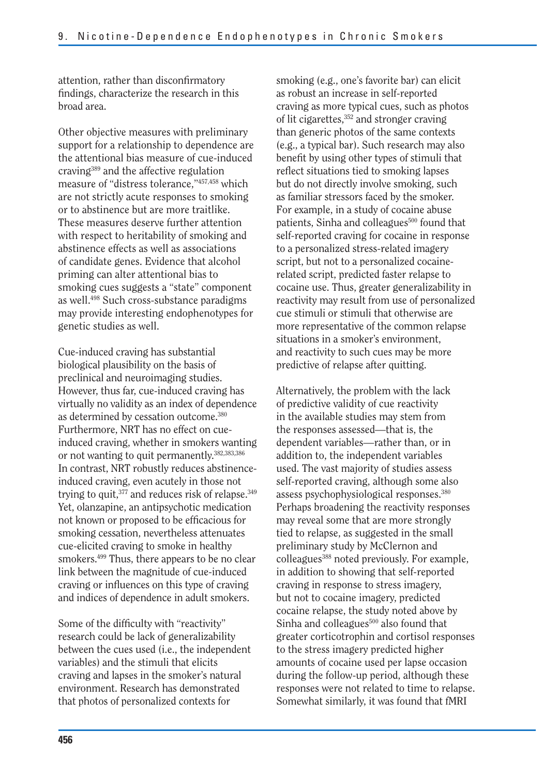attention, rather than disconfirmatory findings, characterize the research in this broad area.

Other objective measures with preliminary support for a relationship to dependence are the attentional bias measure of cue-induced craving389 and the affective regulation measure of "distress tolerance,"457,458 which are not strictly acute responses to smoking or to abstinence but are more traitlike. These measures deserve further attention with respect to heritability of smoking and abstinence effects as well as associations of candidate genes. Evidence that alcohol priming can alter attentional bias to smoking cues suggests a "state" component as well.498 Such cross-substance paradigms may provide interesting endophenotypes for genetic studies as well.

Cue-induced craving has substantial biological plausibility on the basis of preclinical and neuroimaging studies. However, thus far, cue-induced craving has virtually no validity as an index of dependence as determined by cessation outcome.380 Furthermore, NRT has no effect on cueinduced craving, whether in smokers wanting or not wanting to quit permanently.382,383,386 In contrast, NRT robustly reduces abstinenceinduced craving, even acutely in those not trying to quit,<sup>377</sup> and reduces risk of relapse.<sup>349</sup> Yet, olanzapine, an antipsychotic medication not known or proposed to be efficacious for smoking cessation, nevertheless attenuates cue-elicited craving to smoke in healthy smokers.499 Thus, there appears to be no clear link between the magnitude of cue-induced craving or influences on this type of craving and indices of dependence in adult smokers.

Some of the difficulty with "reactivity" research could be lack of generalizability between the cues used (i.e., the independent variables) and the stimuli that elicits craving and lapses in the smoker's natural environment. Research has demonstrated that photos of personalized contexts for

smoking (e.g., one's favorite bar) can elicit as robust an increase in self-reported craving as more typical cues, such as photos of lit cigarettes,<sup>352</sup> and stronger craving than generic photos of the same contexts (e.g., a typical bar). Such research may also benefit by using other types of stimuli that reflect situations tied to smoking lapses but do not directly involve smoking, such as familiar stressors faced by the smoker. For example, in a study of cocaine abuse patients, Sinha and colleagues<sup>500</sup> found that self-reported craving for cocaine in response to a personalized stress-related imagery script, but not to a personalized cocainerelated script, predicted faster relapse to cocaine use. Thus, greater generalizability in reactivity may result from use of personalized cue stimuli or stimuli that otherwise are more representative of the common relapse situations in a smoker's environment, and reactivity to such cues may be more predictive of relapse after quitting.

Alternatively, the problem with the lack of predictive validity of cue reactivity in the available studies may stem from the responses assessed—that is, the dependent variables—rather than, or in addition to, the independent variables used. The vast majority of studies assess self-reported craving, although some also assess psychophysiological responses.380 Perhaps broadening the reactivity responses may reveal some that are more strongly tied to relapse, as suggested in the small preliminary study by McClernon and colleagues<sup>388</sup> noted previously. For example, in addition to showing that self-reported craving in response to stress imagery, but not to cocaine imagery, predicted cocaine relapse, the study noted above by Sinha and colleagues $500$  also found that greater corticotrophin and cortisol responses to the stress imagery predicted higher amounts of cocaine used per lapse occasion during the follow-up period, although these responses were not related to time to relapse. Somewhat similarly, it was found that fMRI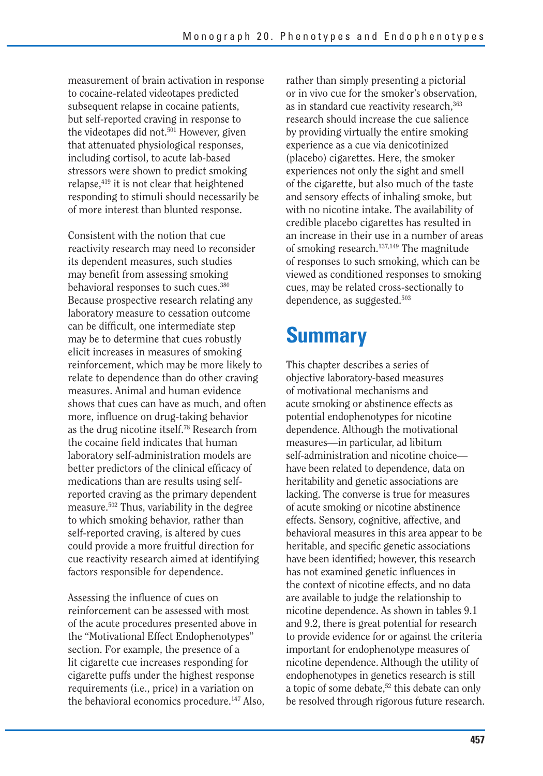measurement of brain activation in response to cocaine-related videotapes predicted subsequent relapse in cocaine patients, but self-reported craving in response to the videotapes did not.<sup>501</sup> However, given that attenuated physiological responses, including cortisol, to acute lab-based stressors were shown to predict smoking relapse,419 it is not clear that heightened responding to stimuli should necessarily be of more interest than blunted response.

Consistent with the notion that cue reactivity research may need to reconsider its dependent measures, such studies may benefit from assessing smoking behavioral responses to such cues.380 Because prospective research relating any laboratory measure to cessation outcome can be difficult, one intermediate step may be to determine that cues robustly elicit increases in measures of smoking reinforcement, which may be more likely to relate to dependence than do other craving measures. Animal and human evidence shows that cues can have as much, and often more, influence on drug-taking behavior as the drug nicotine itself.78 Research from the cocaine field indicates that human laboratory self-administration models are better predictors of the clinical efficacy of medications than are results using selfreported craving as the primary dependent measure.502 Thus, variability in the degree to which smoking behavior, rather than self-reported craving, is altered by cues could provide a more fruitful direction for cue reactivity research aimed at identifying factors responsible for dependence.

Assessing the influence of cues on reinforcement can be assessed with most of the acute procedures presented above in the "Motivational Effect Endophenotypes" section. For example, the presence of a lit cigarette cue increases responding for cigarette puffs under the highest response requirements (i.e., price) in a variation on the behavioral economics procedure.<sup>147</sup> Also,

rather than simply presenting a pictorial or in vivo cue for the smoker's observation, as in standard cue reactivity research,<sup>363</sup> research should increase the cue salience by providing virtually the entire smoking experience as a cue via denicotinized (placebo) cigarettes. Here, the smoker experiences not only the sight and smell of the cigarette, but also much of the taste and sensory effects of inhaling smoke, but with no nicotine intake. The availability of credible placebo cigarettes has resulted in an increase in their use in a number of areas of smoking research.137,149 The magnitude of responses to such smoking, which can be viewed as conditioned responses to smoking cues, may be related cross-sectionally to dependence, as suggested.503

# **Summary**

This chapter describes a series of objective laboratory-based measures of motivational mechanisms and acute smoking or abstinence effects as potential endophenotypes for nicotine dependence. Although the motivational measures—in particular, ad libitum self-administration and nicotine choice have been related to dependence, data on heritability and genetic associations are lacking. The converse is true for measures of acute smoking or nicotine abstinence effects. Sensory, cognitive, affective, and behavioral measures in this area appear to be heritable, and specific genetic associations have been identified; however, this research has not examined genetic influences in the context of nicotine effects, and no data are available to judge the relationship to nicotine dependence. As shown in tables 9.1 and 9.2, there is great potential for research to provide evidence for or against the criteria important for endophenotype measures of nicotine dependence. Although the utility of endophenotypes in genetics research is still a topic of some debate,<sup>52</sup> this debate can only be resolved through rigorous future research.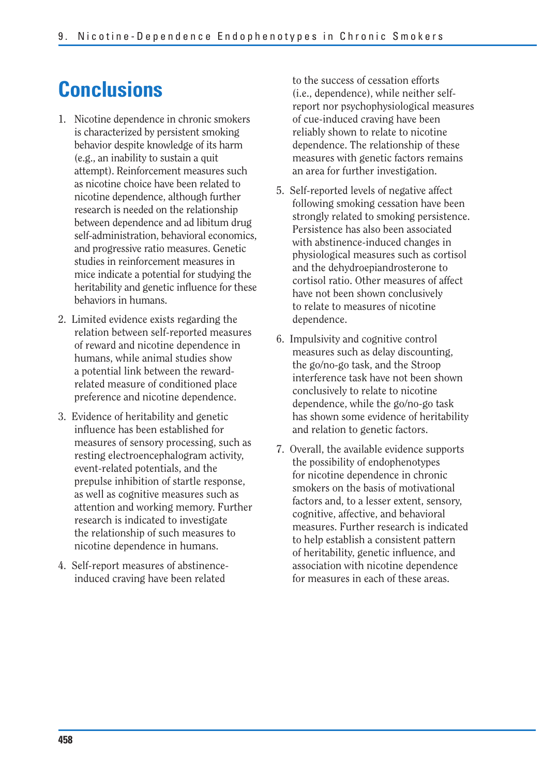# **Conclusions**

- 1. Nicotine dependence in chronic smokers is characterized by persistent smoking behavior despite knowledge of its harm (e.g., an inability to sustain a quit attempt). Reinforcement measures such as nicotine choice have been related to nicotine dependence, although further research is needed on the relationship between dependence and ad libitum drug self-administration, behavioral economics, and progressive ratio measures. Genetic studies in reinforcement measures in mice indicate a potential for studying the heritability and genetic influence for these behaviors in humans.
- 2. Limited evidence exists regarding the relation between self-reported measures of reward and nicotine dependence in humans, while animal studies show a potential link between the rewardrelated measure of conditioned place preference and nicotine dependence.
- 3. Evidence of heritability and genetic influence has been established for measures of sensory processing, such as resting electroencephalogram activity, event-related potentials, and the prepulse inhibition of startle response, as well as cognitive measures such as attention and working memory. Further research is indicated to investigate the relationship of such measures to nicotine dependence in humans.
- 4. Self-report measures of abstinenceinduced craving have been related

to the success of cessation efforts (i.e., dependence), while neither selfreport nor psychophysiological measures of cue-induced craving have been reliably shown to relate to nicotine dependence. The relationship of these measures with genetic factors remains an area for further investigation.

- 5. Self-reported levels of negative affect following smoking cessation have been strongly related to smoking persistence. Persistence has also been associated with abstinence-induced changes in physiological measures such as cortisol and the dehydroepiandrosterone to cortisol ratio. Other measures of affect have not been shown conclusively to relate to measures of nicotine dependence.
- 6. Impulsivity and cognitive control measures such as delay discounting, the go/no-go task, and the Stroop interference task have not been shown conclusively to relate to nicotine dependence, while the go/no-go task has shown some evidence of heritability and relation to genetic factors.
- 7. Overall, the available evidence supports the possibility of endophenotypes for nicotine dependence in chronic smokers on the basis of motivational factors and, to a lesser extent, sensory, cognitive, affective, and behavioral measures. Further research is indicated to help establish a consistent pattern of heritability, genetic influence, and association with nicotine dependence for measures in each of these areas.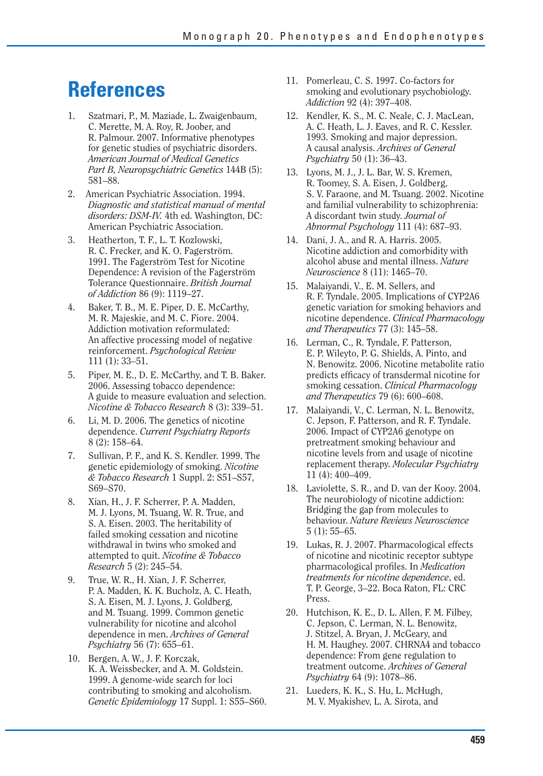# **References**

- 1. Szatmari, P., M. Maziade, L. Zwaigenbaum, C. Merette, M. A. Roy, R. Joober, and R. Palmour. 2007. Informative phenotypes for genetic studies of psychiatric disorders. *American Journal of Medical Genetics Part B, Neuropsychiatric Genetics* 144B (5): 581–88.
- 2. American Psychiatric Association. 1994. *Diagnostic and statistical manual of mental disorders: DSM-IV.* 4th ed. Washington, DC: American Psychiatric Association.
- 3. Heatherton, T. F., L. T. Kozlowski, R. C. Frecker, and K. O. Fagerström. 1991. The Fagerström Test for Nicotine Dependence: A revision of the Fagerström Tolerance Questionnaire. *British Journal of Addiction* 86 (9): 1119–27.
- 4. Baker, T. B., M. E. Piper, D. E. McCarthy, M. R. Majeskie, and M. C. Fiore. 2004. Addiction motivation reformulated: An affective processing model of negative reinforcement. *Psychological Review* 111 (1): 33–51.
- 5. Piper, M. E., D. E. McCarthy, and T. B. Baker. 2006. Assessing tobacco dependence: A guide to measure evaluation and selection. *Nicotine & Tobacco Research* 8 (3): 339–51.
- 6. Li, M. D. 2006. The genetics of nicotine dependence. *Current Psychiatry Reports*  8 (2): 158–64.
- 7. Sullivan, P. F., and K. S. Kendler. 1999. The genetic epidemiology of smoking. *Nicotine & Tobacco Research* 1 Suppl. 2: S51–S57, S69–S70.
- 8. Xian, H., J. F. Scherrer, P. A. Madden, M. J. Lyons, M. Tsuang, W. R. True, and S. A. Eisen. 2003. The heritability of failed smoking cessation and nicotine withdrawal in twins who smoked and attempted to quit. *Nicotine & Tobacco Research* 5 (2): 245–54.
- 9. True, W. R., H. Xian, J. F. Scherrer, P. A. Madden, K. K. Bucholz, A. C. Heath, S. A. Eisen, M. J. Lyons, J. Goldberg, and M. Tsuang. 1999. Common genetic vulnerability for nicotine and alcohol dependence in men. *Archives of General Psychiatry* 56 (7): 655–61.
- 10. Bergen, A. W., J. F. Korczak, K. A. Weissbecker, and A. M. Goldstein. 1999. A genome-wide search for loci contributing to smoking and alcoholism. *Genetic Epidemiology* 17 Suppl. 1: S55–S60.
- 11. Pomerleau, C. S. 1997. Co-factors for smoking and evolutionary psychobiology. *Addiction* 92 (4): 397–408.
- 12. Kendler, K. S., M. C. Neale, C. J. MacLean, A. C. Heath, L. J. Eaves, and R. C. Kessler. 1993. Smoking and major depression. A causal analysis. *Archives of General Psychiatry* 50 (1): 36–43.
- 13. Lyons, M. J., J. L. Bar, W. S. Kremen, R. Toomey, S. A. Eisen, J. Goldberg, S. V. Faraone, and M. Tsuang. 2002. Nicotine and familial vulnerability to schizophrenia: A discordant twin study. *Journal of Abnormal Psychology* 111 (4): 687–93.
- 14. Dani, J. A., and R. A. Harris. 2005. Nicotine addiction and comorbidity with alcohol abuse and mental illness. *Nature Neuroscience* 8 (11): 1465–70.
- 15. Malaiyandi, V., E. M. Sellers, and R. F. Tyndale. 2005. Implications of CYP2A6 genetic variation for smoking behaviors and nicotine dependence. *Clinical Pharmacology and Therapeutics* 77 (3): 145–58.
- 16. Lerman, C., R. Tyndale, F. Patterson, E. P. Wileyto, P. G. Shields, A. Pinto, and N. Benowitz. 2006. Nicotine metabolite ratio predicts efficacy of transdermal nicotine for smoking cessation. *Clinical Pharmacology and Therapeutics* 79 (6): 600–608.
- 17. Malaiyandi, V., C. Lerman, N. L. Benowitz, C. Jepson, F. Patterson, and R. F. Tyndale. 2006. Impact of CYP2A6 genotype on pretreatment smoking behaviour and nicotine levels from and usage of nicotine replacement therapy. *Molecular Psychiatry*  11 (4): 400–409.
- 18. Laviolette, S. R., and D. van der Kooy. 2004. The neurobiology of nicotine addiction: Bridging the gap from molecules to behaviour. *Nature Reviews Neuroscience*  5 (1): 55–65.
- 19. Lukas, R. J. 2007. Pharmacological effects of nicotine and nicotinic receptor subtype pharmacological profiles. In *Medication treatments for nicotine dependence*, ed. T. P. George, 3–22. Boca Raton, FL: CRC Press.
- 20. Hutchison, K. E., D. L. Allen, F. M. Filbey, C. Jepson, C. Lerman, N. L. Benowitz, J. Stitzel, A. Bryan, J. McGeary, and H. M. Haughey. 2007. CHRNA4 and tobacco dependence: From gene regulation to treatment outcome. *Archives of General Psychiatry* 64 (9): 1078–86.
- 21. Lueders, K. K., S. Hu, L. McHugh, M. V. Myakishev, L. A. Sirota, and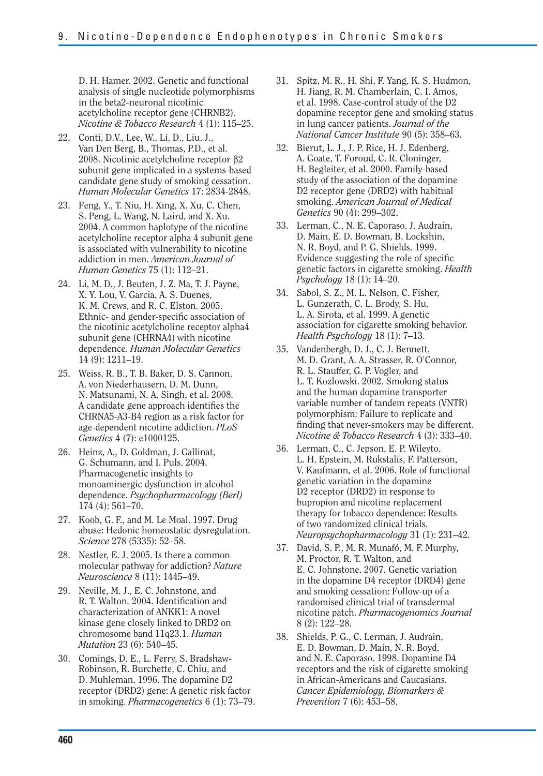D. H. Hamer. 2002. Genetic and functional analysis of single nucleotide polymorphisms in the beta2-neuronal nicotinic acetylcholine receptor gene (CHRNB2). *Nicotine & Tobacco Research* 4 (1): 115–25.

- 22. Conti, D.V., Lee, W., Li, D., Liu, J., Van Den Berg, B., Thomas, P.D., et al. 2008. Nicotinic acetylcholine receptor  $\beta$ 2 subunit gene implicated in a systems-based candidate gene study of smoking cessation. *Human Molecular Genetics* 17: 2834-2848.
- 23. Feng, Y., T. Niu, H. Xing, X. Xu, C. Chen, S. Peng, L. Wang, N. Laird, and X. Xu. 2004. A common haplotype of the nicotine acetylcholine receptor alpha 4 subunit gene is associated with vulnerability to nicotine addiction in men. *American Journal of Human Genetics* 75 (1): 112–21.
- 24. Li, M. D., J. Beuten, J. Z. Ma, T. J. Payne, X. Y. Lou, V. Garcia, A. S. Duenes, K. M. Crews, and R. C. Elston. 2005. Ethnic- and gender-specific association of the nicotinic acetylcholine receptor alpha4 subunit gene (CHRNA4) with nicotine dependence. *Human Molecular Genetics*  14 (9): 1211–19.
- 25. Weiss, R. B., T. B. Baker, D. S. Cannon, A. von Niederhausern, D. M. Dunn, N. Matsunami, N. A. Singh, et al. 2008. A candidate gene approach identifies the CHRNA5-A3-B4 region as a risk factor for age-dependent nicotine addiction. *PLoS Genetics* 4 (7): e1000125.
- 26. Heinz, A., D. Goldman, J. Gallinat, G. Schumann, and I. Puls. 2004. Pharmacogenetic insights to monoaminergic dysfunction in alcohol dependence. *Psychopharmacology (Berl)*  174 (4): 561–70.
- 27. Koob, G. F., and M. Le Moal. 1997. Drug abuse: Hedonic homeostatic dysregulation. *Science* 278 (5335): 52–58.
- 28. Nestler, E. J. 2005. Is there a common molecular pathway for addiction? *Nature Neuroscience* 8 (11): 1445–49.
- 29. Neville, M. J., E. C. Johnstone, and R. T. Walton. 2004. Identification and characterization of ANKK1: A novel kinase gene closely linked to DRD2 on chromosome band 11q23.1. *Human Mutation* 23 (6): 540–45.
- 30. Comings, D. E., L. Ferry, S. Bradshaw-Robinson, R. Burchette, C. Chiu, and D. Muhleman. 1996. The dopamine D2 receptor (DRD2) gene: A genetic risk factor in smoking. *Pharmacogenetics* 6 (1): 73–79.
- 31. Spitz, M. R., H. Shi, F. Yang, K. S. Hudmon, H. Jiang, R. M. Chamberlain, C. I. Amos, et al. 1998. Case-control study of the D2 dopamine receptor gene and smoking status in lung cancer patients. *Journal of the National Cancer Institute* 90 (5): 358–63.
- 32. Bierut, L. J., J. P. Rice, H. J. Edenberg, A. Goate, T. Foroud, C. R. Cloninger, H. Begleiter, et al. 2000. Family-based study of the association of the dopamine D2 receptor gene (DRD2) with habitual smoking. *American Journal of Medical Genetics* 90 (4): 299–302.
- 33. Lerman, C., N. E. Caporaso, J. Audrain, D. Main, E. D. Bowman, B. Lockshin, N. R. Boyd, and P. G. Shields. 1999. Evidence suggesting the role of specific genetic factors in cigarette smoking. *Health Psychology* 18 (1): 14–20.
- 34. Sabol, S. Z., M. L. Nelson, C. Fisher, L. Gunzerath, C. L. Brody, S. Hu, L. A. Sirota, et al. 1999. A genetic association for cigarette smoking behavior. *Health Psychology* 18 (1): 7–13.
- 35. Vandenbergh, D. J., C. J. Bennett, M. D. Grant, A. A. Strasser, R. O'Connor, R. L. Stauffer, G. P. Vogler, and L. T. Kozlowski. 2002. Smoking status and the human dopamine transporter variable number of tandem repeats (VNTR) polymorphism: Failure to replicate and finding that never-smokers may be different. *Nicotine & Tobacco Research* 4 (3): 333–40.
- 36. Lerman, C., C. Jepson, E. P. Wileyto, L. H. Epstein, M. Rukstalis, F. Patterson, V. Kaufmann, et al. 2006. Role of functional genetic variation in the dopamine D2 receptor (DRD2) in response to bupropion and nicotine replacement therapy for tobacco dependence: Results of two randomized clinical trials. *Neuropsychopharmacology* 31 (1): 231–42.
- 37. David, S. P., M. R. Munafó, M. F. Murphy, M. Proctor, R. T. Walton, and E. C. Johnstone. 2007. Genetic variation in the dopamine D4 receptor (DRD4) gene and smoking cessation: Follow-up of a randomised clinical trial of transdermal nicotine patch. *Pharmacogenomics Journal*  8 (2): 122–28.
- 38. Shields, P. G., C. Lerman, J. Audrain, E. D. Bowman, D. Main, N. R. Boyd, and N. E. Caporaso. 1998. Dopamine D4 receptors and the risk of cigarette smoking in African-Americans and Caucasians. *Cancer Epidemiology, Biomarkers & Prevention* 7 (6): 453–58.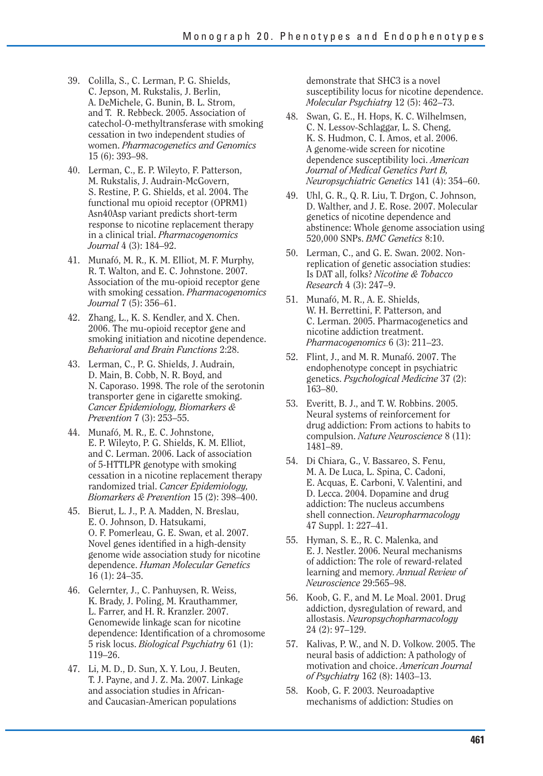- 39. Colilla, S., C. Lerman, P. G. Shields, C. Jepson, M. Rukstalis, J. Berlin, A. DeMichele, G. Bunin, B. L. Strom, and T. R. Rebbeck. 2005. Association of catechol-O-methyltransferase with smoking cessation in two independent studies of women. *Pharmacogenetics and Genomics*  15 (6): 393–98.
- 40. Lerman, C., E. P. Wileyto, F. Patterson, M. Rukstalis, J. Audrain-McGovern, S. Restine, P. G. Shields, et al. 2004. The functional mu opioid receptor (OPRM1) Asn40Asp variant predicts short-term response to nicotine replacement therapy in a clinical trial. *Pharmacogenomics Journal* 4 (3): 184–92.
- 41. Munafó, M. R., K. M. Elliot, M. F. Murphy, R. T. Walton, and E. C. Johnstone. 2007. Association of the mu-opioid receptor gene with smoking cessation. *Pharmacogenomics Journal* 7 (5): 356–61.
- 42. Zhang, L., K. S. Kendler, and X. Chen. 2006. The mu-opioid receptor gene and smoking initiation and nicotine dependence. *Behavioral and Brain Functions* 2:28.
- 43. Lerman, C., P. G. Shields, J. Audrain, D. Main, B. Cobb, N. R. Boyd, and N. Caporaso. 1998. The role of the serotonin transporter gene in cigarette smoking. *Cancer Epidemiology, Biomarkers & Prevention* 7 (3): 253–55.
- 44. Munafó, M. R., E. C. Johnstone, E. P. Wileyto, P. G. Shields, K. M. Elliot, and C. Lerman. 2006. Lack of association of 5-HTTLPR genotype with smoking cessation in a nicotine replacement therapy randomized trial. *Cancer Epidemiology, Biomarkers & Prevention* 15 (2): 398–400.
- 45. Bierut, L. J., P. A. Madden, N. Breslau, E. O. Johnson, D. Hatsukami, O. F. Pomerleau, G. E. Swan, et al. 2007. Novel genes identified in a high-density genome wide association study for nicotine dependence. *Human Molecular Genetics*  16 (1): 24–35.
- 46. Gelernter, J., C. Panhuysen, R. Weiss, K. Brady, J. Poling, M. Krauthammer, L. Farrer, and H. R. Kranzler. 2007. Genomewide linkage scan for nicotine dependence: Identification of a chromosome 5 risk locus. *Biological Psychiatry* 61 (1): 119–26.
- 47. Li, M. D., D. Sun, X. Y. Lou, J. Beuten, T. J. Payne, and J. Z. Ma. 2007. Linkage and association studies in Africanand Caucasian-American populations

demonstrate that SHC3 is a novel susceptibility locus for nicotine dependence. *Molecular Psychiatry* 12 (5): 462–73.

- 48. Swan, G. E., H. Hops, K. C. Wilhelmsen, C. N. Lessov-Schlaggar, L. S. Cheng, K. S. Hudmon, C. I. Amos, et al. 2006. A genome-wide screen for nicotine dependence susceptibility loci. *American Journal of Medical Genetics Part B, Neuropsychiatric Genetics* 141 (4): 354–60.
- 49. Uhl, G. R., Q. R. Liu, T. Drgon, C. Johnson, D. Walther, and J. E. Rose. 2007. Molecular genetics of nicotine dependence and abstinence: Whole genome association using 520,000 SNPs. *BMC Genetics* 8:10.
- 50. Lerman, C., and G. E. Swan. 2002. Nonreplication of genetic association studies: Is DAT all, folks? *Nicotine & Tobacco Research* 4 (3): 247–9.
- 51. Munafó, M. R., A. E. Shields, W. H. Berrettini, F. Patterson, and C. Lerman. 2005. Pharmacogenetics and nicotine addiction treatment. *Pharmacogenomics* 6 (3): 211–23.
- 52. Flint, J., and M. R. Munafó. 2007. The endophenotype concept in psychiatric genetics. *Psychological Medicine* 37 (2): 163–80.
- 53. Everitt, B. J., and T. W. Robbins. 2005. Neural systems of reinforcement for drug addiction: From actions to habits to compulsion. *Nature Neuroscience* 8 (11): 1481–89.
- 54. Di Chiara, G., V. Bassareo, S. Fenu, M. A. De Luca, L. Spina, C. Cadoni, E. Acquas, E. Carboni, V. Valentini, and D. Lecca. 2004. Dopamine and drug addiction: The nucleus accumbens shell connection. *Neuropharmacology*  47 Suppl. 1: 227–41.
- 55. Hyman, S. E., R. C. Malenka, and E. J. Nestler. 2006. Neural mechanisms of addiction: The role of reward-related learning and memory. *Annual Review of Neuroscience* 29:565–98.
- 56. Koob, G. F., and M. Le Moal. 2001. Drug addiction, dysregulation of reward, and allostasis. *Neuropsychopharmacology*  24 (2): 97–129.
- 57. Kalivas, P. W., and N. D. Volkow. 2005. The neural basis of addiction: A pathology of motivation and choice. *American Journal of Psychiatry* 162 (8): 1403–13.
- 58. Koob, G. F. 2003. Neuroadaptive mechanisms of addiction: Studies on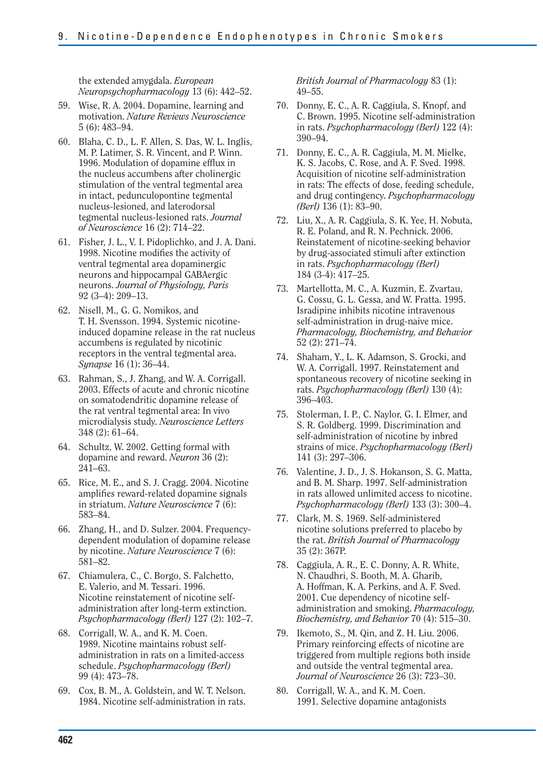the extended amygdala. *European Neuropsychopharmacology* 13 (6): 442–52.

- 59. Wise, R. A. 2004. Dopamine, learning and motivation. *Nature Reviews Neuroscience*  5 (6): 483–94.
- 60. Blaha, C. D., L. F. Allen, S. Das, W. L. Inglis, M. P. Latimer, S. R. Vincent, and P. Winn. 1996. Modulation of dopamine efflux in the nucleus accumbens after cholinergic stimulation of the ventral tegmental area in intact, pedunculopontine tegmental nucleus-lesioned, and laterodorsal tegmental nucleus-lesioned rats. *Journal of Neuroscience* 16 (2): 714–22.
- 61. Fisher, J. L., V. I. Pidoplichko, and J. A. Dani. 1998. Nicotine modifies the activity of ventral tegmental area dopaminergic neurons and hippocampal GABAergic neurons. *Journal of Physiology, Paris*  92 (3–4): 209–13.
- 62. Nisell, M., G. G. Nomikos, and T. H. Svensson. 1994. Systemic nicotineinduced dopamine release in the rat nucleus accumbens is regulated by nicotinic receptors in the ventral tegmental area. *Synapse* 16 (1): 36–44.
- 63. Rahman, S., J. Zhang, and W. A. Corrigall. 2003. Effects of acute and chronic nicotine on somatodendritic dopamine release of the rat ventral tegmental area: In vivo microdialysis study. *Neuroscience Letters*  348 (2): 61–64.
- 64. Schultz, W. 2002. Getting formal with dopamine and reward. *Neuron* 36 (2): 241–63.
- 65. Rice, M. E., and S. J. Cragg. 2004. Nicotine amplifies reward-related dopamine signals in striatum. *Nature Neuroscience* 7 (6): 583–84.
- 66. Zhang, H., and D. Sulzer. 2004. Frequencydependent modulation of dopamine release by nicotine. *Nature Neuroscience* 7 (6): 581–82.
- 67. Chiamulera, C., C. Borgo, S. Falchetto, E. Valerio, and M. Tessari. 1996. Nicotine reinstatement of nicotine selfadministration after long-term extinction. *Psychopharmacology (Berl)* 127 (2): 102–7.
- 68. Corrigall, W. A., and K. M. Coen. 1989. Nicotine maintains robust selfadministration in rats on a limited-access schedule. *Psychopharmacology (Berl)*  99 (4): 473–78.
- 69. Cox, B. M., A. Goldstein, and W. T. Nelson. 1984. Nicotine self-administration in rats.

*British Journal of Pharmacology* 83 (1): 49–55.

- 70. Donny, E. C., A. R. Caggiula, S. Knopf, and C. Brown. 1995. Nicotine self-administration in rats. *Psychopharmacology (Berl)* 122 (4): 390–94.
- 71. Donny, E. C., A. R. Caggiula, M. M. Mielke, K. S. Jacobs, C. Rose, and A. F. Sved. 1998. Acquisition of nicotine self-administration in rats: The effects of dose, feeding schedule, and drug contingency. *Psychopharmacology (Berl)* 136 (1): 83–90.
- 72. Liu, X., A. R. Caggiula, S. K. Yee, H. Nobuta, R. E. Poland, and R. N. Pechnick. 2006. Reinstatement of nicotine-seeking behavior by drug-associated stimuli after extinction in rats. *Psychopharmacology (Berl)*  184 (3-4): 417–25.
- 73. Martellotta, M. C., A. Kuzmin, E. Zvartau, G. Cossu, G. L. Gessa, and W. Fratta. 1995. Isradipine inhibits nicotine intravenous self-administration in drug-naive mice. *Pharmacology, Biochemistry, and Behavior*  52 (2): 271–74.
- 74. Shaham, Y., L. K. Adamson, S. Grocki, and W. A. Corrigall. 1997. Reinstatement and spontaneous recovery of nicotine seeking in rats. *Psychopharmacology (Berl)* 130 (4): 396–403.
- 75. Stolerman, I. P., C. Naylor, G. I. Elmer, and S. R. Goldberg. 1999. Discrimination and self-administration of nicotine by inbred strains of mice. *Psychopharmacology (Berl)*  141 (3): 297–306.
- 76. Valentine, J. D., J. S. Hokanson, S. G. Matta, and B. M. Sharp. 1997. Self-administration in rats allowed unlimited access to nicotine. *Psychopharmacology (Berl)* 133 (3): 300–4.
- 77. Clark, M. S. 1969. Self-administered nicotine solutions preferred to placebo by the rat. *British Journal of Pharmacology*  35 (2): 367P.
- 78. Caggiula, A. R., E. C. Donny, A. R. White, N. Chaudhri, S. Booth, M. A. Gharib, A. Hoffman, K. A. Perkins, and A. F. Sved. 2001. Cue dependency of nicotine selfadministration and smoking. *Pharmacology, Biochemistry, and Behavior* 70 (4): 515–30.
- 79. Ikemoto, S., M. Qin, and Z. H. Liu. 2006. Primary reinforcing effects of nicotine are triggered from multiple regions both inside and outside the ventral tegmental area. *Journal of Neuroscience* 26 (3): 723–30.
- 80. Corrigall, W. A., and K. M. Coen. 1991. Selective dopamine antagonists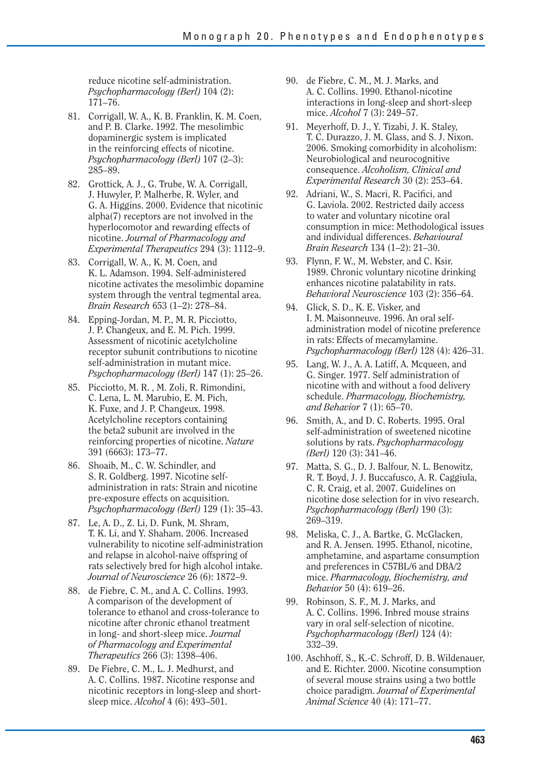reduce nicotine self-administration. *Psychopharmacology (Berl)* 104 (2): 171–76.

- 81. Corrigall, W. A., K. B. Franklin, K. M. Coen, and P. B. Clarke. 1992. The mesolimbic dopaminergic system is implicated in the reinforcing effects of nicotine. *Psychopharmacology (Berl)* 107 (2–3): 285–89.
- 82. Grottick, A. J., G. Trube, W. A. Corrigall, J. Huwyler, P. Malherbe, R. Wyler, and G. A. Higgins. 2000. Evidence that nicotinic alpha(7) receptors are not involved in the hyperlocomotor and rewarding effects of nicotine. *Journal of Pharmacology and Experimental Therapeutics* 294 (3): 1112–9.
- 83. Corrigall, W. A., K. M. Coen, and K. L. Adamson. 1994. Self-administered nicotine activates the mesolimbic dopamine system through the ventral tegmental area. *Brain Research* 653 (1–2): 278–84.
- 84. Epping-Jordan, M. P., M. R. Picciotto, J. P. Changeux, and E. M. Pich. 1999. Assessment of nicotinic acetylcholine receptor subunit contributions to nicotine self-administration in mutant mice. *Psychopharmacology (Berl)* 147 (1): 25–26.
- 85. Picciotto, M. R., M. Zoli, R. Rimondini, C. Lena, L. M. Marubio, E. M. Pich, K. Fuxe, and J. P. Changeux. 1998. Acetylcholine receptors containing the beta2 subunit are involved in the reinforcing properties of nicotine. *Nature*  391 (6663): 173–77.
- 86. Shoaib, M., C. W. Schindler, and S. R. Goldberg. 1997. Nicotine selfadministration in rats: Strain and nicotine pre-exposure effects on acquisition. *Psychopharmacology (Berl)* 129 (1): 35–43.
- 87. Le, A. D., Z. Li, D. Funk, M. Shram, T. K. Li, and Y. Shaham. 2006. Increased vulnerability to nicotine self-administration and relapse in alcohol-naive offspring of rats selectively bred for high alcohol intake. *Journal of Neuroscience* 26 (6): 1872–9.
- 88. de Fiebre, C. M., and A. C. Collins. 1993. A comparison of the development of tolerance to ethanol and cross-tolerance to nicotine after chronic ethanol treatment in long- and short-sleep mice. *Journal of Pharmacology and Experimental Therapeutics* 266 (3): 1398–406.
- 89. De Fiebre, C. M., L. J. Medhurst, and A. C. Collins. 1987. Nicotine response and nicotinic receptors in long-sleep and shortsleep mice. *Alcohol* 4 (6): 493–501.
- 90. de Fiebre, C. M., M. J. Marks, and A. C. Collins. 1990. Ethanol-nicotine interactions in long-sleep and short-sleep mice. *Alcohol* 7 (3): 249–57.
- 91. Meyerhoff, D. J., Y. Tizabi, J. K. Staley, T. C. Durazzo, J. M. Glass, and S. J. Nixon. 2006. Smoking comorbidity in alcoholism: Neurobiological and neurocognitive consequence. *Alcoholism, Clinical and Experimental Research* 30 (2): 253–64.
- 92. Adriani, W., S. Macri, R. Pacifici, and G. Laviola. 2002. Restricted daily access to water and voluntary nicotine oral consumption in mice: Methodological issues and individual differences. *Behavioural Brain Research* 134 (1–2): 21–30.
- 93. Flynn, F. W., M. Webster, and C. Ksir. 1989. Chronic voluntary nicotine drinking enhances nicotine palatability in rats. *Behavioral Neuroscience* 103 (2): 356–64.
- 94. Glick, S. D., K. E. Visker, and I. M. Maisonneuve. 1996. An oral selfadministration model of nicotine preference in rats: Effects of mecamylamine. *Psychopharmacology (Berl)* 128 (4): 426–31.
- 95. Lang, W. J., A. A. Latiff, A. Mcqueen, and G. Singer. 1977. Self administration of nicotine with and without a food delivery schedule. *Pharmacology, Biochemistry, and Behavior* 7 (1): 65–70.
- 96. Smith, A., and D. C. Roberts. 1995. Oral self-administration of sweetened nicotine solutions by rats. *Psychopharmacology (Berl)* 120 (3): 341–46.
- 97. Matta, S. G., D. J. Balfour, N. L. Benowitz, R. T. Boyd, J. J. Buccafusco, A. R. Caggiula, C. R. Craig, et al. 2007. Guidelines on nicotine dose selection for in vivo research. *Psychopharmacology (Berl)* 190 (3): 269–319.
- 98. Meliska, C. J., A. Bartke, G. McGlacken, and R. A. Jensen. 1995. Ethanol, nicotine, amphetamine, and aspartame consumption and preferences in C57BL/6 and DBA/2 mice. *Pharmacology, Biochemistry, and Behavior* 50 (4): 619–26.
- 99. Robinson, S. F., M. J. Marks, and A. C. Collins. 1996. Inbred mouse strains vary in oral self-selection of nicotine. *Psychopharmacology (Berl)* 124 (4): 332–39.
- 100. Aschhoff, S., K.-C. Schroff, D. B. Wildenauer, and E. Richter. 2000. Nicotine consumption of several mouse strains using a two bottle choice paradigm. *Journal of Experimental Animal Science* 40 (4): 171–77.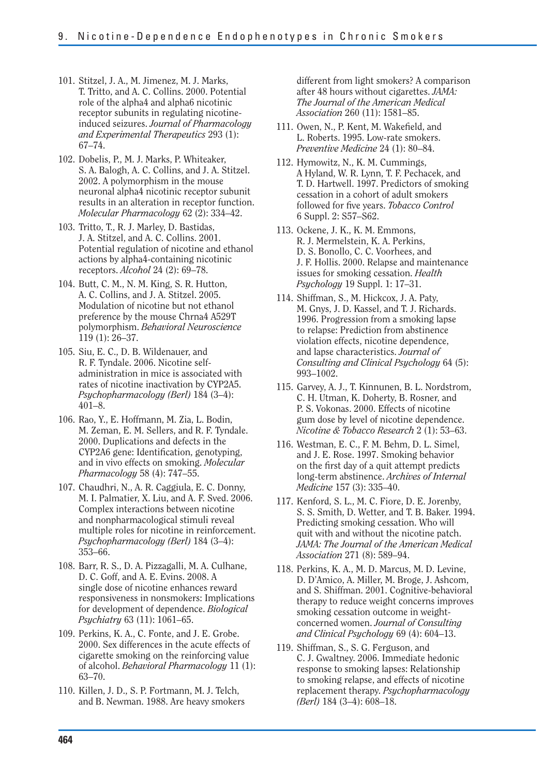- 101. Stitzel, J. A., M. Jimenez, M. J. Marks, T. Tritto, and A. C. Collins. 2000. Potential role of the alpha4 and alpha6 nicotinic receptor subunits in regulating nicotineinduced seizures. *Journal of Pharmacology and Experimental Therapeutics* 293 (1): 67–74.
- 102. Dobelis, P., M. J. Marks, P. Whiteaker, S. A. Balogh, A. C. Collins, and J. A. Stitzel. 2002. A polymorphism in the mouse neuronal alpha4 nicotinic receptor subunit results in an alteration in receptor function. *Molecular Pharmacology* 62 (2): 334–42.

103. Tritto, T., R. J. Marley, D. Bastidas, J. A. Stitzel, and A. C. Collins. 2001. Potential regulation of nicotine and ethanol actions by alpha4-containing nicotinic receptors. *Alcohol* 24 (2): 69–78.

- 104. Butt, C. M., N. M. King, S. R. Hutton, A. C. Collins, and J. A. Stitzel. 2005. Modulation of nicotine but not ethanol preference by the mouse Chrna4 A529T polymorphism. *Behavioral Neuroscience*  119 (1): 26–37.
- 105. Siu, E. C., D. B. Wildenauer, and R. F. Tyndale. 2006. Nicotine selfadministration in mice is associated with rates of nicotine inactivation by CYP2A5. *Psychopharmacology (Berl)* 184 (3–4): 401–8.
- 106. Rao, Y., E. Hoffmann, M. Zia, L. Bodin, M. Zeman, E. M. Sellers, and R. F. Tyndale. 2000. Duplications and defects in the CYP2A6 gene: Identification, genotyping, and in vivo effects on smoking. *Molecular Pharmacology* 58 (4): 747–55.
- 107. Chaudhri, N., A. R. Caggiula, E. C. Donny, M. I. Palmatier, X. Liu, and A. F. Sved. 2006. Complex interactions between nicotine and nonpharmacological stimuli reveal multiple roles for nicotine in reinforcement. *Psychopharmacology (Berl)* 184 (3–4): 353–66.
- 108. Barr, R. S., D. A. Pizzagalli, M. A. Culhane, D. C. Goff, and A. E. Evins. 2008. A single dose of nicotine enhances reward responsiveness in nonsmokers: Implications for development of dependence. *Biological Psychiatry* 63 (11): 1061–65.
- 109. Perkins, K. A., C. Fonte, and J. E. Grobe. 2000. Sex differences in the acute effects of cigarette smoking on the reinforcing value of alcohol. *Behavioral Pharmacology* 11 (1): 63–70.
- 110. Killen, J. D., S. P. Fortmann, M. J. Telch, and B. Newman. 1988. Are heavy smokers

different from light smokers? A comparison after 48 hours without cigarettes. *JAMA: The Journal of the American Medical Association* 260 (11): 1581–85.

- 111. Owen, N., P. Kent, M. Wakefield, and L. Roberts. 1995. Low-rate smokers. *Preventive Medicine* 24 (1): 80–84.
- 112. Hymowitz, N., K. M. Cummings, A Hyland, W. R. Lynn, T. F. Pechacek, and T. D. Hartwell. 1997. Predictors of smoking cessation in a cohort of adult smokers followed for five years. *Tobacco Control* 6 Suppl. 2: S57–S62.
- 113. Ockene, J. K., K. M. Emmons, R. J. Mermelstein, K. A. Perkins, D. S. Bonollo, C. C. Voorhees, and J. F. Hollis. 2000. Relapse and maintenance issues for smoking cessation. *Health Psychology* 19 Suppl. 1: 17–31.
- 114. Shiffman, S., M. Hickcox, J. A. Paty, M. Gnys, J. D. Kassel, and T. J. Richards. 1996. Progression from a smoking lapse to relapse: Prediction from abstinence violation effects, nicotine dependence, and lapse characteristics. *Journal of Consulting and Clinical Psychology* 64 (5): 993–1002.
- 115. Garvey, A. J., T. Kinnunen, B. L. Nordstrom, C. H. Utman, K. Doherty, B. Rosner, and P. S. Vokonas. 2000. Effects of nicotine gum dose by level of nicotine dependence. *Nicotine & Tobacco Research* 2 (1): 53–63.
- 116. Westman, E. C., F. M. Behm, D. L. Simel, and J. E. Rose. 1997. Smoking behavior on the first day of a quit attempt predicts long-term abstinence. *Archives of Internal Medicine* 157 (3): 335–40.
- 117. Kenford, S. L., M. C. Fiore, D. E. Jorenby, S. S. Smith, D. Wetter, and T. B. Baker. 1994. Predicting smoking cessation. Who will quit with and without the nicotine patch. *JAMA: The Journal of the American Medical Association* 271 (8): 589–94.
- 118. Perkins, K. A., M. D. Marcus, M. D. Levine, D. D'Amico, A. Miller, M. Broge, J. Ashcom, and S. Shiffman. 2001. Cognitive-behavioral therapy to reduce weight concerns improves smoking cessation outcome in weightconcerned women. *Journal of Consulting and Clinical Psychology* 69 (4): 604–13.
- 119. Shiffman, S., S. G. Ferguson, and C. J. Gwaltney. 2006. Immediate hedonic response to smoking lapses: Relationship to smoking relapse, and effects of nicotine replacement therapy. *Psychopharmacology (Berl)* 184 (3–4): 608–18.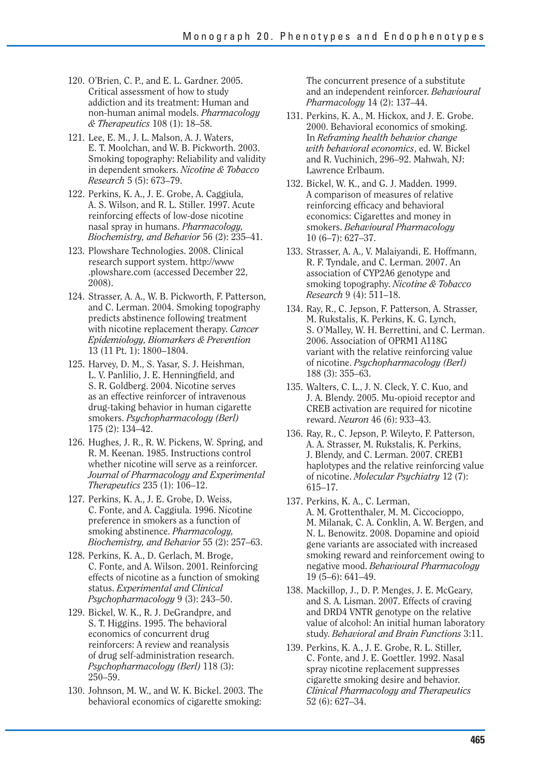- 120. O'Brien, C. P., and E. L. Gardner. 2005. Critical assessment of how to study addiction and its treatment: Human and non-human animal models. *Pharmacology & Therapeutics* 108 (1): 18–58.
- 121. Lee, E. M., J. L. Malson, A. J. Waters, E. T. Moolchan, and W. B. Pickworth. 2003. Smoking topography: Reliability and validity in dependent smokers. *Nicotine & Tobacco Research* 5 (5): 673–79.
- 122. Perkins, K. A., J. E. Grobe, A. Caggiula, A. S. Wilson, and R. L. Stiller. 1997. Acute reinforcing effects of low-dose nicotine nasal spray in humans. *Pharmacology, Biochemistry, and Behavior* 56 (2): 235–41.
- 123. Plowshare Technologies. 2008. Clinical research support system. http://www .plowshare.com (accessed December 22, 2008).
- 124. Strasser, A. A., W. B. Pickworth, F. Patterson, and C. Lerman. 2004. Smoking topography predicts abstinence following treatment with nicotine replacement therapy. *Cancer Epidemiology, Biomarkers & Prevention*  13 (11 Pt. 1): 1800–1804.
- 125. Harvey, D. M., S. Yasar, S. J. Heishman, L. V. Panlilio, J. E. Henningfield, and S. R. Goldberg. 2004. Nicotine serves as an effective reinforcer of intravenous drug-taking behavior in human cigarette smokers. *Psychopharmacology (Berl)*  175 (2): 134–42.
- 126. Hughes, J. R., R. W. Pickens, W. Spring, and R. M. Keenan. 1985. Instructions control whether nicotine will serve as a reinforcer. *Journal of Pharmacology and Experimental Therapeutics* 235 (1): 106–12.
- 127. Perkins, K. A., J. E. Grobe, D. Weiss, C. Fonte, and A. Caggiula. 1996. Nicotine preference in smokers as a function of smoking abstinence. *Pharmacology, Biochemistry, and Behavior* 55 (2): 257–63.
- 128. Perkins, K. A., D. Gerlach, M. Broge, C. Fonte, and A. Wilson. 2001. Reinforcing effects of nicotine as a function of smoking status. *Experimental and Clinical Psychopharmacology* 9 (3): 243–50.
- 129. Bickel, W. K., R. J. DeGrandpre, and S. T. Higgins. 1995. The behavioral economics of concurrent drug reinforcers: A review and reanalysis of drug self-administration research. *Psychopharmacology (Berl)* 118 (3): 250–59.
- 130. Johnson, M. W., and W. K. Bickel. 2003. The behavioral economics of cigarette smoking:

The concurrent presence of a substitute and an independent reinforcer. *Behavioural Pharmacology* 14 (2): 137–44.

- 131. Perkins, K. A., M. Hickox, and J. E. Grobe. 2000. Behavioral economics of smoking. In *Reframing health behavior change with behavioral economics*, ed. W. Bickel and R. Vuchinich, 296–92. Mahwah, NJ: Lawrence Erlbaum.
- 132. Bickel, W. K., and G. J. Madden. 1999. A comparison of measures of relative reinforcing efficacy and behavioral economics: Cigarettes and money in smokers. *Behavioural Pharmacology*  10 (6–7): 627–37.
- 133. Strasser, A. A., V. Malaiyandi, E. Hoffmann, R. F. Tyndale, and C. Lerman. 2007. An association of CYP2A6 genotype and smoking topography. *Nicotine & Tobacco Research* 9 (4): 511–18.
- 134. Ray, R., C. Jepson, F. Patterson, A. Strasser, M. Rukstalis, K. Perkins, K. G. Lynch, S. O'Malley, W. H. Berrettini, and C. Lerman. 2006. Association of OPRM1 A118G variant with the relative reinforcing value of nicotine. *Psychopharmacology (Berl)*  188 (3): 355–63.
- 135. Walters, C. L., J. N. Cleck, Y. C. Kuo, and J. A. Blendy. 2005. Mu-opioid receptor and CREB activation are required for nicotine reward. *Neuron* 46 (6): 933–43.
- 136. Ray, R., C. Jepson, P. Wileyto, F. Patterson, A. A. Strasser, M. Rukstalis, K. Perkins, J. Blendy, and C. Lerman. 2007. CREB1 haplotypes and the relative reinforcing value of nicotine. *Molecular Psychiatry* 12 (7): 615–17.
- 137. Perkins, K. A., C. Lerman, A. M. Grottenthaler, M. M. Ciccocioppo, M. Milanak, C. A. Conklin, A. W. Bergen, and N. L. Benowitz. 2008. Dopamine and opioid gene variants are associated with increased smoking reward and reinforcement owing to negative mood. *Behavioural Pharmacology*  19 (5–6): 641–49.
- 138. Mackillop, J., D. P. Menges, J. E. McGeary, and S. A. Lisman. 2007. Effects of craving and DRD4 VNTR genotype on the relative value of alcohol: An initial human laboratory study. *Behavioral and Brain Functions* 3:11.
- 139. Perkins, K. A., J. E. Grobe, R. L. Stiller, C. Fonte, and J. E. Goettler. 1992. Nasal spray nicotine replacement suppresses cigarette smoking desire and behavior. *Clinical Pharmacology and Therapeutics*  52 (6): 627–34.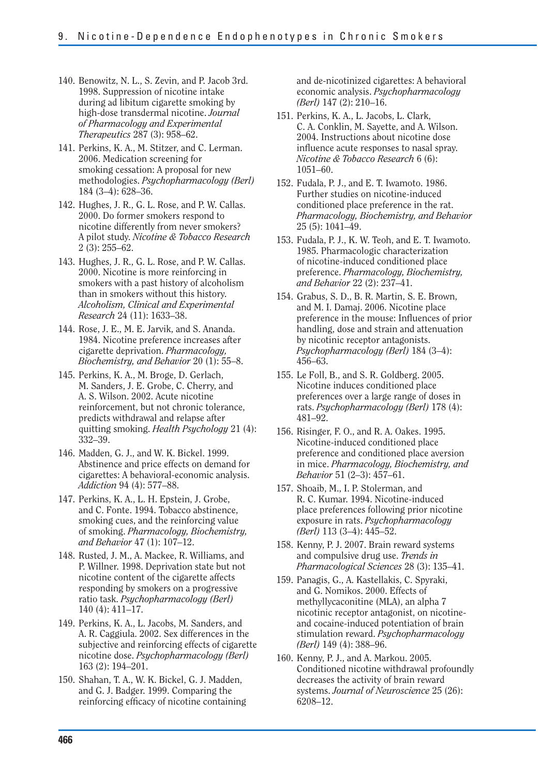- 140. Benowitz, N. L., S. Zevin, and P. Jacob 3rd. 1998. Suppression of nicotine intake during ad libitum cigarette smoking by high-dose transdermal nicotine. *Journal of Pharmacology and Experimental Therapeutics* 287 (3): 958–62.
- 141. Perkins, K. A., M. Stitzer, and C. Lerman. 2006. Medication screening for smoking cessation: A proposal for new methodologies. *Psychopharmacology (Berl)*  184 (3–4): 628–36.
- 142. Hughes, J. R., G. L. Rose, and P. W. Callas. 2000. Do former smokers respond to nicotine differently from never smokers? A pilot study. *Nicotine & Tobacco Research*  2 (3): 255–62.
- 143. Hughes, J. R., G. L. Rose, and P. W. Callas. 2000. Nicotine is more reinforcing in smokers with a past history of alcoholism than in smokers without this history. *Alcoholism, Clinical and Experimental Research* 24 (11): 1633–38.
- 144. Rose, J. E., M. E. Jarvik, and S. Ananda. 1984. Nicotine preference increases after cigarette deprivation. *Pharmacology, Biochemistry, and Behavior* 20 (1): 55–8.
- 145. Perkins, K. A., M. Broge, D. Gerlach, M. Sanders, J. E. Grobe, C. Cherry, and A. S. Wilson. 2002. Acute nicotine reinforcement, but not chronic tolerance, predicts withdrawal and relapse after quitting smoking. *Health Psychology* 21 (4): 332–39.
- 146. Madden, G. J., and W. K. Bickel. 1999. Abstinence and price effects on demand for cigarettes: A behavioral-economic analysis. *Addiction* 94 (4): 577–88.
- 147. Perkins, K. A., L. H. Epstein, J. Grobe, and C. Fonte. 1994. Tobacco abstinence, smoking cues, and the reinforcing value of smoking. *Pharmacology, Biochemistry, and Behavior* 47 (1): 107–12.
- 148. Rusted, J. M., A. Mackee, R. Williams, and P. Willner. 1998. Deprivation state but not nicotine content of the cigarette affects responding by smokers on a progressive ratio task. *Psychopharmacology (Berl)*  140 (4): 411–17.
- 149. Perkins, K. A., L. Jacobs, M. Sanders, and A. R. Caggiula. 2002. Sex differences in the subjective and reinforcing effects of cigarette nicotine dose. *Psychopharmacology (Berl)*  163 (2): 194–201.
- 150. Shahan, T. A., W. K. Bickel, G. J. Madden, and G. J. Badger. 1999. Comparing the reinforcing efficacy of nicotine containing

and de-nicotinized cigarettes: A behavioral economic analysis. *Psychopharmacology (Berl)* 147 (2): 210–16.

- 151. Perkins, K. A., L. Jacobs, L. Clark, C. A. Conklin, M. Sayette, and A. Wilson. 2004. Instructions about nicotine dose influence acute responses to nasal spray. *Nicotine & Tobacco Research* 6 (6): 1051–60.
- 152. Fudala, P. J., and E. T. Iwamoto. 1986. Further studies on nicotine-induced conditioned place preference in the rat. *Pharmacology, Biochemistry, and Behavior*  25 (5): 1041–49.
- 153. Fudala, P. J., K. W. Teoh, and E. T. Iwamoto. 1985. Pharmacologic characterization of nicotine-induced conditioned place preference. *Pharmacology, Biochemistry, and Behavior* 22 (2): 237–41.
- 154. Grabus, S. D., B. R. Martin, S. E. Brown, and M. I. Damaj. 2006. Nicotine place preference in the mouse: Influences of prior handling, dose and strain and attenuation by nicotinic receptor antagonists. *Psychopharmacology (Berl)* 184 (3–4): 456–63.
- 155. Le Foll, B., and S. R. Goldberg. 2005. Nicotine induces conditioned place preferences over a large range of doses in rats. *Psychopharmacology (Berl)* 178 (4): 481–92.
- 156. Risinger, F. O., and R. A. Oakes. 1995. Nicotine-induced conditioned place preference and conditioned place aversion in mice. *Pharmacology, Biochemistry, and Behavior* 51 (2–3): 457–61.
- 157. Shoaib, M., I. P. Stolerman, and R. C. Kumar. 1994. Nicotine-induced place preferences following prior nicotine exposure in rats. *Psychopharmacology (Berl)* 113 (3–4): 445–52.
- 158. Kenny, P. J. 2007. Brain reward systems and compulsive drug use. *Trends in Pharmacological Sciences* 28 (3): 135–41.
- 159. Panagis, G., A. Kastellakis, C. Spyraki, and G. Nomikos. 2000. Effects of methyllycaconitine (MLA), an alpha 7 nicotinic receptor antagonist, on nicotineand cocaine-induced potentiation of brain stimulation reward. *Psychopharmacology (Berl)* 149 (4): 388–96.
- 160. Kenny, P. J., and A. Markou. 2005. Conditioned nicotine withdrawal profoundly decreases the activity of brain reward systems. *Journal of Neuroscience* 25 (26): 6208–12.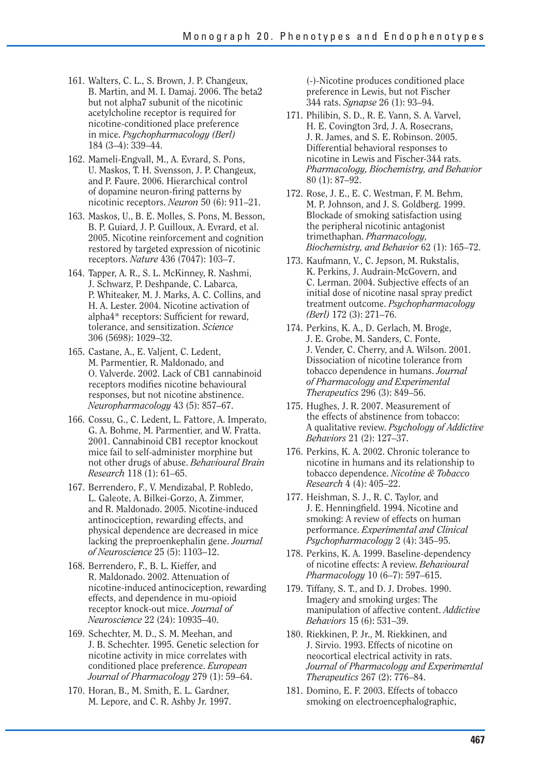- 161. Walters, C. L., S. Brown, J. P. Changeux, B. Martin, and M. I. Damaj. 2006. The beta2 but not alpha7 subunit of the nicotinic acetylcholine receptor is required for nicotine-conditioned place preference in mice. *Psychopharmacology (Berl)*  184 (3–4): 339–44.
- 162. Mameli-Engvall, M., A. Evrard, S. Pons, U. Maskos, T. H. Svensson, J. P. Changeux, and P. Faure. 2006. Hierarchical control of dopamine neuron-firing patterns by nicotinic receptors. *Neuron* 50 (6): 911–21.
- 163. Maskos, U., B. E. Molles, S. Pons, M. Besson, B. P. Guiard, J. P. Guilloux, A. Evrard, et al. 2005. Nicotine reinforcement and cognition restored by targeted expression of nicotinic receptors. *Nature* 436 (7047): 103–7.
- 164. Tapper, A. R., S. L. McKinney, R. Nashmi, J. Schwarz, P. Deshpande, C. Labarca, P. Whiteaker, M. J. Marks, A. C. Collins, and H. A. Lester. 2004. Nicotine activation of alpha4\* receptors: Sufficient for reward, tolerance, and sensitization. *Science*  306 (5698): 1029–32.
- 165. Castane, A., E. Valjent, C. Ledent, M. Parmentier, R. Maldonado, and O. Valverde. 2002. Lack of CB1 cannabinoid receptors modifies nicotine behavioural responses, but not nicotine abstinence. *Neuropharmacology* 43 (5): 857–67.
- 166. Cossu, G., C. Ledent, L. Fattore, A. Imperato, G. A. Bohme, M. Parmentier, and W. Fratta. 2001. Cannabinoid CB1 receptor knockout mice fail to self-administer morphine but not other drugs of abuse. *Behavioural Brain Research* 118 (1): 61–65.
- 167. Berrendero, F., V. Mendizabal, P. Robledo, L. Galeote, A. Bilkei-Gorzo, A. Zimmer, and R. Maldonado. 2005. Nicotine-induced antinociception, rewarding effects, and physical dependence are decreased in mice lacking the preproenkephalin gene. *Journal of Neuroscience* 25 (5): 1103–12.
- 168. Berrendero, F., B. L. Kieffer, and R. Maldonado. 2002. Attenuation of nicotine-induced antinociception, rewarding effects, and dependence in mu-opioid receptor knock-out mice. *Journal of Neuroscience* 22 (24): 10935–40.
- 169. Schechter, M. D., S. M. Meehan, and J. B. Schechter. 1995. Genetic selection for nicotine activity in mice correlates with conditioned place preference. *European Journal of Pharmacology* 279 (1): 59–64.
- 170. Horan, B., M. Smith, E. L. Gardner, M. Lepore, and C. R. Ashby Jr. 1997.

(-)-Nicotine produces conditioned place preference in Lewis, but not Fischer 344 rats. *Synapse* 26 (1): 93–94.

- 171. Philibin, S. D., R. E. Vann, S. A. Varvel, H. E. Covington 3rd, J. A. Rosecrans, J. R. James, and S. E. Robinson. 2005. Differential behavioral responses to nicotine in Lewis and Fischer-344 rats. *Pharmacology, Biochemistry, and Behavior*  80 (1): 87–92.
- 172. Rose, J. E., E. C. Westman, F. M. Behm, M. P. Johnson, and J. S. Goldberg. 1999. Blockade of smoking satisfaction using the peripheral nicotinic antagonist trimethaphan. *Pharmacology, Biochemistry, and Behavior* 62 (1): 165–72.
- 173. Kaufmann, V., C. Jepson, M. Rukstalis, K. Perkins, J. Audrain-McGovern, and C. Lerman. 2004. Subjective effects of an initial dose of nicotine nasal spray predict treatment outcome. *Psychopharmacology (Berl)* 172 (3): 271–76.
- 174. Perkins, K. A., D. Gerlach, M. Broge, J. E. Grobe, M. Sanders, C. Fonte, J. Vender, C. Cherry, and A. Wilson. 2001. Dissociation of nicotine tolerance from tobacco dependence in humans. *Journal of Pharmacology and Experimental Therapeutics* 296 (3): 849–56.
- 175. Hughes, J. R. 2007. Measurement of the effects of abstinence from tobacco: A qualitative review. *Psychology of Addictive Behaviors* 21 (2): 127–37.
- 176. Perkins, K. A. 2002. Chronic tolerance to nicotine in humans and its relationship to tobacco dependence. *Nicotine & Tobacco Research* 4 (4): 405–22.
- 177. Heishman, S. J., R. C. Taylor, and J. E. Henningfield. 1994. Nicotine and smoking: A review of effects on human performance. *Experimental and Clinical Psychopharmacology* 2 (4): 345–95.
- 178. Perkins, K. A. 1999. Baseline-dependency of nicotine effects: A review. *Behavioural Pharmacology* 10 (6–7): 597–615.
- 179. Tiffany, S. T., and D. J. Drobes. 1990. Imagery and smoking urges: The manipulation of affective content. *Addictive Behaviors* 15 (6): 531–39.
- 180. Riekkinen, P. Jr., M. Riekkinen, and J. Sirvio. 1993. Effects of nicotine on neocortical electrical activity in rats. *Journal of Pharmacology and Experimental Therapeutics* 267 (2): 776–84.
- 181. Domino, E. F. 2003. Effects of tobacco smoking on electroencephalographic,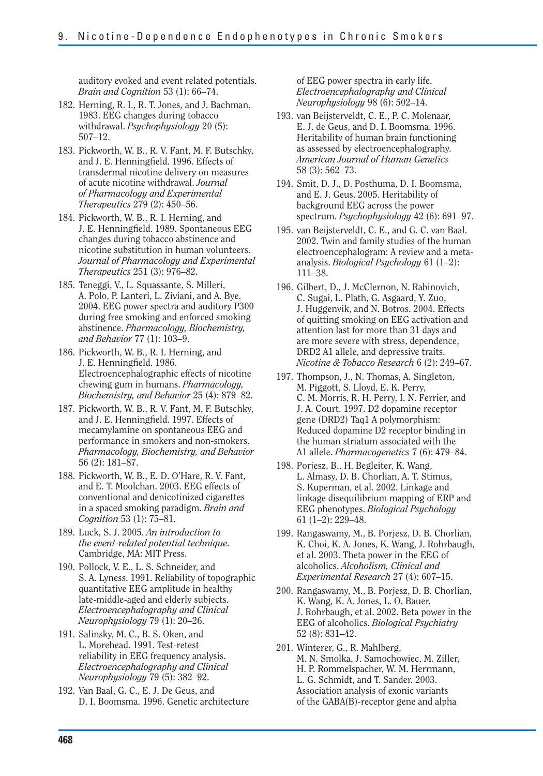auditory evoked and event related potentials. *Brain and Cognition* 53 (1): 66–74.

- 182. Herning, R. I., R. T. Jones, and J. Bachman. 1983. EEG changes during tobacco withdrawal. *Psychophysiology* 20 (5): 507–12.
- 183. Pickworth, W. B., R. V. Fant, M. F. Butschky, and J. E. Henningfield. 1996. Effects of transdermal nicotine delivery on measures of acute nicotine withdrawal. *Journal of Pharmacology and Experimental Therapeutics* 279 (2): 450–56.
- 184. Pickworth, W. B., R. I. Herning, and J. E. Henningfield. 1989. Spontaneous EEG changes during tobacco abstinence and nicotine substitution in human volunteers. *Journal of Pharmacology and Experimental Therapeutics* 251 (3): 976–82.
- 185. Teneggi, V., L. Squassante, S. Milleri, A. Polo, P. Lanteri, L. Ziviani, and A. Bye. 2004. EEG power spectra and auditory P300 during free smoking and enforced smoking abstinence. *Pharmacology, Biochemistry, and Behavior* 77 (1): 103–9.
- 186. Pickworth, W. B., R. I. Herning, and J. E. Henningfield. 1986. Electroencephalographic effects of nicotine chewing gum in humans. *Pharmacology, Biochemistry, and Behavior* 25 (4): 879–82.
- 187. Pickworth, W. B., R. V. Fant, M. F. Butschky, and J. E. Henningfield. 1997. Effects of mecamylamine on spontaneous EEG and performance in smokers and non-smokers. *Pharmacology, Biochemistry, and Behavior*  56 (2): 181–87.
- 188. Pickworth, W. B., E. D. O'Hare, R. V. Fant, and E. T. Moolchan. 2003. EEG effects of conventional and denicotinized cigarettes in a spaced smoking paradigm. *Brain and Cognition* 53 (1): 75–81.
- 189. Luck, S. J. 2005. *An introduction to the event-related potential technique.*  Cambridge, MA: MIT Press.
- 190. Pollock, V. E., L. S. Schneider, and S. A. Lyness. 1991. Reliability of topographic quantitative EEG amplitude in healthy late-middle-aged and elderly subjects. *Electroencephalography and Clinical Neurophysiology* 79 (1): 20–26.
- 191. Salinsky, M. C., B. S. Oken, and L. Morehead. 1991. Test-retest reliability in EEG frequency analysis. *Electroencephalography and Clinical Neurophysiology* 79 (5): 382–92.
- 192. Van Baal, G. C., E. J. De Geus, and D. I. Boomsma. 1996. Genetic architecture

of EEG power spectra in early life. *Electroencephalography and Clinical Neurophysiology* 98 (6): 502–14.

- 193. van Beijsterveldt, C. E., P. C. Molenaar, E. J. de Geus, and D. I. Boomsma. 1996. Heritability of human brain functioning as assessed by electroencephalography. *American Journal of Human Genetics*  58 (3): 562–73.
- 194. Smit, D. J., D. Posthuma, D. I. Boomsma, and E. J. Geus. 2005. Heritability of background EEG across the power spectrum. *Psychophysiology* 42 (6): 691–97.
- 195. van Beijsterveldt, C. E., and G. C. van Baal. 2002. Twin and family studies of the human electroencephalogram: A review and a metaanalysis. *Biological Psychology* 61 (1–2): 111–38.
- 196. Gilbert, D., J. McClernon, N. Rabinovich, C. Sugai, L. Plath, G. Asgaard, Y. Zuo, J. Huggenvik, and N. Botros. 2004. Effects of quitting smoking on EEG activation and attention last for more than 31 days and are more severe with stress, dependence, DRD2 A1 allele, and depressive traits. *Nicotine & Tobacco Research* 6 (2): 249–67.
- 197. Thompson, J., N. Thomas, A. Singleton, M. Piggott, S. Lloyd, E. K. Perry, C. M. Morris, R. H. Perry, I. N. Ferrier, and J. A. Court. 1997. D2 dopamine receptor gene (DRD2) Taq1 A polymorphism: Reduced dopamine D2 receptor binding in the human striatum associated with the A1 allele. *Pharmacogenetics* 7 (6): 479–84.
- 198. Porjesz, B., H. Begleiter, K. Wang, L. Almasy, D. B. Chorlian, A. T. Stimus, S. Kuperman, et al. 2002. Linkage and linkage disequilibrium mapping of ERP and EEG phenotypes. *Biological Psychology*  61 (1–2): 229–48.
- 199. Rangaswamy, M., B. Porjesz, D. B. Chorlian, K. Choi, K. A. Jones, K. Wang, J. Rohrbaugh, et al. 2003. Theta power in the EEG of alcoholics. *Alcoholism, Clinical and Experimental Research* 27 (4): 607–15.
- 200. Rangaswamy, M., B. Porjesz, D. B. Chorlian, K. Wang, K. A. Jones, L. O. Bauer, J. Rohrbaugh, et al. 2002. Beta power in the EEG of alcoholics. *Biological Psychiatry*  52 (8): 831–42.
- 201. Winterer, G., R. Mahlberg, M. N. Smolka, J. Samochowiec, M. Ziller, H. P. Rommelspacher, W. M. Herrmann, L. G. Schmidt, and T. Sander. 2003. Association analysis of exonic variants of the GABA(B)-receptor gene and alpha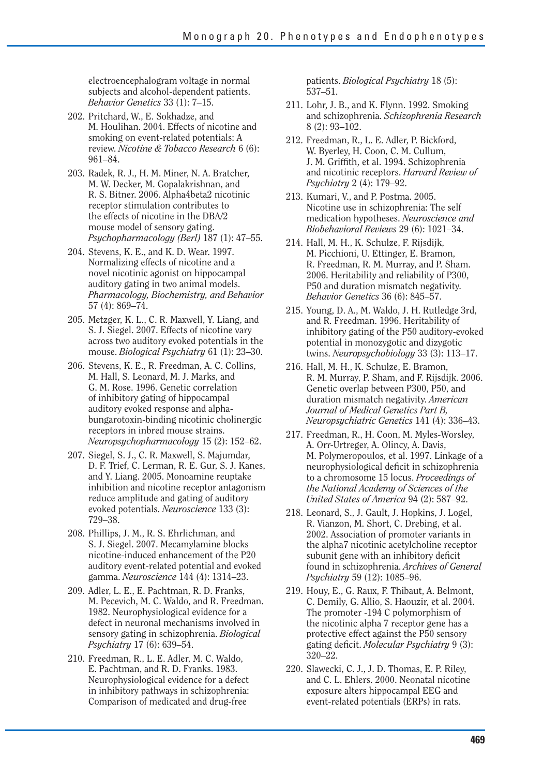electroencephalogram voltage in normal subjects and alcohol-dependent patients. *Behavior Genetics* 33 (1): 7–15.

- 202. Pritchard, W., E. Sokhadze, and M. Houlihan. 2004. Effects of nicotine and smoking on event-related potentials: A review. *Nicotine & Tobacco Research* 6 (6): 961–84.
- 203. Radek, R. J., H. M. Miner, N. A. Bratcher, M. W. Decker, M. Gopalakrishnan, and R. S. Bitner. 2006. Alpha4beta2 nicotinic receptor stimulation contributes to the effects of nicotine in the DBA/2 mouse model of sensory gating. *Psychopharmacology (Berl)* 187 (1): 47–55.
- 204. Stevens, K. E., and K. D. Wear. 1997. Normalizing effects of nicotine and a novel nicotinic agonist on hippocampal auditory gating in two animal models. *Pharmacology, Biochemistry, and Behavior*  57 (4): 869–74.
- 205. Metzger, K. L., C. R. Maxwell, Y. Liang, and S. J. Siegel. 2007. Effects of nicotine vary across two auditory evoked potentials in the mouse. *Biological Psychiatry* 61 (1): 23–30.
- 206. Stevens, K. E., R. Freedman, A. C. Collins, M. Hall, S. Leonard, M. J. Marks, and G. M. Rose. 1996. Genetic correlation of inhibitory gating of hippocampal auditory evoked response and alphabungarotoxin-binding nicotinic cholinergic receptors in inbred mouse strains. *Neuropsychopharmacology* 15 (2): 152–62.
- 207. Siegel, S. J., C. R. Maxwell, S. Majumdar, D. F. Trief, C. Lerman, R. E. Gur, S. J. Kanes, and Y. Liang. 2005. Monoamine reuptake inhibition and nicotine receptor antagonism reduce amplitude and gating of auditory evoked potentials. *Neuroscience* 133 (3): 729–38.
- 208. Phillips, J. M., R. S. Ehrlichman, and S. J. Siegel. 2007. Mecamylamine blocks nicotine-induced enhancement of the P20 auditory event-related potential and evoked gamma. *Neuroscience* 144 (4): 1314–23.
- 209. Adler, L. E., E. Pachtman, R. D. Franks, M. Pecevich, M. C. Waldo, and R. Freedman. 1982. Neurophysiological evidence for a defect in neuronal mechanisms involved in sensory gating in schizophrenia. *Biological Psychiatry* 17 (6): 639–54.
- 210. Freedman, R., L. E. Adler, M. C. Waldo, E. Pachtman, and R. D. Franks. 1983. Neurophysiological evidence for a defect in inhibitory pathways in schizophrenia: Comparison of medicated and drug-free

patients. *Biological Psychiatry* 18 (5): 537–51.

- 211. Lohr, J. B., and K. Flynn. 1992. Smoking and schizophrenia. *Schizophrenia Research*  8 (2): 93–102.
- 212. Freedman, R., L. E. Adler, P. Bickford, W. Byerley, H. Coon, C. M. Cullum, J. M. Griffith, et al. 1994. Schizophrenia and nicotinic receptors. *Harvard Review of Psychiatry* 2 (4): 179–92.
- 213. Kumari, V., and P. Postma. 2005. Nicotine use in schizophrenia: The self medication hypotheses. *Neuroscience and Biobehavioral Reviews* 29 (6): 1021–34.
- 214. Hall, M. H., K. Schulze, F. Rijsdijk, M. Picchioni, U. Ettinger, E. Bramon, R. Freedman, R. M. Murray, and P. Sham. 2006. Heritability and reliability of P300, P50 and duration mismatch negativity. *Behavior Genetics* 36 (6): 845–57.
- 215. Young, D. A., M. Waldo, J. H. Rutledge 3rd, and R. Freedman. 1996. Heritability of inhibitory gating of the P50 auditory-evoked potential in monozygotic and dizygotic twins. *Neuropsychobiology* 33 (3): 113–17.
- 216. Hall, M. H., K. Schulze, E. Bramon, R. M. Murray, P. Sham, and F. Rijsdijk. 2006. Genetic overlap between P300, P50, and duration mismatch negativity. *American Journal of Medical Genetics Part B, Neuropsychiatric Genetics* 141 (4): 336–43.
- 217. Freedman, R., H. Coon, M. Myles-Worsley, A. Orr-Urtreger, A. Olincy, A. Davis, M. Polymeropoulos, et al. 1997. Linkage of a neurophysiological deficit in schizophrenia to a chromosome 15 locus. *Proceedings of the National Academy of Sciences of the United States of America* 94 (2): 587–92.
- 218. Leonard, S., J. Gault, J. Hopkins, J. Logel, R. Vianzon, M. Short, C. Drebing, et al. 2002. Association of promoter variants in the alpha7 nicotinic acetylcholine receptor subunit gene with an inhibitory deficit found in schizophrenia. *Archives of General Psychiatry* 59 (12): 1085–96.
- 219. Houy, E., G. Raux, F. Thibaut, A. Belmont, C. Demily, G. Allio, S. Haouzir, et al. 2004. The promoter -194 C polymorphism of the nicotinic alpha 7 receptor gene has a protective effect against the P50 sensory gating deficit. *Molecular Psychiatry* 9 (3): 320–22.
- 220. Slawecki, C. J., J. D. Thomas, E. P. Riley, and C. L. Ehlers. 2000. Neonatal nicotine exposure alters hippocampal EEG and event-related potentials (ERPs) in rats.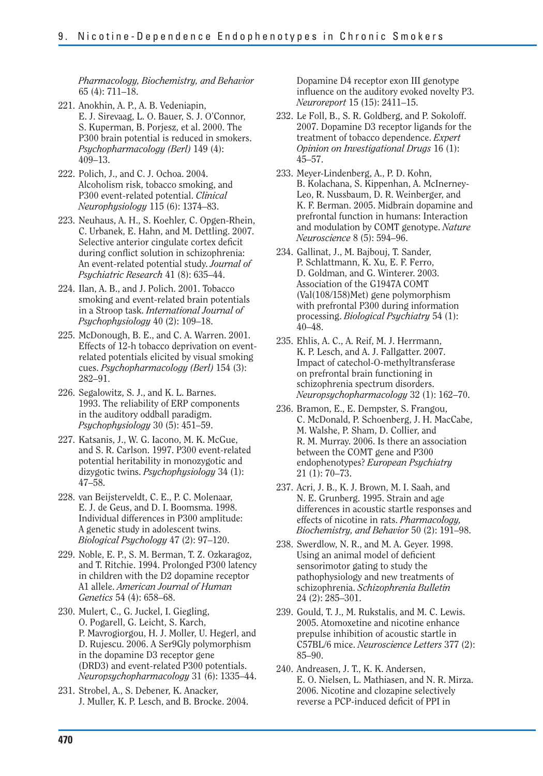*Pharmacology, Biochemistry, and Behavior*  65 (4): 711–18.

- 221. Anokhin, A. P., A. B. Vedeniapin, E. J. Sirevaag, L. O. Bauer, S. J. O'Connor, S. Kuperman, B. Porjesz, et al. 2000. The P300 brain potential is reduced in smokers. *Psychopharmacology (Berl)* 149 (4): 409–13.
- 222. Polich, J., and C. J. Ochoa. 2004. Alcoholism risk, tobacco smoking, and P300 event-related potential. *Clinical Neurophysiology* 115 (6): 1374–83.
- 223. Neuhaus, A. H., S. Koehler, C. Opgen-Rhein, C. Urbanek, E. Hahn, and M. Dettling. 2007. Selective anterior cingulate cortex deficit during conflict solution in schizophrenia: An event-related potential study. *Journal of Psychiatric Research* 41 (8): 635–44.
- 224. Ilan, A. B., and J. Polich. 2001. Tobacco smoking and event-related brain potentials in a Stroop task. *International Journal of Psychophysiology* 40 (2): 109–18.
- 225. McDonough, B. E., and C. A. Warren. 2001. Effects of 12-h tobacco deprivation on eventrelated potentials elicited by visual smoking cues. *Psychopharmacology (Berl)* 154 (3): 282–91.
- 226. Segalowitz, S. J., and K. L. Barnes. 1993. The reliability of ERP components in the auditory oddball paradigm. *Psychophysiology* 30 (5): 451–59.
- 227. Katsanis, J., W. G. Iacono, M. K. McGue, and S. R. Carlson. 1997. P300 event-related potential heritability in monozygotic and dizygotic twins. *Psychophysiology* 34 (1): 47–58.
- 228. van Beijsterveldt, C. E., P. C. Molenaar, E. J. de Geus, and D. I. Boomsma. 1998. Individual differences in P300 amplitude: A genetic study in adolescent twins. *Biological Psychology* 47 (2): 97–120.
- 229. Noble, E. P., S. M. Berman, T. Z. Ozkaragoz, and T. Ritchie. 1994. Prolonged P300 latency in children with the D2 dopamine receptor A1 allele. *American Journal of Human Genetics* 54 (4): 658–68.
- 230. Mulert, C., G. Juckel, I. Giegling, O. Pogarell, G. Leicht, S. Karch, P. Mavrogiorgou, H. J. Moller, U. Hegerl, and D. Rujescu. 2006. A Ser9Gly polymorphism in the dopamine D3 receptor gene (DRD3) and event-related P300 potentials. *Neuropsychopharmacology* 31 (6): 1335–44.
- 231. Strobel, A., S. Debener, K. Anacker, J. Muller, K. P. Lesch, and B. Brocke. 2004.

Dopamine D4 receptor exon III genotype influence on the auditory evoked novelty P3. *Neuroreport* 15 (15): 2411–15.

- 232. Le Foll, B., S. R. Goldberg, and P. Sokoloff. 2007. Dopamine D3 receptor ligands for the treatment of tobacco dependence. *Expert Opinion on Investigational Drugs* 16 (1): 45–57.
- 233. Meyer-Lindenberg, A., P. D. Kohn, B. Kolachana, S. Kippenhan, A. McInerney-Leo, R. Nussbaum, D. R. Weinberger, and K. F. Berman. 2005. Midbrain dopamine and prefrontal function in humans: Interaction and modulation by COMT genotype. *Nature Neuroscience* 8 (5): 594–96.
- 234. Gallinat, J., M. Bajbouj, T. Sander, P. Schlattmann, K. Xu, E. F. Ferro, D. Goldman, and G. Winterer. 2003. Association of the G1947A COMT (Val(108/158)Met) gene polymorphism with prefrontal P300 during information processing. *Biological Psychiatry* 54 (1): 40–48.
- 235. Ehlis, A. C., A. Reif, M. J. Herrmann, K. P. Lesch, and A. J. Fallgatter. 2007. Impact of catechol-O-methyltransferase on prefrontal brain functioning in schizophrenia spectrum disorders. *Neuropsychopharmacology* 32 (1): 162–70.
- 236. Bramon, E., E. Dempster, S. Frangou, C. McDonald, P. Schoenberg, J. H. MacCabe, M. Walshe, P. Sham, D. Collier, and R. M. Murray. 2006. Is there an association between the COMT gene and P300 endophenotypes? *European Psychiatry*  21 (1): 70–73.
- 237. Acri, J. B., K. J. Brown, M. I. Saah, and N. E. Grunberg. 1995. Strain and age differences in acoustic startle responses and effects of nicotine in rats. *Pharmacology, Biochemistry, and Behavior* 50 (2): 191–98.
- 238. Swerdlow, N. R., and M. A. Geyer. 1998. Using an animal model of deficient sensorimotor gating to study the pathophysiology and new treatments of schizophrenia. *Schizophrenia Bulletin*  24 (2): 285–301.
- 239. Gould, T. J., M. Rukstalis, and M. C. Lewis. 2005. Atomoxetine and nicotine enhance prepulse inhibition of acoustic startle in C57BL/6 mice. *Neuroscience Letters* 377 (2): 85–90.
- 240. Andreasen, J. T., K. K. Andersen, E. O. Nielsen, L. Mathiasen, and N. R. Mirza. 2006. Nicotine and clozapine selectively reverse a PCP-induced deficit of PPI in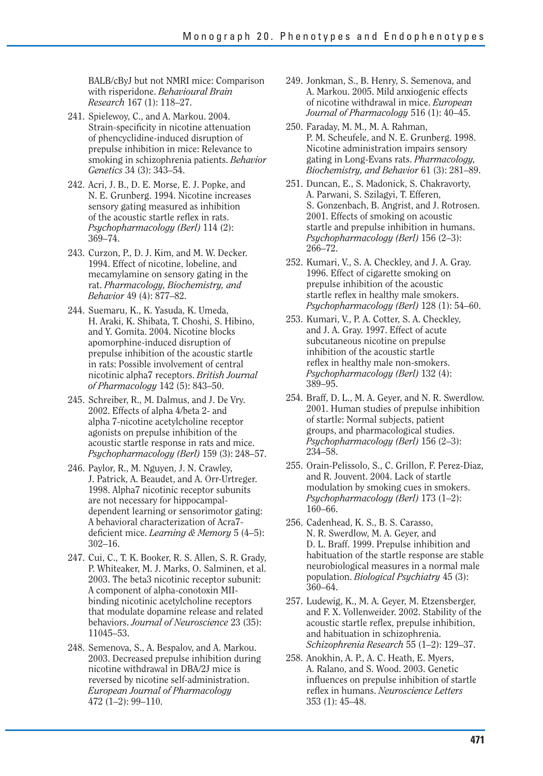BALB/cByJ but not NMRI mice: Comparison with risperidone. *Behavioural Brain Research* 167 (1): 118–27.

- 241. Spielewoy, C., and A. Markou. 2004. Strain-specificity in nicotine attenuation of phencyclidine-induced disruption of prepulse inhibition in mice: Relevance to smoking in schizophrenia patients. *Behavior Genetics* 34 (3): 343–54.
- 242. Acri, J. B., D. E. Morse, E. J. Popke, and N. E. Grunberg. 1994. Nicotine increases sensory gating measured as inhibition of the acoustic startle reflex in rats. *Psychopharmacology (Berl)* 114 (2): 369–74.
- 243. Curzon, P., D. J. Kim, and M. W. Decker. 1994. Effect of nicotine, lobeline, and mecamylamine on sensory gating in the rat. *Pharmacology, Biochemistry, and Behavior* 49 (4): 877–82.
- 244. Suemaru, K., K. Yasuda, K. Umeda, H. Araki, K. Shibata, T. Choshi, S. Hibino, and Y. Gomita. 2004. Nicotine blocks apomorphine-induced disruption of prepulse inhibition of the acoustic startle in rats: Possible involvement of central nicotinic alpha7 receptors. *British Journal of Pharmacology* 142 (5): 843–50.
- 245. Schreiber, R., M. Dalmus, and J. De Vry. 2002. Effects of alpha 4/beta 2- and alpha 7-nicotine acetylcholine receptor agonists on prepulse inhibition of the acoustic startle response in rats and mice. *Psychopharmacology (Berl)* 159 (3): 248–57.
- 246. Paylor, R., M. Nguyen, J. N. Crawley, J. Patrick, A. Beaudet, and A. Orr-Urtreger. 1998. Alpha7 nicotinic receptor subunits are not necessary for hippocampaldependent learning or sensorimotor gating: A behavioral characterization of Acra7 deficient mice. *Learning & Memory* 5 (4–5): 302–16.
- 247. Cui, C., T. K. Booker, R. S. Allen, S. R. Grady, P. Whiteaker, M. J. Marks, O. Salminen, et al. 2003. The beta3 nicotinic receptor subunit: A component of alpha-conotoxin MIIbinding nicotinic acetylcholine receptors that modulate dopamine release and related behaviors. *Journal of Neuroscience* 23 (35): 11045–53.
- 248. Semenova, S., A. Bespalov, and A. Markou. 2003. Decreased prepulse inhibition during nicotine withdrawal in DBA/2J mice is reversed by nicotine self-administration. *European Journal of Pharmacology*  472 (1–2): 99–110.
- 249. Jonkman, S., B. Henry, S. Semenova, and A. Markou. 2005. Mild anxiogenic effects of nicotine withdrawal in mice. *European Journal of Pharmacology* 516 (1): 40–45.
- 250. Faraday, M. M., M. A. Rahman, P. M. Scheufele, and N. E. Grunberg. 1998. Nicotine administration impairs sensory gating in Long-Evans rats. *Pharmacology, Biochemistry, and Behavior* 61 (3): 281–89.
- 251. Duncan, E., S. Madonick, S. Chakravorty, A. Parwani, S. Szilagyi, T. Efferen, S. Gonzenbach, B. Angrist, and J. Rotrosen. 2001. Effects of smoking on acoustic startle and prepulse inhibition in humans. *Psychopharmacology (Berl)* 156 (2–3): 266–72.
- 252. Kumari, V., S. A. Checkley, and J. A. Gray. 1996. Effect of cigarette smoking on prepulse inhibition of the acoustic startle reflex in healthy male smokers. *Psychopharmacology (Berl)* 128 (1): 54–60.
- 253. Kumari, V., P. A. Cotter, S. A. Checkley, and J. A. Gray. 1997. Effect of acute subcutaneous nicotine on prepulse inhibition of the acoustic startle reflex in healthy male non-smokers. *Psychopharmacology (Berl)* 132 (4): 389–95.
- 254. Braff, D. L., M. A. Geyer, and N. R. Swerdlow. 2001. Human studies of prepulse inhibition of startle: Normal subjects, patient groups, and pharmacological studies. *Psychopharmacology (Berl)* 156 (2–3): 234–58.
- 255. Orain-Pelissolo, S., C. Grillon, F. Perez-Diaz, and R. Jouvent. 2004. Lack of startle modulation by smoking cues in smokers. *Psychopharmacology (Berl)* 173 (1–2): 160–66.
- 256. Cadenhead, K. S., B. S. Carasso, N. R. Swerdlow, M. A. Geyer, and D. L. Braff. 1999. Prepulse inhibition and habituation of the startle response are stable neurobiological measures in a normal male population. *Biological Psychiatry* 45 (3): 360–64.
- 257. Ludewig, K., M. A. Geyer, M. Etzensberger, and F. X. Vollenweider. 2002. Stability of the acoustic startle reflex, prepulse inhibition, and habituation in schizophrenia. *Schizophrenia Research* 55 (1–2): 129–37.
- 258. Anokhin, A. P., A. C. Heath, E. Myers, A. Ralano, and S. Wood. 2003. Genetic influences on prepulse inhibition of startle reflex in humans. *Neuroscience Letters*  353 (1): 45–48.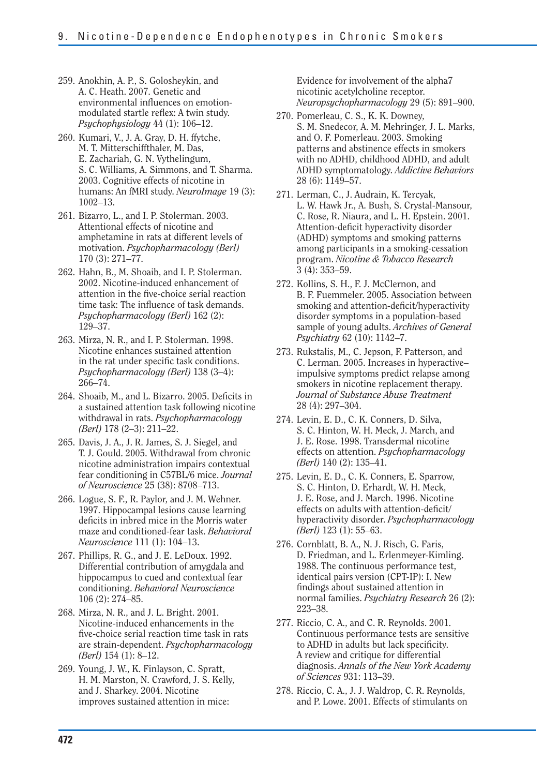- 259. Anokhin, A. P., S. Golosheykin, and A. C. Heath. 2007. Genetic and environmental influences on emotionmodulated startle reflex: A twin study. *Psychophysiology* 44 (1): 106–12.
- 260. Kumari, V., J. A. Gray, D. H. ffytche, M. T. Mitterschiffthaler, M. Das, E. Zachariah, G. N. Vythelingum, S. C. Williams, A. Simmons, and T. Sharma. 2003. Cognitive effects of nicotine in humans: An fMRI study. *NeuroImage* 19 (3): 1002–13.
- 261. Bizarro, L., and I. P. Stolerman. 2003. Attentional effects of nicotine and amphetamine in rats at different levels of motivation. *Psychopharmacology (Berl)*  170 (3): 271–77.
- 262. Hahn, B., M. Shoaib, and I. P. Stolerman. 2002. Nicotine-induced enhancement of attention in the five-choice serial reaction time task: The influence of task demands. *Psychopharmacology (Berl)* 162 (2): 129–37.
- 263. Mirza, N. R., and I. P. Stolerman. 1998. Nicotine enhances sustained attention in the rat under specific task conditions. *Psychopharmacology (Berl)* 138 (3–4): 266–74.
- 264. Shoaib, M., and L. Bizarro. 2005. Deficits in a sustained attention task following nicotine withdrawal in rats. *Psychopharmacology (Berl)* 178 (2–3): 211–22.
- 265. Davis, J. A., J. R. James, S. J. Siegel, and T. J. Gould. 2005. Withdrawal from chronic nicotine administration impairs contextual fear conditioning in C57BL/6 mice. *Journal of Neuroscience* 25 (38): 8708–713.
- 266. Logue, S. F., R. Paylor, and J. M. Wehner. 1997. Hippocampal lesions cause learning deficits in inbred mice in the Morris water maze and conditioned-fear task. *Behavioral Neuroscience* 111 (1): 104–13.
- 267. Phillips, R. G., and J. E. LeDoux. 1992. Differential contribution of amygdala and hippocampus to cued and contextual fear conditioning. *Behavioral Neuroscience*  106 (2): 274–85.
- 268. Mirza, N. R., and J. L. Bright. 2001. Nicotine-induced enhancements in the five-choice serial reaction time task in rats are strain-dependent. *Psychopharmacology (Berl)* 154 (1): 8–12.
- 269. Young, J. W., K. Finlayson, C. Spratt, H. M. Marston, N. Crawford, J. S. Kelly, and J. Sharkey. 2004. Nicotine improves sustained attention in mice:

Evidence for involvement of the alpha7 nicotinic acetylcholine receptor. *Neuropsychopharmacology* 29 (5): 891–900.

- 270. Pomerleau, C. S., K. K. Downey, S. M. Snedecor, A. M. Mehringer, J. L. Marks, and O. F. Pomerleau. 2003. Smoking patterns and abstinence effects in smokers with no ADHD, childhood ADHD, and adult ADHD symptomatology. *Addictive Behaviors*  28 (6): 1149–57.
- 271. Lerman, C., J. Audrain, K. Tercyak, L. W. Hawk Jr., A. Bush, S. Crystal-Mansour, C. Rose, R. Niaura, and L. H. Epstein. 2001. Attention-deficit hyperactivity disorder (ADHD) symptoms and smoking patterns among participants in a smoking-cessation program. *Nicotine & Tobacco Research*  3 (4): 353–59.
- 272. Kollins, S. H., F. J. McClernon, and B. F. Fuemmeler. 2005. Association between smoking and attention-deficit/hyperactivity disorder symptoms in a population-based sample of young adults. *Archives of General Psychiatry* 62 (10): 1142–7.
- 273. Rukstalis, M., C. Jepson, F. Patterson, and C. Lerman. 2005. Increases in hyperactive– impulsive symptoms predict relapse among smokers in nicotine replacement therapy. *Journal of Substance Abuse Treatment*  28 (4): 297–304.
- 274. Levin, E. D., C. K. Conners, D. Silva, S. C. Hinton, W. H. Meck, J. March, and J. E. Rose. 1998. Transdermal nicotine effects on attention. *Psychopharmacology (Berl)* 140 (2): 135–41.
- 275. Levin, E. D., C. K. Conners, E. Sparrow, S. C. Hinton, D. Erhardt, W. H. Meck, J. E. Rose, and J. March. 1996. Nicotine effects on adults with attention-deficit/ hyperactivity disorder. *Psychopharmacology (Berl)* 123 (1): 55–63.
- 276. Cornblatt, B. A., N. J. Risch, G. Faris, D. Friedman, and L. Erlenmeyer-Kimling. 1988. The continuous performance test, identical pairs version (CPT-IP): I. New findings about sustained attention in normal families. *Psychiatry Research* 26 (2): 223–38.
- 277. Riccio, C. A., and C. R. Reynolds. 2001. Continuous performance tests are sensitive to ADHD in adults but lack specificity. A review and critique for differential diagnosis. *Annals of the New York Academy of Sciences* 931: 113–39.
- 278. Riccio, C. A., J. J. Waldrop, C. R. Reynolds, and P. Lowe. 2001. Effects of stimulants on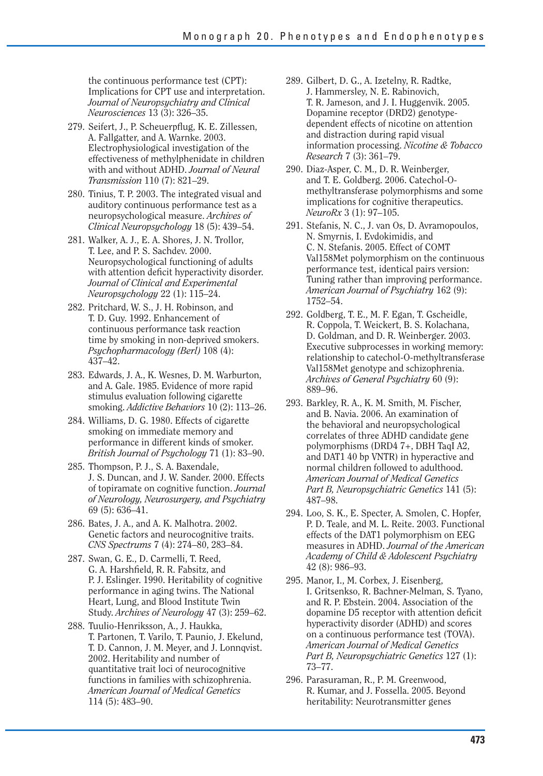the continuous performance test (CPT): Implications for CPT use and interpretation. *Journal of Neuropsychiatry and Clinical Neurosciences* 13 (3): 326–35.

- 279. Seifert, J., P. Scheuerpflug, K. E. Zillessen, A. Fallgatter, and A. Warnke. 2003. Electrophysiological investigation of the effectiveness of methylphenidate in children with and without ADHD. *Journal of Neural Transmission* 110 (7): 821–29.
- 280. Tinius, T. P. 2003. The integrated visual and auditory continuous performance test as a neuropsychological measure. *Archives of Clinical Neuropsychology* 18 (5): 439–54.
- 281. Walker, A. J., E. A. Shores, J. N. Trollor, T. Lee, and P. S. Sachdev. 2000. Neuropsychological functioning of adults with attention deficit hyperactivity disorder. *Journal of Clinical and Experimental Neuropsychology* 22 (1): 115–24.
- 282. Pritchard, W. S., J. H. Robinson, and T. D. Guy. 1992. Enhancement of continuous performance task reaction time by smoking in non-deprived smokers. *Psychopharmacology (Berl)* 108 (4): 437–42.
- 283. Edwards, J. A., K. Wesnes, D. M. Warburton, and A. Gale. 1985. Evidence of more rapid stimulus evaluation following cigarette smoking. *Addictive Behaviors* 10 (2): 113–26.
- 284. Williams, D. G. 1980. Effects of cigarette smoking on immediate memory and performance in different kinds of smoker. *British Journal of Psychology* 71 (1): 83–90.
- 285. Thompson, P. J., S. A. Baxendale, J. S. Duncan, and J. W. Sander. 2000. Effects of topiramate on cognitive function. *Journal of Neurology, Neurosurgery, and Psychiatry*  69 (5): 636–41.
- 286. Bates, J. A., and A. K. Malhotra. 2002. Genetic factors and neurocognitive traits. *CNS Spectrums* 7 (4): 274–80, 283–84.
- 287. Swan, G. E., D. Carmelli, T. Reed, G. A. Harshfield, R. R. Fabsitz, and P. J. Eslinger. 1990. Heritability of cognitive performance in aging twins. The National Heart, Lung, and Blood Institute Twin Study. *Archives of Neurology* 47 (3): 259–62.
- 288. Tuulio-Henriksson, A., J. Haukka, T. Partonen, T. Varilo, T. Paunio, J. Ekelund, T. D. Cannon, J. M. Meyer, and J. Lonnqvist. 2002. Heritability and number of quantitative trait loci of neurocognitive functions in families with schizophrenia. *American Journal of Medical Genetics*  114 (5): 483–90.
- 289. Gilbert, D. G., A. Izetelny, R. Radtke, J. Hammersley, N. E. Rabinovich, T. R. Jameson, and J. I. Huggenvik. 2005. Dopamine receptor (DRD2) genotypedependent effects of nicotine on attention and distraction during rapid visual information processing. *Nicotine & Tobacco Research* 7 (3): 361–79.
- 290. Diaz-Asper, C. M., D. R. Weinberger, and T. E. Goldberg. 2006. Catechol-Omethyltransferase polymorphisms and some implications for cognitive therapeutics. *NeuroRx* 3 (1): 97–105.
- 291. Stefanis, N. C., J. van Os, D. Avramopoulos, N. Smyrnis, I. Evdokimidis, and C. N. Stefanis. 2005. Effect of COMT Val158Met polymorphism on the continuous performance test, identical pairs version: Tuning rather than improving performance. *American Journal of Psychiatry* 162 (9): 1752–54.
- 292. Goldberg, T. E., M. F. Egan, T. Gscheidle, R. Coppola, T. Weickert, B. S. Kolachana, D. Goldman, and D. R. Weinberger. 2003. Executive subprocesses in working memory: relationship to catechol-O-methyltransferase Val158Met genotype and schizophrenia. *Archives of General Psychiatry* 60 (9): 889–96.
- 293. Barkley, R. A., K. M. Smith, M. Fischer, and B. Navia. 2006. An examination of the behavioral and neuropsychological correlates of three ADHD candidate gene polymorphisms (DRD4 7+, DBH TaqI A2, and DAT1 40 bp VNTR) in hyperactive and normal children followed to adulthood. *American Journal of Medical Genetics Part B, Neuropsychiatric Genetics* 141 (5): 487–98.
- 294. Loo, S. K., E. Specter, A. Smolen, C. Hopfer, P. D. Teale, and M. L. Reite. 2003. Functional effects of the DAT1 polymorphism on EEG measures in ADHD. *Journal of the American Academy of Child & Adolescent Psychiatry*  42 (8): 986–93.
- 295. Manor, I., M. Corbex, J. Eisenberg, I. Gritsenkso, R. Bachner-Melman, S. Tyano, and R. P. Ebstein. 2004. Association of the dopamine D5 receptor with attention deficit hyperactivity disorder (ADHD) and scores on a continuous performance test (TOVA). *American Journal of Medical Genetics Part B, Neuropsychiatric Genetics* 127 (1): 73–77.
- 296. Parasuraman, R., P. M. Greenwood, R. Kumar, and J. Fossella. 2005. Beyond heritability: Neurotransmitter genes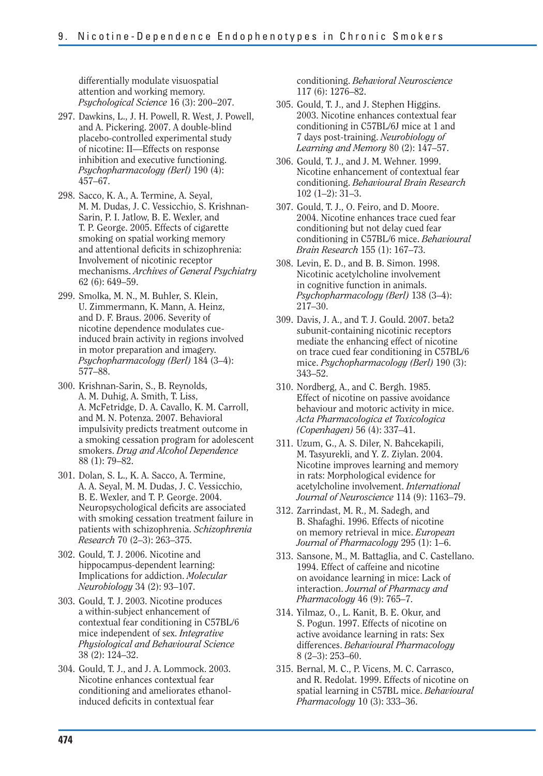differentially modulate visuospatial attention and working memory. *Psychological Science* 16 (3): 200–207.

- 297. Dawkins, L., J. H. Powell, R. West, J. Powell, and A. Pickering. 2007. A double-blind placebo-controlled experimental study of nicotine: II—Effects on response inhibition and executive functioning. *Psychopharmacology (Berl)* 190 (4): 457–67.
- 298. Sacco, K. A., A. Termine, A. Seyal, M. M. Dudas, J. C. Vessicchio, S. Krishnan-Sarin, P. I. Jatlow, B. E. Wexler, and T. P. George. 2005. Effects of cigarette smoking on spatial working memory and attentional deficits in schizophrenia: Involvement of nicotinic receptor mechanisms. *Archives of General Psychiatry*  62 (6): 649–59.
- 299. Smolka, M. N., M. Buhler, S. Klein, U. Zimmermann, K. Mann, A. Heinz, and D. F. Braus. 2006. Severity of nicotine dependence modulates cueinduced brain activity in regions involved in motor preparation and imagery. *Psychopharmacology (Berl)* 184 (3–4): 577–88.
- 300. Krishnan-Sarin, S., B. Reynolds, A. M. Duhig, A. Smith, T. Liss, A. McFetridge, D. A. Cavallo, K. M. Carroll, and M. N. Potenza. 2007. Behavioral impulsivity predicts treatment outcome in a smoking cessation program for adolescent smokers. *Drug and Alcohol Dependence*  88 (1): 79–82.
- 301. Dolan, S. L., K. A. Sacco, A. Termine, A. A. Seyal, M. M. Dudas, J. C. Vessicchio, B. E. Wexler, and T. P. George. 2004. Neuropsychological deficits are associated with smoking cessation treatment failure in patients with schizophrenia. *Schizophrenia Research* 70 (2–3): 263–375.
- 302. Gould, T. J. 2006. Nicotine and hippocampus-dependent learning: Implications for addiction. *Molecular Neurobiology* 34 (2): 93–107.
- 303. Gould, T. J. 2003. Nicotine produces a within-subject enhancement of contextual fear conditioning in C57BL/6 mice independent of sex. *Integrative Physiological and Behavioural Science*  38 (2): 124–32.
- 304. Gould, T. J., and J. A. Lommock. 2003. Nicotine enhances contextual fear conditioning and ameliorates ethanolinduced deficits in contextual fear

conditioning. *Behavioral Neuroscience*  117 (6): 1276–82.

- 305. Gould, T. J., and J. Stephen Higgins. 2003. Nicotine enhances contextual fear conditioning in C57BL/6J mice at 1 and 7 days post-training. *Neurobiology of Learning and Memory* 80 (2): 147–57.
- 306. Gould, T. J., and J. M. Wehner. 1999. Nicotine enhancement of contextual fear conditioning. *Behavioural Brain Research*  102 (1–2): 31–3.
- 307. Gould, T. J., O. Feiro, and D. Moore. 2004. Nicotine enhances trace cued fear conditioning but not delay cued fear conditioning in C57BL/6 mice. *Behavioural Brain Research* 155 (1): 167–73.
- 308. Levin, E. D., and B. B. Simon. 1998. Nicotinic acetylcholine involvement in cognitive function in animals. *Psychopharmacology (Berl)* 138 (3–4): 217–30.
- 309. Davis, J. A., and T. J. Gould. 2007. beta2 subunit-containing nicotinic receptors mediate the enhancing effect of nicotine on trace cued fear conditioning in C57BL/6 mice. *Psychopharmacology (Berl)* 190 (3): 343–52.
- 310. Nordberg, A., and C. Bergh. 1985. Effect of nicotine on passive avoidance behaviour and motoric activity in mice. *Acta Pharmacologica et Toxicologica (Copenhagen)* 56 (4): 337–41.
- 311. Uzum, G., A. S. Diler, N. Bahcekapili, M. Tasyurekli, and Y. Z. Ziylan. 2004. Nicotine improves learning and memory in rats: Morphological evidence for acetylcholine involvement. *International Journal of Neuroscience* 114 (9): 1163–79.
- 312. Zarrindast, M. R., M. Sadegh, and B. Shafaghi. 1996. Effects of nicotine on memory retrieval in mice. *European Journal of Pharmacology* 295 (1): 1–6.
- 313. Sansone, M., M. Battaglia, and C. Castellano. 1994. Effect of caffeine and nicotine on avoidance learning in mice: Lack of interaction. *Journal of Pharmacy and Pharmacology* 46 (9): 765–7.
- 314. Yilmaz, O., L. Kanit, B. E. Okur, and S. Pogun. 1997. Effects of nicotine on active avoidance learning in rats: Sex differences. *Behavioural Pharmacology*  8 (2–3): 253–60.
- 315. Bernal, M. C., P. Vicens, M. C. Carrasco, and R. Redolat. 1999. Effects of nicotine on spatial learning in C57BL mice. *Behavioural Pharmacology* 10 (3): 333–36.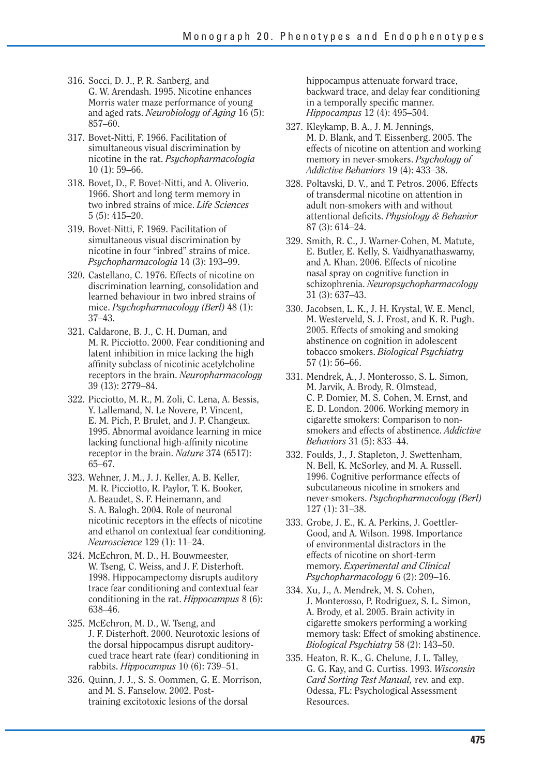- 316. Socci, D. J., P. R. Sanberg, and G. W. Arendash. 1995. Nicotine enhances Morris water maze performance of young and aged rats. *Neurobiology of Aging* 16 (5): 857–60.
- 317. Bovet-Nitti, F. 1966. Facilitation of simultaneous visual discrimination by nicotine in the rat. *Psychopharmacologia*  10 (1): 59–66.
- 318. Bovet, D., F. Bovet-Nitti, and A. Oliverio. 1966. Short and long term memory in two inbred strains of mice. *Life Sciences*  5 (5): 415–20.
- 319. Bovet-Nitti, F. 1969. Facilitation of simultaneous visual discrimination by nicotine in four "inbred" strains of mice. *Psychopharmacologia* 14 (3): 193–99.
- 320. Castellano, C. 1976. Effects of nicotine on discrimination learning, consolidation and learned behaviour in two inbred strains of mice. *Psychopharmacology (Berl)* 48 (1): 37–43.
- 321. Caldarone, B. J., C. H. Duman, and M. R. Picciotto. 2000. Fear conditioning and latent inhibition in mice lacking the high affinity subclass of nicotinic acetylcholine receptors in the brain. *Neuropharmacology*  39 (13): 2779–84.
- 322. Picciotto, M. R., M. Zoli, C. Lena, A. Bessis, Y. Lallemand, N. Le Novere, P. Vincent, E. M. Pich, P. Brulet, and J. P. Changeux. 1995. Abnormal avoidance learning in mice lacking functional high-affinity nicotine receptor in the brain. *Nature* 374 (6517): 65–67.
- 323. Wehner, J. M., J. J. Keller, A. B. Keller, M. R. Picciotto, R. Paylor, T. K. Booker, A. Beaudet, S. F. Heinemann, and S. A. Balogh. 2004. Role of neuronal nicotinic receptors in the effects of nicotine and ethanol on contextual fear conditioning. *Neuroscience* 129 (1): 11–24.
- 324. McEchron, M. D., H. Bouwmeester, W. Tseng, C. Weiss, and J. F. Disterhoft. 1998. Hippocampectomy disrupts auditory trace fear conditioning and contextual fear conditioning in the rat. *Hippocampus* 8 (6): 638–46.
- 325. McEchron, M. D., W. Tseng, and J. F. Disterhoft. 2000. Neurotoxic lesions of the dorsal hippocampus disrupt auditorycued trace heart rate (fear) conditioning in rabbits. *Hippocampus* 10 (6): 739–51.
- 326. Quinn, J. J., S. S. Oommen, G. E. Morrison, and M. S. Fanselow. 2002. Posttraining excitotoxic lesions of the dorsal

hippocampus attenuate forward trace, backward trace, and delay fear conditioning in a temporally specific manner. *Hippocampus* 12 (4): 495–504.

- 327. Kleykamp, B. A., J. M. Jennings, M. D. Blank, and T. Eissenberg. 2005. The effects of nicotine on attention and working memory in never-smokers. *Psychology of Addictive Behaviors* 19 (4): 433–38.
- 328. Poltavski, D. V., and T. Petros. 2006. Effects of transdermal nicotine on attention in adult non-smokers with and without attentional defi cits. *Physiology & Behavior*  87 (3): 614–24.
- 329. Smith, R. C., J. Warner-Cohen, M. Matute, E. Butler, E. Kelly, S. Vaidhyanathaswamy, and A. Khan. 2006. Effects of nicotine nasal spray on cognitive function in schizophrenia. *Neuropsychopharmacology*  31 (3): 637–43.
- 330. Jacobsen, L. K., J. H. Krystal, W. E. Mencl, M. Westerveld, S. J. Frost, and K. R. Pugh. 2005. Effects of smoking and smoking abstinence on cognition in adolescent tobacco smokers. *Biological Psychiatry*  57 (1): 56–66.
- 331. Mendrek, A., J. Monterosso, S. L. Simon, M. Jarvik, A. Brody, R. Olmstead, C. P. Domier, M. S. Cohen, M. Ernst, and E. D. London. 2006. Working memory in cigarette smokers: Comparison to nonsmokers and effects of abstinence. *Addictive Behaviors* 31 (5): 833–44.
- 332. Foulds, J., J. Stapleton, J. Swettenham, N. Bell, K. McSorley, and M. A. Russell. 1996. Cognitive performance effects of subcutaneous nicotine in smokers and never-smokers. *Psychopharmacology (Berl)*  127 (1): 31–38.
- 333. Grobe, J. E., K. A. Perkins, J. Goettler-Good, and A. Wilson. 1998. Importance of environmental distractors in the effects of nicotine on short-term memory. *Experimental and Clinical Psychopharmacology* 6 (2): 209–16.
- 334. Xu, J., A. Mendrek, M. S. Cohen, J. Monterosso, P. Rodriguez, S. L. Simon, A. Brody, et al. 2005. Brain activity in cigarette smokers performing a working memory task: Effect of smoking abstinence. *Biological Psychiatry* 58 (2): 143–50.
- 335. Heaton, R. K., G. Chelune, J. L. Talley, G. G. Kay, and G. Curtiss. 1993. *Wisconsin Card Sorting Test Manual,* rev. and exp. Odessa, FL: Psychological Assessment Resources.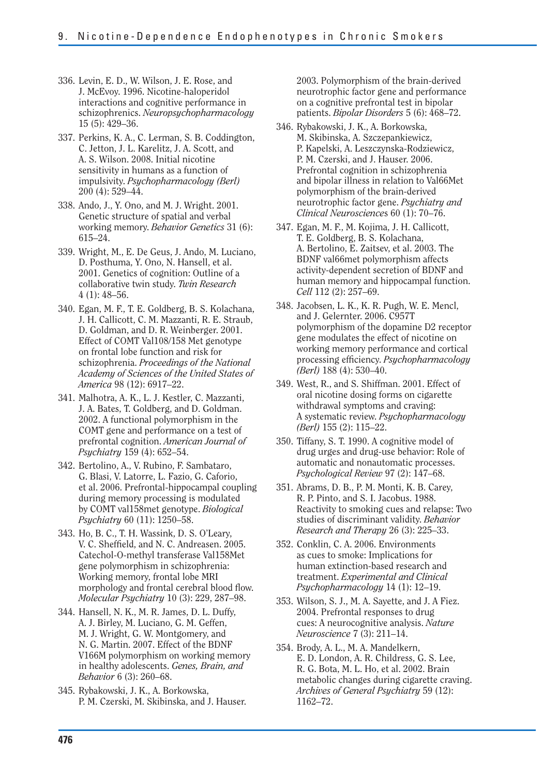- 336. Levin, E. D., W. Wilson, J. E. Rose, and J. McEvoy. 1996. Nicotine-haloperidol interactions and cognitive performance in schizophrenics. *Neuropsychopharmacology*  15 (5): 429–36.
- 337. Perkins, K. A., C. Lerman, S. B. Coddington, C. Jetton, J. L. Karelitz, J. A. Scott, and A. S. Wilson. 2008. Initial nicotine sensitivity in humans as a function of impulsivity. *Psychopharmacology (Berl)*  200 (4): 529–44.
- 338. Ando, J., Y. Ono, and M. J. Wright. 2001. Genetic structure of spatial and verbal working memory. *Behavior Genetics* 31 (6): 615–24.
- 339. Wright, M., E. De Geus, J. Ando, M. Luciano, D. Posthuma, Y. Ono, N. Hansell, et al. 2001. Genetics of cognition: Outline of a collaborative twin study. *Twin Research*  4 (1): 48–56.
- 340. Egan, M. F., T. E. Goldberg, B. S. Kolachana, J. H. Callicott, C. M. Mazzanti, R. E. Straub, D. Goldman, and D. R. Weinberger. 2001. Effect of COMT Val108/158 Met genotype on frontal lobe function and risk for schizophrenia. *Proceedings of the National Academy of Sciences of the United States of America* 98 (12): 6917–22.
- 341. Malhotra, A. K., L. J. Kestler, C. Mazzanti, J. A. Bates, T. Goldberg, and D. Goldman. 2002. A functional polymorphism in the COMT gene and performance on a test of prefrontal cognition. *American Journal of Psychiatry* 159 (4): 652–54.
- 342. Bertolino, A., V. Rubino, F. Sambataro, G. Blasi, V. Latorre, L. Fazio, G. Caforio, et al. 2006. Prefrontal-hippocampal coupling during memory processing is modulated by COMT val158met genotype. *Biological Psychiatry* 60 (11): 1250–58.
- 343. Ho, B. C., T. H. Wassink, D. S. O'Leary, V. C. Sheffield, and N. C. Andreasen. 2005. Catechol-O-methyl transferase Val158Met gene polymorphism in schizophrenia: Working memory, frontal lobe MRI morphology and frontal cerebral blood flow. *Molecular Psychiatry* 10 (3): 229, 287–98.
- 344. Hansell, N. K., M. R. James, D. L. Duffy, A. J. Birley, M. Luciano, G. M. Geffen, M. J. Wright, G. W. Montgomery, and N. G. Martin. 2007. Effect of the BDNF V166M polymorphism on working memory in healthy adolescents. *Genes, Brain, and Behavior* 6 (3): 260–68.
- 345. Rybakowski, J. K., A. Borkowska, P. M. Czerski, M. Skibinska, and J. Hauser.

2003. Polymorphism of the brain-derived neurotrophic factor gene and performance on a cognitive prefrontal test in bipolar patients. *Bipolar Disorders* 5 (6): 468–72.

- 346. Rybakowski, J. K., A. Borkowska, M. Skibinska, A. Szczepankiewicz, P. Kapelski, A. Leszczynska-Rodziewicz, P. M. Czerski, and J. Hauser. 2006. Prefrontal cognition in schizophrenia and bipolar illness in relation to Val66Met polymorphism of the brain-derived neurotrophic factor gene. *Psychiatry and Clinical Neuroscience*s 60 (1): 70–76.
- 347. Egan, M. F., M. Kojima, J. H. Callicott, T. E. Goldberg, B. S. Kolachana, A. Bertolino, E. Zaitsev, et al. 2003. The BDNF val66met polymorphism affects activity-dependent secretion of BDNF and human memory and hippocampal function. *Cell* 112 (2): 257–69.
- 348. Jacobsen, L. K., K. R. Pugh, W. E. Mencl, and J. Gelernter. 2006. C957T polymorphism of the dopamine D2 receptor gene modulates the effect of nicotine on working memory performance and cortical processing efficiency. *Psychopharmacology (Berl)* 188 (4): 530–40.
- 349. West, R., and S. Shiffman. 2001. Effect of oral nicotine dosing forms on cigarette withdrawal symptoms and craving: A systematic review. *Psychopharmacology (Berl)* 155 (2): 115–22.
- 350. Tiffany, S. T. 1990. A cognitive model of drug urges and drug-use behavior: Role of automatic and nonautomatic processes. *Psychological Review* 97 (2): 147–68.
- 351. Abrams, D. B., P. M. Monti, K. B. Carey, R. P. Pinto, and S. I. Jacobus. 1988. Reactivity to smoking cues and relapse: Two studies of discriminant validity. *Behavior Research and Therapy* 26 (3): 225–33.
- 352. Conklin, C. A. 2006. Environments as cues to smoke: Implications for human extinction-based research and treatment. *Experimental and Clinical Psychopharmacology* 14 (1): 12–19.
- 353. Wilson, S. J., M. A. Sayette, and J. A Fiez. 2004. Prefrontal responses to drug cues: A neurocognitive analysis. *Nature Neuroscience* 7 (3): 211–14.
- 354. Brody, A. L., M. A. Mandelkern, E. D. London, A. R. Childress, G. S. Lee, R. G. Bota, M. L. Ho, et al. 2002. Brain metabolic changes during cigarette craving. *Archives of General Psychiatry* 59 (12): 1162–72.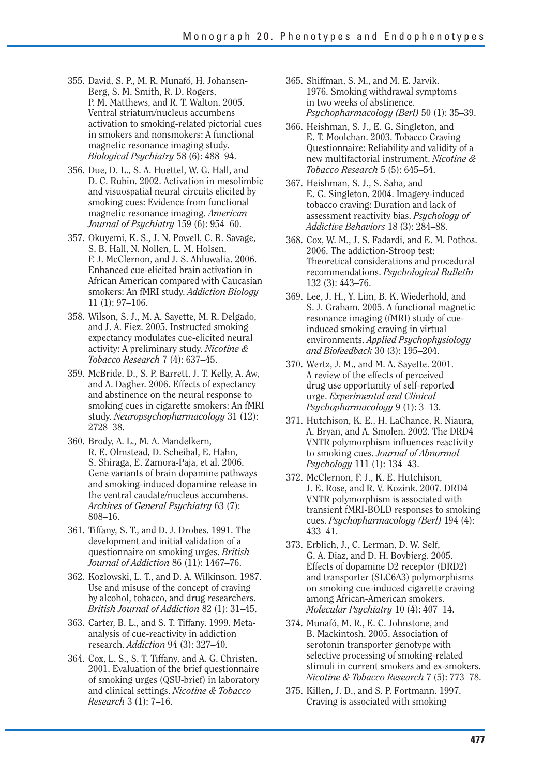- 355. David, S. P., M. R. Munafó, H. Johansen-Berg, S. M. Smith, R. D. Rogers, P. M. Matthews, and R. T. Walton. 2005. Ventral striatum/nucleus accumbens activation to smoking-related pictorial cues in smokers and nonsmokers: A functional magnetic resonance imaging study. *Biological Psychiatry* 58 (6): 488–94.
- 356. Due, D. L., S. A. Huettel, W. G. Hall, and D. C. Rubin. 2002. Activation in mesolimbic and visuospatial neural circuits elicited by smoking cues: Evidence from functional magnetic resonance imaging. *American Journal of Psychiatry* 159 (6): 954–60.
- 357. Okuyemi, K. S., J. N. Powell, C. R. Savage, S. B. Hall, N. Nollen, L. M. Holsen, F. J. McClernon, and J. S. Ahluwalia. 2006. Enhanced cue-elicited brain activation in African American compared with Caucasian smokers: An fMRI study. *Addiction Biology*  11 (1): 97–106.
- 358. Wilson, S. J., M. A. Sayette, M. R. Delgado, and J. A. Fiez. 2005. Instructed smoking expectancy modulates cue-elicited neural activity: A preliminary study. *Nicotine & Tobacco Research* 7 (4): 637–45.
- 359. McBride, D., S. P. Barrett, J. T. Kelly, A. Aw, and A. Dagher. 2006. Effects of expectancy and abstinence on the neural response to smoking cues in cigarette smokers: An fMRI study. *Neuropsychopharmacology* 31 (12): 2728–38.
- 360. Brody, A. L., M. A. Mandelkern, R. E. Olmstead, D. Scheibal, E. Hahn, S. Shiraga, E. Zamora-Paja, et al. 2006. Gene variants of brain dopamine pathways and smoking-induced dopamine release in the ventral caudate/nucleus accumbens. *Archives of General Psychiatry* 63 (7): 808–16.
- 361. Tiffany, S. T., and D. J. Drobes. 1991. The development and initial validation of a questionnaire on smoking urges. *British Journal of Addiction* 86 (11): 1467–76.
- 362. Kozlowski, L. T., and D. A. Wilkinson. 1987. Use and misuse of the concept of craving by alcohol, tobacco, and drug researchers. *British Journal of Addiction* 82 (1): 31–45.
- 363. Carter, B. L., and S. T. Tiffany. 1999. Metaanalysis of cue-reactivity in addiction research. *Addiction* 94 (3): 327–40.
- 364. Cox, L. S., S. T. Tiffany, and A. G. Christen. 2001. Evaluation of the brief questionnaire of smoking urges (QSU-brief) in laboratory and clinical settings. *Nicotine & Tobacco Research* 3 (1): 7–16.
- 365. Shiffman, S. M., and M. E. Jarvik. 1976. Smoking withdrawal symptoms in two weeks of abstinence. *Psychopharmacology (Berl)* 50 (1): 35–39.
- 366. Heishman, S. J., E. G. Singleton, and E. T. Moolchan. 2003. Tobacco Craving Questionnaire: Reliability and validity of a new multifactorial instrument. *Nicotine & Tobacco Research* 5 (5): 645–54.
- 367. Heishman, S. J., S. Saha, and E. G. Singleton. 2004. Imagery-induced tobacco craving: Duration and lack of assessment reactivity bias. *Psychology of Addictive Behaviors* 18 (3): 284–88.
- 368. Cox, W. M., J. S. Fadardi, and E. M. Pothos. 2006. The addiction-Stroop test: Theoretical considerations and procedural recommendations. *Psychological Bulletin*  132 (3): 443–76.
- 369. Lee, J. H., Y. Lim, B. K. Wiederhold, and S. J. Graham. 2005. A functional magnetic resonance imaging (fMRI) study of cueinduced smoking craving in virtual environments. *Applied Psychophysiology and Biofeedback* 30 (3): 195–204.
- 370. Wertz, J. M., and M. A. Sayette. 2001. A review of the effects of perceived drug use opportunity of self-reported urge. *Experimental and Clinical Psychopharmacology* 9 (1): 3–13.
- 371. Hutchison, K. E., H. LaChance, R. Niaura, A. Bryan, and A. Smolen. 2002. The DRD4 VNTR polymorphism influences reactivity to smoking cues. *Journal of Abnormal Psychology* 111 (1): 134–43.
- 372. McClernon, F. J., K. E. Hutchison, J. E. Rose, and R. V. Kozink. 2007. DRD4 VNTR polymorphism is associated with transient fMRI-BOLD responses to smoking cues. *Psychopharmacology (Berl)* 194 (4): 433–41.
- 373. Erblich, J., C. Lerman, D. W. Self, G. A. Diaz, and D. H. Bovbjerg. 2005. Effects of dopamine D2 receptor (DRD2) and transporter (SLC6A3) polymorphisms on smoking cue-induced cigarette craving among African-American smokers. *Molecular Psychiatry* 10 (4): 407–14.
- 374. Munafó, M. R., E. C. Johnstone, and B. Mackintosh. 2005. Association of serotonin transporter genotype with selective processing of smoking-related stimuli in current smokers and ex-smokers. *Nicotine & Tobacco Research* 7 (5): 773–78.
- 375. Killen, J. D., and S. P. Fortmann. 1997. Craving is associated with smoking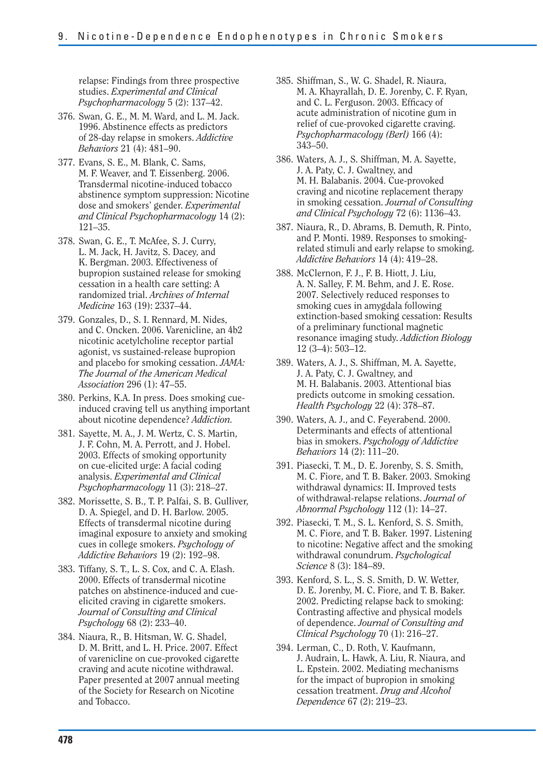relapse: Findings from three prospective studies. *Experimental and Clinical Psychopharmacology* 5 (2): 137–42.

- 376. Swan, G. E., M. M. Ward, and L. M. Jack. 1996. Abstinence effects as predictors of 28-day relapse in smokers. *Addictive Behaviors* 21 (4): 481–90.
- 377. Evans, S. E., M. Blank, C. Sams, M. F. Weaver, and T. Eissenberg. 2006. Transdermal nicotine-induced tobacco abstinence symptom suppression: Nicotine dose and smokers' gender. *Experimental and Clinical Psychopharmacology* 14 (2): 121–35.
- 378. Swan, G. E., T. McAfee, S. J. Curry, L. M. Jack, H. Javitz, S. Dacey, and K. Bergman. 2003. Effectiveness of bupropion sustained release for smoking cessation in a health care setting: A randomized trial. *Archives of Internal Medicine* 163 (19): 2337–44.
- 379. Gonzales, D., S. I. Rennard, M. Nides, and C. Oncken. 2006. Varenicline, an 4b2 nicotinic acetylcholine receptor partial agonist, vs sustained-release bupropion and placebo for smoking cessation. *JAMA: The Journal of the American Medical Association* 296 (1): 47–55.
- 380. Perkins, K.A. In press. Does smoking cueinduced craving tell us anything important about nicotine dependence? *Addiction.*
- 381. Sayette, M. A., J. M. Wertz, C. S. Martin, J. F. Cohn, M. A. Perrott, and J. Hobel. 2003. Effects of smoking opportunity on cue-elicited urge: A facial coding analysis. *Experimental and Clinical Psychopharmacology* 11 (3): 218–27.
- 382. Morissette, S. B., T. P. Palfai, S. B. Gulliver, D. A. Spiegel, and D. H. Barlow. 2005. Effects of transdermal nicotine during imaginal exposure to anxiety and smoking cues in college smokers. *Psychology of Addictive Behaviors* 19 (2): 192–98.
- 383. Tiffany, S. T., L. S. Cox, and C. A. Elash. 2000. Effects of transdermal nicotine patches on abstinence-induced and cueelicited craving in cigarette smokers. *Journal of Consulting and Clinical Psychology* 68 (2): 233–40.
- 384. Niaura, R., B. Hitsman, W. G. Shadel, D. M. Britt, and L. H. Price. 2007. Effect of varenicline on cue-provoked cigarette craving and acute nicotine withdrawal. Paper presented at 2007 annual meeting of the Society for Research on Nicotine and Tobacco.
- 385. Shiffman, S., W. G. Shadel, R. Niaura, M. A. Khayrallah, D. E. Jorenby, C. F. Ryan, and C. L. Ferguson. 2003. Efficacy of acute administration of nicotine gum in relief of cue-provoked cigarette craving. *Psychopharmacology (Berl)* 166 (4): 343–50.
- 386. Waters, A. J., S. Shiffman, M. A. Sayette, J. A. Paty, C. J. Gwaltney, and M. H. Balabanis. 2004. Cue-provoked craving and nicotine replacement therapy in smoking cessation. *Journal of Consulting and Clinical Psychology* 72 (6): 1136–43.
- 387. Niaura, R., D. Abrams, B. Demuth, R. Pinto, and P. Monti. 1989. Responses to smokingrelated stimuli and early relapse to smoking. *Addictive Behaviors* 14 (4): 419–28.
- 388. McClernon, F. J., F. B. Hiott, J. Liu, A. N. Salley, F. M. Behm, and J. E. Rose. 2007. Selectively reduced responses to smoking cues in amygdala following extinction-based smoking cessation: Results of a preliminary functional magnetic resonance imaging study. *Addiction Biology*  12 (3–4): 503–12.
- 389. Waters, A. J., S. Shiffman, M. A. Sayette, J. A. Paty, C. J. Gwaltney, and M. H. Balabanis. 2003. Attentional bias predicts outcome in smoking cessation. *Health Psychology* 22 (4): 378–87.
- 390. Waters, A. J., and C. Feyerabend. 2000. Determinants and effects of attentional bias in smokers. *Psychology of Addictive Behaviors* 14 (2): 111–20.
- 391. Piasecki, T. M., D. E. Jorenby, S. S. Smith, M. C. Fiore, and T. B. Baker. 2003. Smoking withdrawal dynamics: II. Improved tests of withdrawal-relapse relations. *Journal of Abnormal Psychology* 112 (1): 14–27.
- 392. Piasecki, T. M., S. L. Kenford, S. S. Smith, M. C. Fiore, and T. B. Baker. 1997. Listening to nicotine: Negative affect and the smoking withdrawal conundrum. *Psychological Science* 8 (3): 184–89.
- 393. Kenford, S. L., S. S. Smith, D. W. Wetter, D. E. Jorenby, M. C. Fiore, and T. B. Baker. 2002. Predicting relapse back to smoking: Contrasting affective and physical models of dependence. *Journal of Consulting and Clinical Psychology* 70 (1): 216–27.
- 394. Lerman, C., D. Roth, V. Kaufmann, J. Audrain, L. Hawk, A. Liu, R. Niaura, and L. Epstein. 2002. Mediating mechanisms for the impact of bupropion in smoking cessation treatment. *Drug and Alcohol Dependence* 67 (2): 219–23.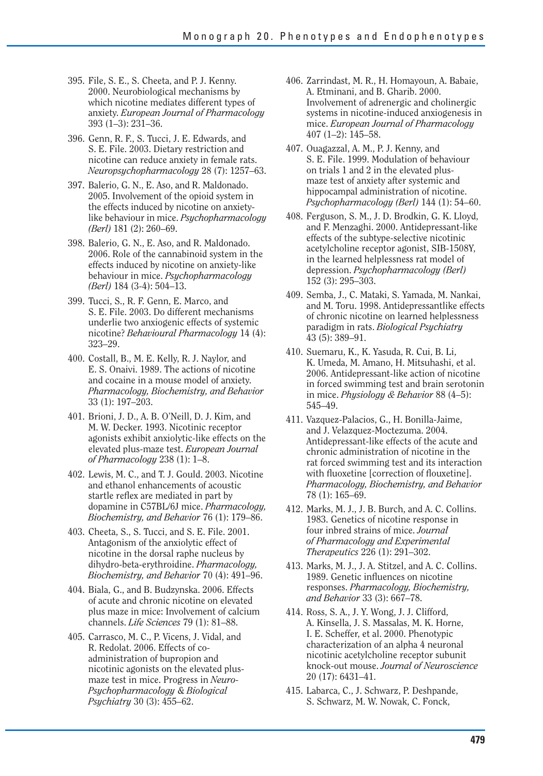- 395. File, S. E., S. Cheeta, and P. J. Kenny. 2000. Neurobiological mechanisms by which nicotine mediates different types of anxiety. *European Journal of Pharmacology*  393 (1–3): 231–36.
- 396. Genn, R. F., S. Tucci, J. E. Edwards, and S. E. File. 2003. Dietary restriction and nicotine can reduce anxiety in female rats. *Neuropsychopharmacology* 28 (7): 1257–63.
- 397. Balerio, G. N., E. Aso, and R. Maldonado. 2005. Involvement of the opioid system in the effects induced by nicotine on anxietylike behaviour in mice. *Psychopharmacology (Berl)* 181 (2): 260–69.
- 398. Balerio, G. N., E. Aso, and R. Maldonado. 2006. Role of the cannabinoid system in the effects induced by nicotine on anxiety-like behaviour in mice. *Psychopharmacology (Berl)* 184 (3-4): 504–13.
- 399. Tucci, S., R. F. Genn, E. Marco, and S. E. File. 2003. Do different mechanisms underlie two anxiogenic effects of systemic nicotine? *Behavioural Pharmacology* 14 (4): 323–29.
- 400. Costall, B., M. E. Kelly, R. J. Naylor, and E. S. Onaivi. 1989. The actions of nicotine and cocaine in a mouse model of anxiety. *Pharmacology, Biochemistry, and Behavior*  33 (1): 197–203.
- 401. Brioni, J. D., A. B. O'Neill, D. J. Kim, and M. W. Decker. 1993. Nicotinic receptor agonists exhibit anxiolytic-like effects on the elevated plus-maze test. *European Journal of Pharmacology* 238 (1): 1–8.
- 402. Lewis, M. C., and T. J. Gould. 2003. Nicotine and ethanol enhancements of acoustic startle reflex are mediated in part by dopamine in C57BL/6J mice. *Pharmacology, Biochemistry, and Behavior* 76 (1): 179–86.
- 403. Cheeta, S., S. Tucci, and S. E. File. 2001. Antagonism of the anxiolytic effect of nicotine in the dorsal raphe nucleus by dihydro-beta-erythroidine. *Pharmacology, Biochemistry, and Behavior* 70 (4): 491–96.
- 404. Biala, G., and B. Budzynska. 2006. Effects of acute and chronic nicotine on elevated plus maze in mice: Involvement of calcium channels. *Life Sciences* 79 (1): 81–88.
- 405. Carrasco, M. C., P. Vicens, J. Vidal, and R. Redolat. 2006. Effects of coadministration of bupropion and nicotinic agonists on the elevated plusmaze test in mice. Progress in *Neuro-Psychopharmacology* & *Biological Psychiatry* 30 (3): 455–62.
- 406. Zarrindast, M. R., H. Homayoun, A. Babaie, A. Etminani, and B. Gharib. 2000. Involvement of adrenergic and cholinergic systems in nicotine-induced anxiogenesis in mice. *European Journal of Pharmacology*  407 (1–2): 145–58.
- 407. Ouagazzal, A. M., P. J. Kenny, and S. E. File. 1999. Modulation of behaviour on trials 1 and 2 in the elevated plusmaze test of anxiety after systemic and hippocampal administration of nicotine. *Psychopharmacology (Berl)* 144 (1): 54–60.
- 408. Ferguson, S. M., J. D. Brodkin, G. K. Lloyd, and F. Menzaghi. 2000. Antidepressant-like effects of the subtype-selective nicotinic acetylcholine receptor agonist, SIB-1508Y, in the learned helplessness rat model of depression. *Psychopharmacology (Berl)*  152 (3): 295–303.
- 409. Semba, J., C. Mataki, S. Yamada, M. Nankai, and M. Toru. 1998. Antidepressantlike effects of chronic nicotine on learned helplessness paradigm in rats. *Biological Psychiatry*  43 (5): 389–91.
- 410. Suemaru, K., K. Yasuda, R. Cui, B. Li, K. Umeda, M. Amano, H. Mitsuhashi, et al. 2006. Antidepressant-like action of nicotine in forced swimming test and brain serotonin in mice. *Physiology & Behavior* 88 (4–5): 545–49.
- 411. Vazquez-Palacios, G., H. Bonilla-Jaime, and J. Velazquez-Moctezuma. 2004. Antidepressant-like effects of the acute and chronic administration of nicotine in the rat forced swimming test and its interaction with fluoxetine [correction of flouxetine]. *Pharmacology, Biochemistry, and Behavior*  78 (1): 165–69.
- 412. Marks, M. J., J. B. Burch, and A. C. Collins. 1983. Genetics of nicotine response in four inbred strains of mice. *Journal of Pharmacology and Experimental Therapeutics* 226 (1): 291–302.
- 413. Marks, M. J., J. A. Stitzel, and A. C. Collins. 1989. Genetic influences on nicotine responses. *Pharmacology, Biochemistry, and Behavior* 33 (3): 667–78.
- 414. Ross, S. A., J. Y. Wong, J. J. Clifford, A. Kinsella, J. S. Massalas, M. K. Horne, I. E. Scheffer, et al. 2000. Phenotypic characterization of an alpha 4 neuronal nicotinic acetylcholine receptor subunit knock-out mouse. *Journal of Neuroscience*  20 (17): 6431–41.
- 415. Labarca, C., J. Schwarz, P. Deshpande, S. Schwarz, M. W. Nowak, C. Fonck,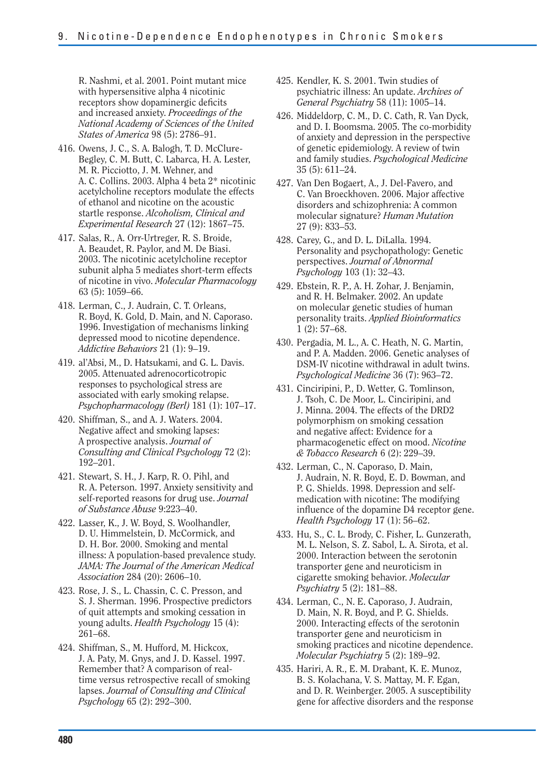R. Nashmi, et al. 2001. Point mutant mice with hypersensitive alpha 4 nicotinic receptors show dopaminergic deficits and increased anxiety. *Proceedings of the National Academy of Sciences of the United States of America* 98 (5): 2786–91.

- 416. Owens, J. C., S. A. Balogh, T. D. McClure-Begley, C. M. Butt, C. Labarca, H. A. Lester, M. R. Picciotto, J. M. Wehner, and A. C. Collins. 2003. Alpha 4 beta 2\* nicotinic acetylcholine receptors modulate the effects of ethanol and nicotine on the acoustic startle response. *Alcoholism, Clinical and Experimental Research* 27 (12): 1867–75.
- 417. Salas, R., A. Orr-Urtreger, R. S. Broide, A. Beaudet, R. Paylor, and M. De Biasi. 2003. The nicotinic acetylcholine receptor subunit alpha 5 mediates short-term effects of nicotine in vivo. *Molecular Pharmacology*  63 (5): 1059–66.
- 418. Lerman, C., J. Audrain, C. T. Orleans, R. Boyd, K. Gold, D. Main, and N. Caporaso. 1996. Investigation of mechanisms linking depressed mood to nicotine dependence. *Addictive Behaviors* 21 (1): 9–19.
- 419. al'Absi, M., D. Hatsukami, and G. L. Davis. 2005. Attenuated adrenocorticotropic responses to psychological stress are associated with early smoking relapse. *Psychopharmacology (Berl)* 181 (1): 107–17.
- 420. Shiffman, S., and A. J. Waters. 2004. Negative affect and smoking lapses: A prospective analysis. *Journal of Consulting and Clinical Psychology* 72 (2): 192–201.
- 421. Stewart, S. H., J. Karp, R. O. Pihl, and R. A. Peterson. 1997. Anxiety sensitivity and self-reported reasons for drug use. *Journal of Substance Abuse* 9:223–40.
- 422. Lasser, K., J. W. Boyd, S. Woolhandler, D. U. Himmelstein, D. McCormick, and D. H. Bor. 2000. Smoking and mental illness: A population-based prevalence study. *JAMA: The Journal of the American Medical Association* 284 (20): 2606–10.
- 423. Rose, J. S., L. Chassin, C. C. Presson, and S. J. Sherman. 1996. Prospective predictors of quit attempts and smoking cessation in young adults. *Health Psychology* 15 (4): 261–68.
- 424. Shiffman, S., M. Hufford, M. Hickcox, J. A. Paty, M. Gnys, and J. D. Kassel. 1997. Remember that? A comparison of realtime versus retrospective recall of smoking lapses. *Journal of Consulting and Clinical Psychology* 65 (2): 292–300.
- 425. Kendler, K. S. 2001. Twin studies of psychiatric illness: An update. *Archives of General Psychiatry* 58 (11): 1005–14.
- 426. Middeldorp, C. M., D. C. Cath, R. Van Dyck, and D. I. Boomsma. 2005. The co-morbidity of anxiety and depression in the perspective of genetic epidemiology. A review of twin and family studies. *Psychological Medicine*  35 (5): 611–24.
- 427. Van Den Bogaert, A., J. Del-Favero, and C. Van Broeckhoven. 2006. Major affective disorders and schizophrenia: A common molecular signature? *Human Mutation*  27 (9): 833–53.
- 428. Carey, G., and D. L. DiLalla. 1994. Personality and psychopathology: Genetic perspectives. *Journal of Abnormal Psychology* 103 (1): 32–43.
- 429. Ebstein, R. P., A. H. Zohar, J. Benjamin, and R. H. Belmaker. 2002. An update on molecular genetic studies of human personality traits. *Applied Bioinformatics*  1 (2): 57–68.
- 430. Pergadia, M. L., A. C. Heath, N. G. Martin, and P. A. Madden. 2006. Genetic analyses of DSM-IV nicotine withdrawal in adult twins. *Psychological Medicine* 36 (7): 963–72.
- 431. Cinciripini, P., D. Wetter, G. Tomlinson, J. Tsoh, C. De Moor, L. Cinciripini, and J. Minna. 2004. The effects of the DRD2 polymorphism on smoking cessation and negative affect: Evidence for a pharmacogenetic effect on mood. *Nicotine & Tobacco Research* 6 (2): 229–39.
- 432. Lerman, C., N. Caporaso, D. Main, J. Audrain, N. R. Boyd, E. D. Bowman, and P. G. Shields. 1998. Depression and selfmedication with nicotine: The modifying influence of the dopamine D4 receptor gene. *Health Psychology* 17 (1): 56–62.
- 433. Hu, S., C. L. Brody, C. Fisher, L. Gunzerath, M. L. Nelson, S. Z. Sabol, L. A. Sirota, et al. 2000. Interaction between the serotonin transporter gene and neuroticism in cigarette smoking behavior. *Molecular Psychiatry* 5 (2): 181–88.
- 434. Lerman, C., N. E. Caporaso, J. Audrain, D. Main, N. R. Boyd, and P. G. Shields. 2000. Interacting effects of the serotonin transporter gene and neuroticism in smoking practices and nicotine dependence. *Molecular Psychiatry* 5 (2): 189–92.
- 435. Hariri, A. R., E. M. Drabant, K. E. Munoz, B. S. Kolachana, V. S. Mattay, M. F. Egan, and D. R. Weinberger. 2005. A susceptibility gene for affective disorders and the response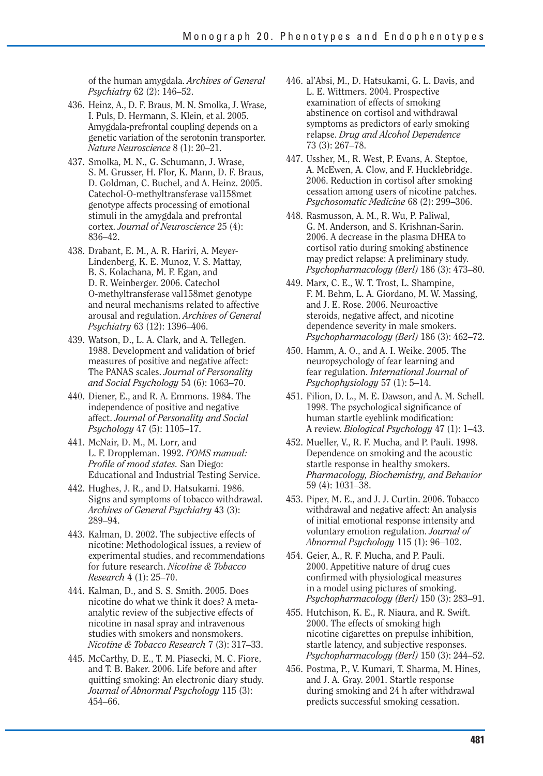of the human amygdala. *Archives of General Psychiatry* 62 (2): 146–52.

- 436. Heinz, A., D. F. Braus, M. N. Smolka, J. Wrase, I. Puls, D. Hermann, S. Klein, et al. 2005. Amygdala-prefrontal coupling depends on a genetic variation of the serotonin transporter. *Nature Neuroscience* 8 (1): 20–21.
- 437. Smolka, M. N., G. Schumann, J. Wrase, S. M. Grusser, H. Flor, K. Mann, D. F. Braus, D. Goldman, C. Buchel, and A. Heinz. 2005. Catechol-O-methyltransferase val158met genotype affects processing of emotional stimuli in the amygdala and prefrontal cortex. *Journal of Neuroscience* 25 (4): 836–42.
- 438. Drabant, E. M., A. R. Hariri, A. Meyer-Lindenberg, K. E. Munoz, V. S. Mattay, B. S. Kolachana, M. F. Egan, and D. R. Weinberger. 2006. Catechol O-methyltransferase val158met genotype and neural mechanisms related to affective arousal and regulation. *Archives of General Psychiatry* 63 (12): 1396–406.
- 439. Watson, D., L. A. Clark, and A. Tellegen. 1988. Development and validation of brief measures of positive and negative affect: The PANAS scales. *Journal of Personality and Social Psychology* 54 (6): 1063–70.
- 440. Diener, E., and R. A. Emmons. 1984. The independence of positive and negative affect. *Journal of Personality and Social Psychology* 47 (5): 1105–17.
- 441. McNair, D. M., M. Lorr, and L. F. Droppleman. 1992. *POMS manual: Profile of mood states.* San Diego: Educational and Industrial Testing Service.
- 442. Hughes, J. R., and D. Hatsukami. 1986. Signs and symptoms of tobacco withdrawal. *Archives of General Psychiatry* 43 (3): 289–94.
- 443. Kalman, D. 2002. The subjective effects of nicotine: Methodological issues, a review of experimental studies, and recommendations for future research. *Nicotine & Tobacco Research* 4 (1): 25–70.
- 444. Kalman, D., and S. S. Smith. 2005. Does nicotine do what we think it does? A metaanalytic review of the subjective effects of nicotine in nasal spray and intravenous studies with smokers and nonsmokers. *Nicotine & Tobacco Research* 7 (3): 317–33.
- 445. McCarthy, D. E., T. M. Piasecki, M. C. Fiore, and T. B. Baker. 2006. Life before and after quitting smoking: An electronic diary study. *Journal of Abnormal Psychology* 115 (3): 454–66.
- 446. al'Absi, M., D. Hatsukami, G. L. Davis, and L. E. Wittmers. 2004. Prospective examination of effects of smoking abstinence on cortisol and withdrawal symptoms as predictors of early smoking relapse. *Drug and Alcohol Dependence*  73 (3): 267–78.
- 447. Ussher, M., R. West, P. Evans, A. Steptoe, A. McEwen, A. Clow, and F. Hucklebridge. 2006. Reduction in cortisol after smoking cessation among users of nicotine patches. *Psychosomatic Medicine* 68 (2): 299–306.
- 448. Rasmusson, A. M., R. Wu, P. Paliwal, G. M. Anderson, and S. Krishnan-Sarin. 2006. A decrease in the plasma DHEA to cortisol ratio during smoking abstinence may predict relapse: A preliminary study. *Psychopharmacology (Berl)* 186 (3): 473–80.
- 449. Marx, C. E., W. T. Trost, L. Shampine, F. M. Behm, L. A. Giordano, M. W. Massing, and J. E. Rose. 2006. Neuroactive steroids, negative affect, and nicotine dependence severity in male smokers. *Psychopharmacology (Berl)* 186 (3): 462–72.
- 450. Hamm, A. O., and A. I. Weike. 2005. The neuropsychology of fear learning and fear regulation. *International Journal of Psychophysiology* 57 (1): 5–14.
- 451. Filion, D. L., M. E. Dawson, and A. M. Schell. 1998. The psychological significance of human startle eyeblink modification: A review. *Biological Psychology* 47 (1): 1–43.
- 452. Mueller, V., R. F. Mucha, and P. Pauli. 1998. Dependence on smoking and the acoustic startle response in healthy smokers. *Pharmacology, Biochemistry, and Behavior*  59 (4): 1031–38.
- 453. Piper, M. E., and J. J. Curtin. 2006. Tobacco withdrawal and negative affect: An analysis of initial emotional response intensity and voluntary emotion regulation. *Journal of Abnormal Psychology* 115 (1): 96–102.
- 454. Geier, A., R. F. Mucha, and P. Pauli. 2000. Appetitive nature of drug cues confirmed with physiological measures in a model using pictures of smoking. *Psychopharmacology (Berl)* 150 (3): 283–91.
- 455. Hutchison, K. E., R. Niaura, and R. Swift. 2000. The effects of smoking high nicotine cigarettes on prepulse inhibition, startle latency, and subjective responses. *Psychopharmacology (Berl)* 150 (3): 244–52.
- 456. Postma, P., V. Kumari, T. Sharma, M. Hines, and J. A. Gray. 2001. Startle response during smoking and 24 h after withdrawal predicts successful smoking cessation.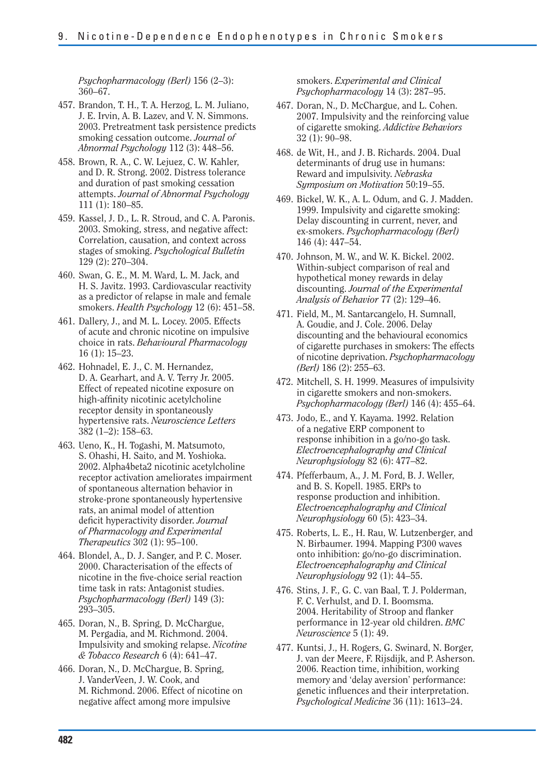*Psychopharmacology (Berl)* 156 (2–3): 360–67.

- 457. Brandon, T. H., T. A. Herzog, L. M. Juliano, J. E. Irvin, A. B. Lazev, and V. N. Simmons. 2003. Pretreatment task persistence predicts smoking cessation outcome. *Journal of Abnormal Psychology* 112 (3): 448–56.
- 458. Brown, R. A., C. W. Lejuez, C. W. Kahler, and D. R. Strong. 2002. Distress tolerance and duration of past smoking cessation attempts. *Journal of Abnormal Psychology*  111 (1): 180–85.
- 459. Kassel, J. D., L. R. Stroud, and C. A. Paronis. 2003. Smoking, stress, and negative affect: Correlation, causation, and context across stages of smoking. *Psychological Bulletin*  129 (2): 270–304.
- 460. Swan, G. E., M. M. Ward, L. M. Jack, and H. S. Javitz. 1993. Cardiovascular reactivity as a predictor of relapse in male and female smokers. *Health Psychology* 12 (6): 451–58.
- 461. Dallery, J., and M. L. Locey. 2005. Effects of acute and chronic nicotine on impulsive choice in rats. *Behavioural Pharmacology*  16 (1): 15–23.
- 462. Hohnadel, E. J., C. M. Hernandez, D. A. Gearhart, and A. V. Terry Jr. 2005. Effect of repeated nicotine exposure on high-affinity nicotinic acetylcholine receptor density in spontaneously hypertensive rats. *Neuroscience Letters*  382 (1–2): 158–63.
- 463. Ueno, K., H. Togashi, M. Matsumoto, S. Ohashi, H. Saito, and M. Yoshioka. 2002. Alpha4beta2 nicotinic acetylcholine receptor activation ameliorates impairment of spontaneous alternation behavior in stroke-prone spontaneously hypertensive rats, an animal model of attention deficit hyperactivity disorder. *Journal of Pharmacology and Experimental Therapeutics* 302 (1): 95–100.
- 464. Blondel, A., D. J. Sanger, and P. C. Moser. 2000. Characterisation of the effects of nicotine in the five-choice serial reaction time task in rats: Antagonist studies. *Psychopharmacology (Berl)* 149 (3): 293–305.
- 465. Doran, N., B. Spring, D. McChargue, M. Pergadia, and M. Richmond. 2004. Impulsivity and smoking relapse. *Nicotine & Tobacco Research* 6 (4): 641–47.
- 466. Doran, N., D. McChargue, B. Spring, J. VanderVeen, J. W. Cook, and M. Richmond. 2006. Effect of nicotine on negative affect among more impulsive

smokers. *Experimental and Clinical Psychopharmacology* 14 (3): 287–95.

- 467. Doran, N., D. McChargue, and L. Cohen. 2007. Impulsivity and the reinforcing value of cigarette smoking. *Addictive Behaviors*  32 (1): 90–98.
- 468. de Wit, H., and J. B. Richards. 2004. Dual determinants of drug use in humans: Reward and impulsivity. *Nebraska Symposium on Motivation* 50:19–55.
- 469. Bickel, W. K., A. L. Odum, and G. J. Madden. 1999. Impulsivity and cigarette smoking: Delay discounting in current, never, and ex-smokers. *Psychopharmacology (Berl)*  146 (4): 447–54.
- 470. Johnson, M. W., and W. K. Bickel. 2002. Within-subject comparison of real and hypothetical money rewards in delay discounting. *Journal of the Experimental Analysis of Behavior* 77 (2): 129–46.
- 471. Field, M., M. Santarcangelo, H. Sumnall, A. Goudie, and J. Cole. 2006. Delay discounting and the behavioural economics of cigarette purchases in smokers: The effects of nicotine deprivation. *Psychopharmacology (Berl)* 186 (2): 255–63.
- 472. Mitchell, S. H. 1999. Measures of impulsivity in cigarette smokers and non-smokers. *Psychopharmacology (Berl)* 146 (4): 455–64.
- 473. Jodo, E., and Y. Kayama. 1992. Relation of a negative ERP component to response inhibition in a go/no-go task. *Electroencephalography and Clinical Neurophysiology* 82 (6): 477–82.
- 474. Pfefferbaum, A., J. M. Ford, B. J. Weller, and B. S. Kopell. 1985. ERPs to response production and inhibition. *Electroencephalography and Clinical Neurophysiology* 60 (5): 423–34.
- 475. Roberts, L. E., H. Rau, W. Lutzenberger, and N. Birbaumer. 1994. Mapping P300 waves onto inhibition: go/no-go discrimination. *Electroencephalography and Clinical Neurophysiology* 92 (1): 44–55.
- 476. Stins, J. F., G. C. van Baal, T. J. Polderman, F. C. Verhulst, and D. I. Boomsma. 2004. Heritability of Stroop and flanker performance in 12-year old children. *BMC Neuroscience* 5 (1): 49.
- 477. Kuntsi, J., H. Rogers, G. Swinard, N. Borger, J. van der Meere, F. Rijsdijk, and P. Asherson. 2006. Reaction time, inhibition, working memory and 'delay aversion' performance: genetic influences and their interpretation. *Psychological Medicine* 36 (11): 1613–24.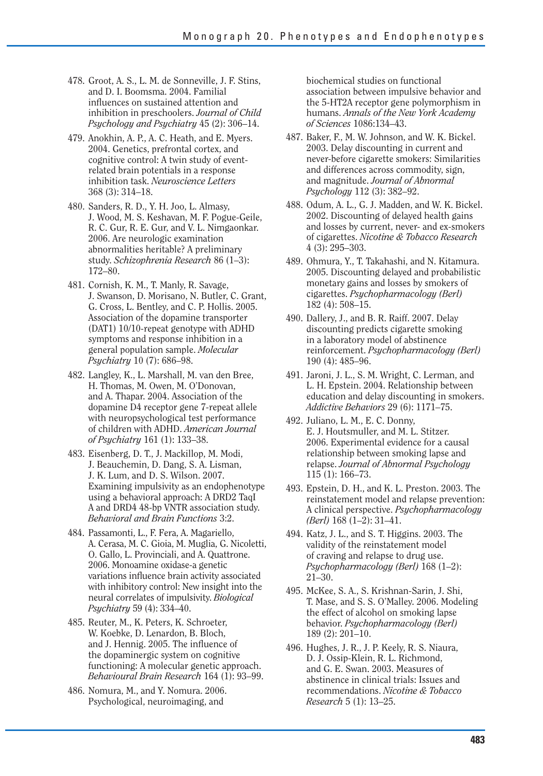- 478. Groot, A. S., L. M. de Sonneville, J. F. Stins, and D. I. Boomsma. 2004. Familial influences on sustained attention and inhibition in preschoolers. *Journal of Child Psychology and Psychiatry* 45 (2): 306–14.
- 479. Anokhin, A. P., A. C. Heath, and E. Myers. 2004. Genetics, prefrontal cortex, and cognitive control: A twin study of eventrelated brain potentials in a response inhibition task. *Neuroscience Letters*  368 (3): 314–18.
- 480. Sanders, R. D., Y. H. Joo, L. Almasy, J. Wood, M. S. Keshavan, M. F. Pogue-Geile, R. C. Gur, R. E. Gur, and V. L. Nimgaonkar. 2006. Are neurologic examination abnormalities heritable? A preliminary study. *Schizophrenia Research* 86 (1–3): 172–80.
- 481. Cornish, K. M., T. Manly, R. Savage, J. Swanson, D. Morisano, N. Butler, C. Grant, G. Cross, L. Bentley, and C. P. Hollis. 2005. Association of the dopamine transporter (DAT1) 10/10-repeat genotype with ADHD symptoms and response inhibition in a general population sample. *Molecular Psychiatry* 10 (7): 686–98.
- 482. Langley, K., L. Marshall, M. van den Bree, H. Thomas, M. Owen, M. O'Donovan, and A. Thapar. 2004. Association of the dopamine D4 receptor gene 7-repeat allele with neuropsychological test performance of children with ADHD. *American Journal of Psychiatry* 161 (1): 133–38.
- 483. Eisenberg, D. T., J. Mackillop, M. Modi, J. Beauchemin, D. Dang, S. A. Lisman, J. K. Lum, and D. S. Wilson. 2007. Examining impulsivity as an endophenotype using a behavioral approach: A DRD2 TaqI A and DRD4 48-bp VNTR association study. *Behavioral and Brain Functions* 3:2.
- 484. Passamonti, L., F. Fera, A. Magariello, A. Cerasa, M. C. Gioia, M. Muglia, G. Nicoletti, O. Gallo, L. Provinciali, and A. Quattrone. 2006. Monoamine oxidase-a genetic variations influence brain activity associated with inhibitory control: New insight into the neural correlates of impulsivity. *Biological Psychiatry* 59 (4): 334–40.
- 485. Reuter, M., K. Peters, K. Schroeter, W. Koebke, D. Lenardon, B. Bloch, and J. Hennig. 2005. The influence of the dopaminergic system on cognitive functioning: A molecular genetic approach. *Behavioural Brain Research* 164 (1): 93–99.
- 486. Nomura, M., and Y. Nomura. 2006. Psychological, neuroimaging, and

biochemical studies on functional association between impulsive behavior and the 5-HT2A receptor gene polymorphism in humans. *Annals of the New York Academy of Sciences* 1086:134–43.

- 487. Baker, F., M. W. Johnson, and W. K. Bickel. 2003. Delay discounting in current and never-before cigarette smokers: Similarities and differences across commodity, sign, and magnitude. *Journal of Abnormal Psychology* 112 (3): 382–92.
- 488. Odum, A. L., G. J. Madden, and W. K. Bickel. 2002. Discounting of delayed health gains and losses by current, never- and ex-smokers of cigarettes. *Nicotine & Tobacco Research*  4 (3): 295–303.
- 489. Ohmura, Y., T. Takahashi, and N. Kitamura. 2005. Discounting delayed and probabilistic monetary gains and losses by smokers of cigarettes. *Psychopharmacology (Berl)*  182 (4): 508–15.
- 490. Dallery, J., and B. R. Raiff. 2007. Delay discounting predicts cigarette smoking in a laboratory model of abstinence reinforcement. *Psychopharmacology (Berl)*  190 (4): 485–96.
- 491. Jaroni, J. L., S. M. Wright, C. Lerman, and L. H. Epstein. 2004. Relationship between education and delay discounting in smokers. *Addictive Behaviors* 29 (6): 1171–75.
- 492. Juliano, L. M., E. C. Donny, E. J. Houtsmuller, and M. L. Stitzer. 2006. Experimental evidence for a causal relationship between smoking lapse and relapse. *Journal of Abnormal Psychology*  115 (1): 166–73.
- 493. Epstein, D. H., and K. L. Preston. 2003. The reinstatement model and relapse prevention: A clinical perspective. *Psychopharmacology (Berl)* 168 (1–2): 31–41.
- 494. Katz, J. L., and S. T. Higgins. 2003. The validity of the reinstatement model of craving and relapse to drug use. *Psychopharmacology (Berl)* 168 (1–2): 21–30.
- 495. McKee, S. A., S. Krishnan-Sarin, J. Shi, T. Mase, and S. S. O'Malley. 2006. Modeling the effect of alcohol on smoking lapse behavior. *Psychopharmacology (Berl)*  189 (2): 201–10.
- 496. Hughes, J. R., J. P. Keely, R. S. Niaura, D. J. Ossip-Klein, R. L. Richmond, and G. E. Swan. 2003. Measures of abstinence in clinical trials: Issues and recommendations. *Nicotine & Tobacco Research* 5 (1): 13–25.